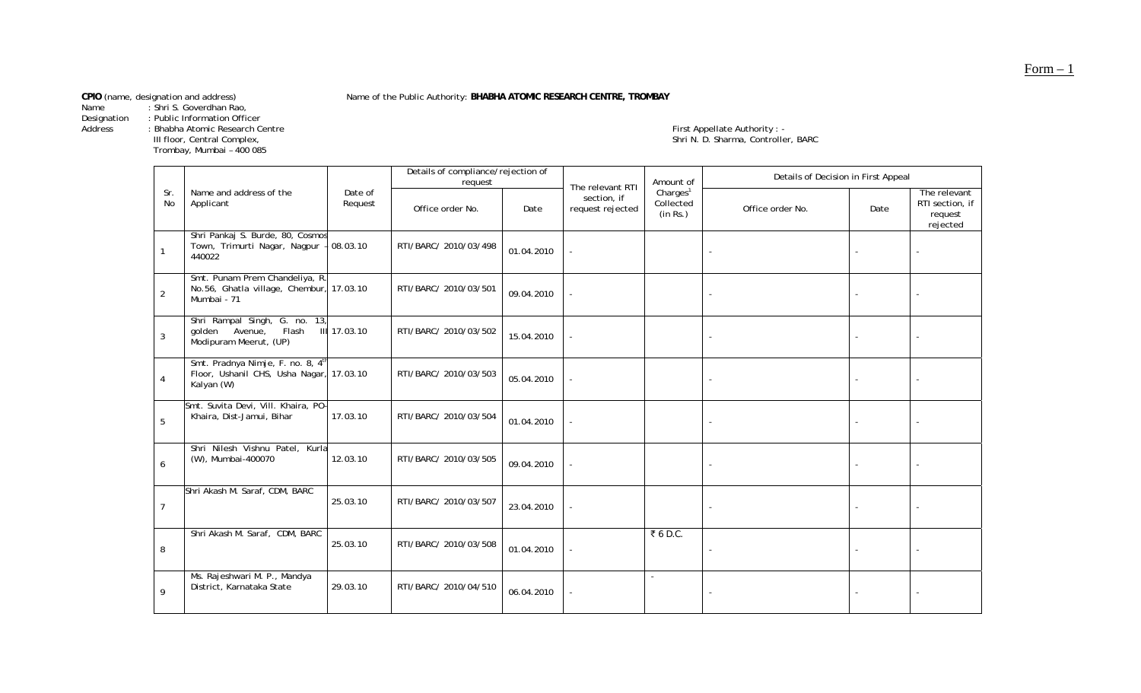Name : Shri S. Goverdhan Rao,

Designation : Public Information Officer

Trombay, Mumbai – 400<br>Trombay, Mumbai – 400<br>Trombay, Mumbai – 400

Name of the Public Authority: BHABHA ATOMIC RESEARCH CENTRE, TROMBAY

Address : Bhabha Atomic Research Centre First Appellate Authority : - - - - - - - - First Appellate Authority : -First Appellate Authority : -<br>Shri N. D. Sharma, Controller, BARC

|                  |                                                                                             |                    | Details of compliance/rejection of<br>request |            | The relevant RTI                | Amount of                                     | Details of Decision in First Appeal |      |                                                        |  |
|------------------|---------------------------------------------------------------------------------------------|--------------------|-----------------------------------------------|------------|---------------------------------|-----------------------------------------------|-------------------------------------|------|--------------------------------------------------------|--|
| Sr.<br>No        | Name and address of the<br>Applicant                                                        | Date of<br>Request | Office order No.                              | Date       | section, if<br>request rejected | Charles <sup>1</sup><br>Collected<br>(in Rs.) | Office order No.                    | Date | The relevant<br>RTI section, if<br>request<br>rejected |  |
|                  | Shri Pankaj S. Burde, 80, Cosmos<br>Town, Trimurti Nagar, Nagpur -<br>440022                | 08.03.10           | RTI/BARC/ 2010/03/498                         | 01.04.2010 |                                 |                                               |                                     |      |                                                        |  |
| 2                | Smt. Punam Prem Chandeliya, R.<br>No.56, Ghatla village, Chembur, 17.03.10<br>Mumbai - 71   |                    | RTI/BARC/ 2010/03/501                         | 09.04.2010 |                                 |                                               |                                     |      |                                                        |  |
| 3                | Shri Rampal Singh, G. no. 13,<br>golden Avenue,<br>Flash<br>Modipuram Meerut, (UP)          | III 17.03.10       | RTI/BARC/ 2010/03/502                         | 15.04.2010 |                                 |                                               |                                     |      |                                                        |  |
| $\overline{4}$   | Smt. Pradnya Nimje, F. no. 8, 4th<br>Floor, Ushanil CHS, Usha Nagar, 17.03.10<br>Kalyan (W) |                    | RTI/BARC/ 2010/03/503                         | 05.04.2010 |                                 |                                               |                                     |      |                                                        |  |
| 5                | Smt. Suvita Devi, Vill. Khaira, PO-<br>Khaira, Dist-Jamui, Bihar                            | 17.03.10           | RTI/BARC/ 2010/03/504                         | 01.04.2010 |                                 |                                               |                                     |      |                                                        |  |
| $\boldsymbol{6}$ | Shri Nilesh Vishnu Patel, Kurla<br>(W), Mumbai-400070                                       | 12.03.10           | RTI/BARC/ 2010/03/505                         | 09.04.2010 |                                 |                                               |                                     |      |                                                        |  |
| $\overline{7}$   | Shri Akash M. Saraf, CDM, BARC                                                              | 25.03.10           | RTI/BARC/ 2010/03/507                         | 23.04.2010 |                                 |                                               |                                     |      |                                                        |  |
| 8                | Shri Akash M. Saraf, CDM, BARC                                                              | 25.03.10           | RTI/BARC/ 2010/03/508                         | 01.04.2010 |                                 | ₹6D.C.                                        |                                     |      |                                                        |  |
| 9                | Ms. Rajeshwari M. P., Mandya<br>District, Karnataka State                                   | 29.03.10           | RTI/BARC/ 2010/04/510                         | 06.04.2010 |                                 |                                               |                                     |      |                                                        |  |

Form – 1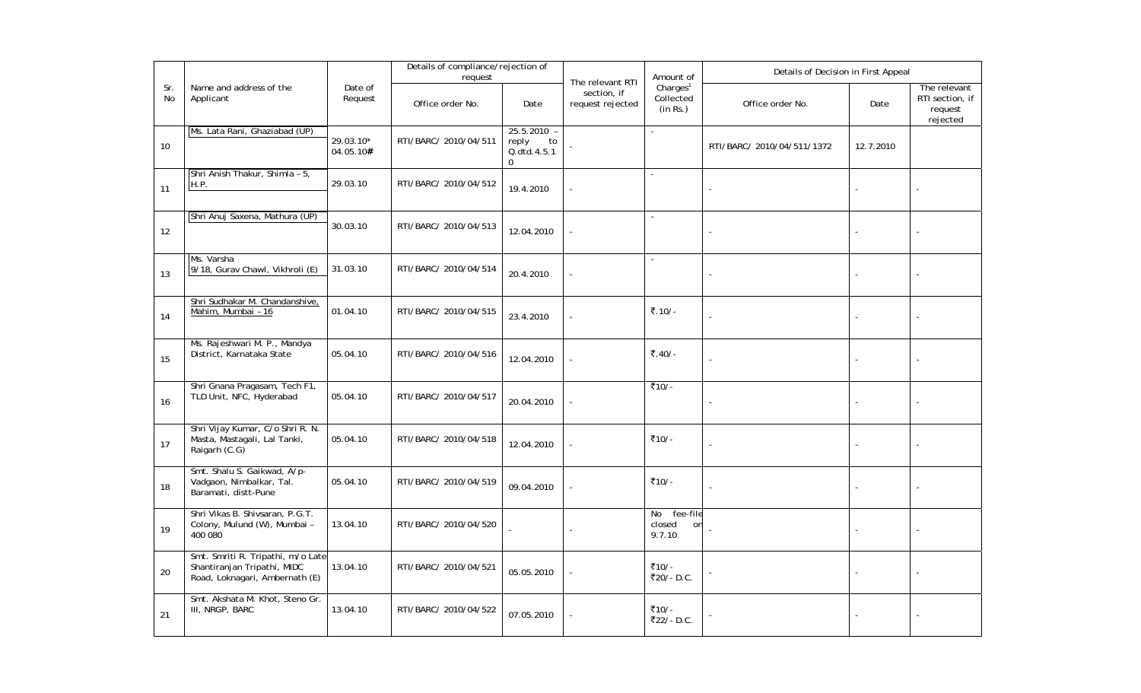|           |                                                                                                    |                        | Details of compliance/rejection of<br>request |                                                             |                                                     | Amount of                                     | Details of Decision in First Appeal |           |                                                        |
|-----------|----------------------------------------------------------------------------------------------------|------------------------|-----------------------------------------------|-------------------------------------------------------------|-----------------------------------------------------|-----------------------------------------------|-------------------------------------|-----------|--------------------------------------------------------|
| Sr.<br>No | Name and address of the<br>Applicant                                                               | Date of<br>Request     | Office order No.                              | Date                                                        | The relevant RTI<br>section, if<br>request rejected | Charles <sup>1</sup><br>Collected<br>(in Rs.) | Office order No.                    | Date      | The relevant<br>RTI section, if<br>request<br>rejected |
| 10        | Ms. Lata Rani, Ghaziabad (UP)                                                                      | 29.03.10*<br>04.05.10# | RTI/BARC/ 2010/04/511                         | 25.5.2010 -<br>to<br>reply<br>Q.dtd.4.5.1<br>$\overline{0}$ |                                                     | $\overline{\phantom{a}}$                      | RTI/BARC/ 2010/04/511/1372          | 12.7.2010 |                                                        |
| 11        | Shri Anish Thakur, Shimla - 5,<br>H.P.                                                             | 29.03.10               | RTI/BARC/ 2010/04/512                         | 19.4.2010                                                   |                                                     | L.                                            |                                     |           |                                                        |
| 12        | Shri Anuj Saxena, Mathura (UP)                                                                     | 30.03.10               | RTI/BARC/ 2010/04/513                         | 12.04.2010                                                  |                                                     | $\blacksquare$                                |                                     |           |                                                        |
| 13        | Ms. Varsha<br>9/18, Gurav Chawl, Vikhroli (E)                                                      | 31.03.10               | RTI/BARC/ 2010/04/514                         | 20.4.2010                                                   |                                                     | $\mathcal{L}$                                 |                                     |           |                                                        |
| 14        | Shri Sudhakar M. Chandanshive,<br>Mahim, Mumbai - 16                                               | 01.04.10               | RTI/BARC/ 2010/04/515                         | 23.4.2010                                                   |                                                     | ₹.10/-                                        |                                     |           |                                                        |
| 15        | Ms. Rajeshwari M. P., Mandya<br>District, Karnataka State                                          | 05.04.10               | RTI/BARC/ 2010/04/516                         | 12.04.2010                                                  |                                                     | ₹.40/-                                        |                                     |           |                                                        |
| 16        | Shri Gnana Pragasam, Tech F1,<br>TLD Unit, NFC, Hyderabad                                          | 05.04.10               | RTI/BARC/ 2010/04/517                         | 20.04.2010                                                  |                                                     | ₹10/-                                         |                                     |           |                                                        |
| 17        | Shri Vijay Kumar, C/o Shri R. N.<br>Masta, Mastagali, Lal Tanki,<br>Raigarh (C.G)                  | 05.04.10               | RTI/BARC/ 2010/04/518                         | 12.04.2010                                                  |                                                     | ₹10/-                                         |                                     |           |                                                        |
| 18        | Smt. Shalu S. Gaikwad, A/p-<br>Vadgaon, Nimbalkar, Tal.<br>Baramati, distt-Pune                    | 05.04.10               | RTI/BARC/ 2010/04/519                         | 09.04.2010                                                  |                                                     | ₹10/-                                         |                                     |           |                                                        |
| 19        | Shri Vikas B. Shivsaran, P.G.T.<br>Colony, Mulund (W), Mumbai -<br>400 080                         | 13.04.10               | RTI/BARC/ 2010/04/520                         |                                                             |                                                     | No<br>fee-file<br>closed<br>on<br>9.7.10      |                                     |           |                                                        |
| 20        | Smt. Smriti R. Tripathi, m/o Late<br>Shantiranjan Tripathi, MIDC<br>Road, Loknagari, Ambernath (E) | 13.04.10               | RTI/BARC/ 2010/04/521                         | 05.05.2010                                                  |                                                     | ₹10/-<br>₹20/-D.C.                            |                                     |           |                                                        |
| 21        | Smt. Akshata M. Khot, Steno Gr.<br>III, NRGP, BARC                                                 | 13.04.10               | RTI/BARC/ 2010/04/522                         | 07.05.2010                                                  |                                                     | ₹10/-<br>₹22/-D.C.                            |                                     |           |                                                        |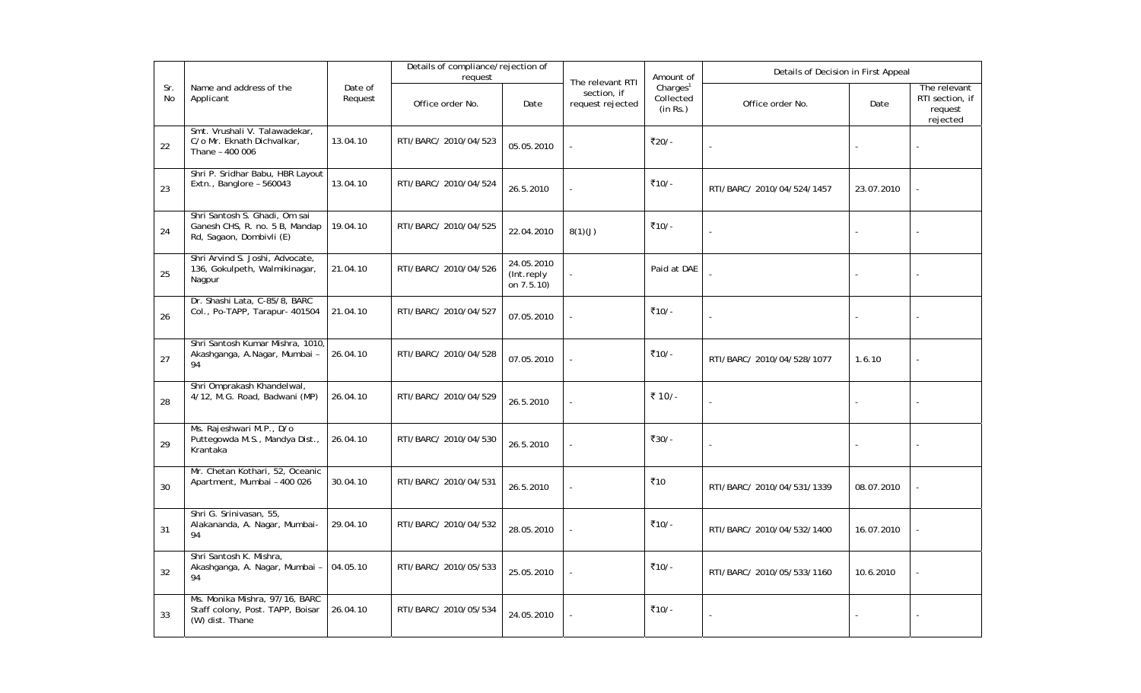|           |                                                                                             |                    | Details of compliance/rejection of<br>request |                                         |                                                     | Amount of                                     | Details of Decision in First Appeal |            |                                                        |
|-----------|---------------------------------------------------------------------------------------------|--------------------|-----------------------------------------------|-----------------------------------------|-----------------------------------------------------|-----------------------------------------------|-------------------------------------|------------|--------------------------------------------------------|
| Sr.<br>No | Name and address of the<br>Applicant                                                        | Date of<br>Request | Office order No.                              | Date                                    | The relevant RTI<br>section, if<br>request rejected | Charles <sup>1</sup><br>Collected<br>(in Rs.) | Office order No.                    | Date       | The relevant<br>RTI section, if<br>request<br>rejected |
| 22        | Smt. Vrushali V. Talawadekar,<br>C/o Mr. Eknath Dichvalkar,<br>Thane - 400 006              | 13.04.10           | RTI/BARC/ 2010/04/523                         | 05.05.2010                              |                                                     | ₹20/-                                         |                                     |            |                                                        |
| 23        | Shri P. Sridhar Babu, HBR Layout<br>Extn., Banglore - 560043                                | 13.04.10           | RTI/BARC/ 2010/04/524                         | 26.5.2010                               | L.                                                  | ₹10/-                                         | RTI/BARC/ 2010/04/524/1457          | 23.07.2010 |                                                        |
| 24        | Shri Santosh S. Ghadi, Om sai<br>Ganesh CHS, R. no. 5 B, Mandap<br>Rd, Sagaon, Dombivli (E) | 19.04.10           | RTI/BARC/ 2010/04/525                         | 22.04.2010                              | 8(1)(J)                                             | ₹10/-                                         |                                     |            |                                                        |
| 25        | Shri Arvind S. Joshi, Advocate,<br>136, Gokulpeth, Walmikinagar,<br>Nagpur                  | 21.04.10           | RTI/BARC/ 2010/04/526                         | 24.05.2010<br>(Int.reply)<br>on 7.5.10) |                                                     | Paid at DAE                                   |                                     |            |                                                        |
| 26        | Dr. Shashi Lata, C-85/8, BARC<br>Col., Po-TAPP, Tarapur- 401504                             | 21.04.10           | RTI/BARC/ 2010/04/527                         | 07.05.2010                              |                                                     | ₹10/-                                         |                                     |            |                                                        |
| 27        | Shri Santosh Kumar Mishra, 1010,<br>Akashganga, A.Nagar, Mumbai -<br>94                     | 26.04.10           | RTI/BARC/ 2010/04/528                         | 07.05.2010                              |                                                     | ₹10/-                                         | RTI/BARC/ 2010/04/528/1077          | 1.6.10     |                                                        |
| 28        | Shri Omprakash Khandelwal,<br>4/12, M.G. Road, Badwani (MP)                                 | 26.04.10           | RTI/BARC/ 2010/04/529                         | 26.5.2010                               |                                                     | ₹ 10/-                                        | ÷,                                  |            |                                                        |
| 29        | Ms. Rajeshwari M.P., D/o<br>Puttegowda M.S., Mandya Dist.,<br>Krantaka                      | 26.04.10           | RTI/BARC/ 2010/04/530                         | 26.5.2010                               |                                                     | ₹30/-                                         |                                     |            |                                                        |
| 30        | Mr. Chetan Kothari, 52, Oceanic<br>Apartment, Mumbai - 400 026                              | 30.04.10           | RTI/BARC/ 2010/04/531                         | 26.5.2010                               |                                                     | ₹10                                           | RTI/BARC/ 2010/04/531/1339          | 08.07.2010 |                                                        |
| 31        | Shri G. Srinivasan, 55,<br>Alakananda, A. Nagar, Mumbai-<br>94                              | 29.04.10           | RTI/BARC/ 2010/04/532                         | 28.05.2010                              |                                                     | ₹10/-                                         | RTI/BARC/ 2010/04/532/1400          | 16.07.2010 |                                                        |
| 32        | Shri Santosh K. Mishra,<br>Akashganga, A. Nagar, Mumbai -<br>94                             | 04.05.10           | RTI/BARC/ 2010/05/533                         | 25.05.2010                              |                                                     | ₹10/-                                         | RTI/BARC/ 2010/05/533/1160          | 10.6.2010  |                                                        |
| 33        | Ms. Monika Mishra, 97/16, BARC<br>Staff colony, Post. TAPP, Boisar<br>(W) dist. Thane       | 26.04.10           | RTI/BARC/ 2010/05/534                         | 24.05.2010                              |                                                     | ₹10/-                                         |                                     |            |                                                        |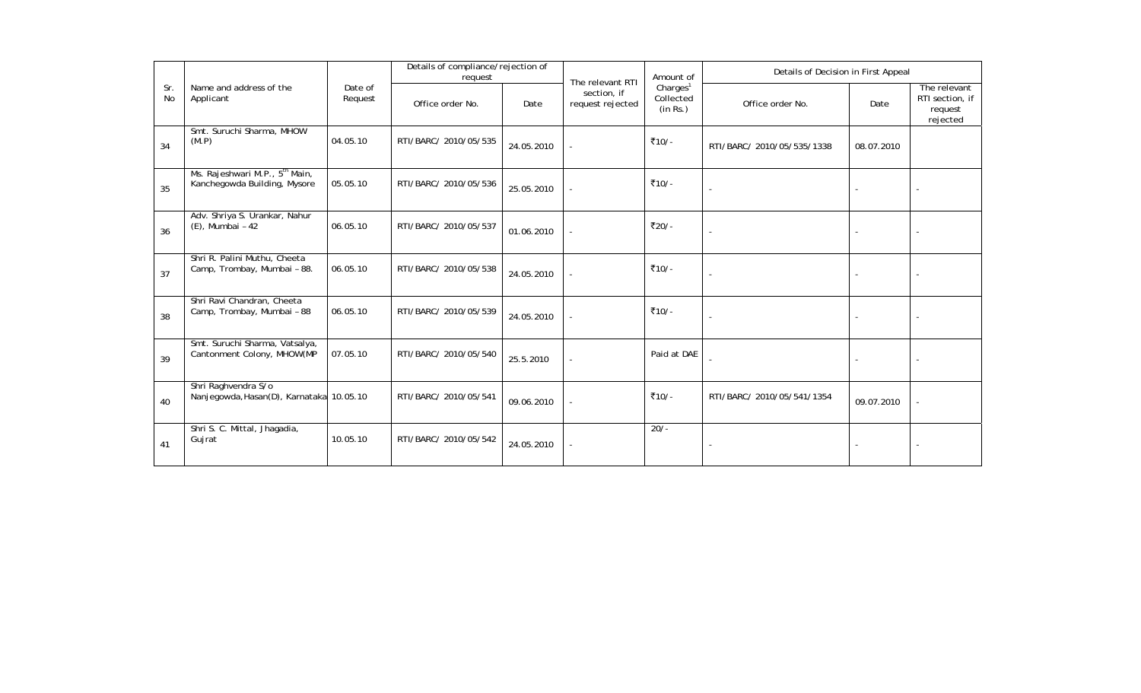|           | Name and address of the                                                    |                    | Details of compliance/rejection of<br>request |            | The relevant RTI                | Amount of                                     | Details of Decision in First Appeal |                          |                                                        |  |
|-----------|----------------------------------------------------------------------------|--------------------|-----------------------------------------------|------------|---------------------------------|-----------------------------------------------|-------------------------------------|--------------------------|--------------------------------------------------------|--|
| Sr.<br>No | Applicant                                                                  | Date of<br>Request | Office order No.                              | Date       | section, if<br>request rejected | Charles <sup>1</sup><br>Collected<br>(in Rs.) | Office order No.                    | Date                     | The relevant<br>RTI section, if<br>request<br>rejected |  |
| 34        | Smt. Suruchi Sharma, MHOW<br>(M.P)                                         | 04.05.10           | RTI/BARC/ 2010/05/535                         | 24.05.2010 |                                 | ₹10/-                                         | RTI/BARC/ 2010/05/535/1338          | 08.07.2010               |                                                        |  |
| 35        | Ms. Rajeshwari M.P., 5 <sup>th</sup> Main,<br>Kanchegowda Building, Mysore | 05.05.10           | RTI/BARC/ 2010/05/536                         | 25.05.2010 |                                 | ₹10/-                                         |                                     |                          |                                                        |  |
| 36        | Adv. Shriya S. Urankar, Nahur<br>(E), Mumbai - 42                          | 06.05.10           | RTI/BARC/ 2010/05/537                         | 01.06.2010 |                                 | ₹20/-                                         |                                     | $\overline{\phantom{a}}$ |                                                        |  |
| 37        | Shri R. Palini Muthu, Cheeta<br>Camp, Trombay, Mumbai - 88.                | 06.05.10           | RTI/BARC/ 2010/05/538                         | 24.05.2010 |                                 | ₹10/-                                         | $\blacksquare$                      |                          |                                                        |  |
| 38        | Shri Ravi Chandran, Cheeta<br>Camp, Trombay, Mumbai - 88                   | 06.05.10           | RTI/BARC/ 2010/05/539                         | 24.05.2010 |                                 | ₹10/-                                         | $\blacksquare$                      |                          |                                                        |  |
| 39        | Smt. Suruchi Sharma, Vatsalya,<br>Cantonment Colony, MHOW(MP               | 07.05.10           | RTI/BARC/ 2010/05/540                         | 25.5.2010  |                                 | Paid at DAE                                   |                                     |                          |                                                        |  |
| 40        | Shri Raghvendra S/o<br>Nanjegowda, Hasan(D), Karnataka 10.05.10            |                    | RTI/BARC/ 2010/05/541                         | 09.06.2010 |                                 | ₹10/-                                         | RTI/BARC/ 2010/05/541/1354          | 09.07.2010               |                                                        |  |
| 41        | Shri S. C. Mittal, Jhagadia,<br>Gujrat                                     | 10.05.10           | RTI/BARC/ 2010/05/542                         | 24.05.2010 |                                 | $20/-$                                        |                                     |                          |                                                        |  |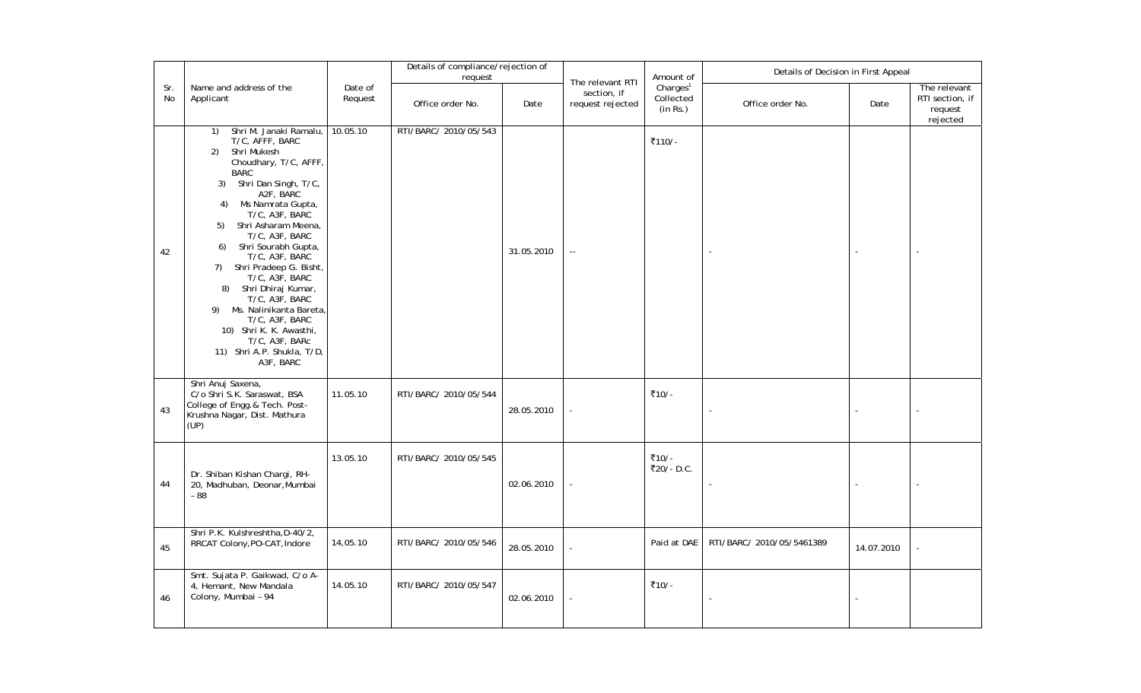|           |                                                                                                                                                                                                                                                                                                                                                                                                                                                                                                                                            |                    | Details of compliance/rejection of<br>request |            |                                                     | Amount of                                     | Details of Decision in First Appeal |            |                                                        |
|-----------|--------------------------------------------------------------------------------------------------------------------------------------------------------------------------------------------------------------------------------------------------------------------------------------------------------------------------------------------------------------------------------------------------------------------------------------------------------------------------------------------------------------------------------------------|--------------------|-----------------------------------------------|------------|-----------------------------------------------------|-----------------------------------------------|-------------------------------------|------------|--------------------------------------------------------|
| Sr.<br>No | Name and address of the<br>Applicant                                                                                                                                                                                                                                                                                                                                                                                                                                                                                                       | Date of<br>Request | Office order No.                              | Date       | The relevant RTI<br>section, if<br>request rejected | Charles <sup>1</sup><br>Collected<br>(in Rs.) | Office order No.                    | Date       | The relevant<br>RTI section, if<br>request<br>rejected |
| 42        | Shri M. Janaki Ramalu,<br>1)<br>T/C, AFFF, BARC<br>2)<br>Shri Mukesh<br>Choudhary, T/C, AFFF,<br><b>BARC</b><br>Shri Dan Singh, T/C,<br>3)<br>A2F, BARC<br>Ms Namrata Gupta,<br>4)<br>T/C, A3F, BARC<br>Shri Asharam Meena,<br>5)<br>T/C, A3F, BARC<br>Shri Sourabh Gupta,<br>6)<br>T/C, A3F, BARC<br>7) Shri Pradeep G. Bisht,<br>T/C, A3F, BARC<br>Shri Dhiraj Kumar,<br>8)<br>T/C, A3F, BARC<br>Ms. Nalinikanta Bareta,<br>9)<br>T/C, A3F, BARC<br>10) Shri K. K. Awasthi,<br>T/C, A3F, BARc<br>11) Shri A.P. Shukla, T/D,<br>A3F, BARC | 10.05.10           | RTI/BARC/ 2010/05/543                         | 31.05.2010 | $\Box$                                              | ₹110/-                                        |                                     |            |                                                        |
| 43        | Shri Anuj Saxena,<br>C/o Shri S.K. Saraswat, BSA<br>College of Engg. & Tech. Post-<br>Krushna Nagar, Dist. Mathura<br>(UP)                                                                                                                                                                                                                                                                                                                                                                                                                 | 11.05.10           | RTI/BARC/ 2010/05/544                         | 28.05.2010 |                                                     | ₹10/-                                         |                                     |            |                                                        |
| 44        | Dr. Shiban Kishan Chargi, RH-<br>20, Madhuban, Deonar, Mumbai<br>$-88$                                                                                                                                                                                                                                                                                                                                                                                                                                                                     | 13.05.10           | RTI/BARC/ 2010/05/545                         | 02.06.2010 |                                                     | ₹10/-<br>₹20/-D.C.                            |                                     |            |                                                        |
| 45        | Shri P.K. Kulshreshtha, D-40/2,<br>RRCAT Colony, PO-CAT, Indore                                                                                                                                                                                                                                                                                                                                                                                                                                                                            | 14,05.10           | RTI/BARC/ 2010/05/546                         | 28.05.2010 |                                                     | Paid at DAE                                   | RTI/BARC/ 2010/05/5461389           | 14.07.2010 |                                                        |
| 46        | Smt. Sujata P. Gaikwad, C/o A-<br>4, Hemant, New Mandala<br>Colony, Mumbai - 94                                                                                                                                                                                                                                                                                                                                                                                                                                                            | 14.05.10           | RTI/BARC/ 2010/05/547                         | 02.06.2010 |                                                     | ₹10/-                                         | $\blacksquare$                      |            |                                                        |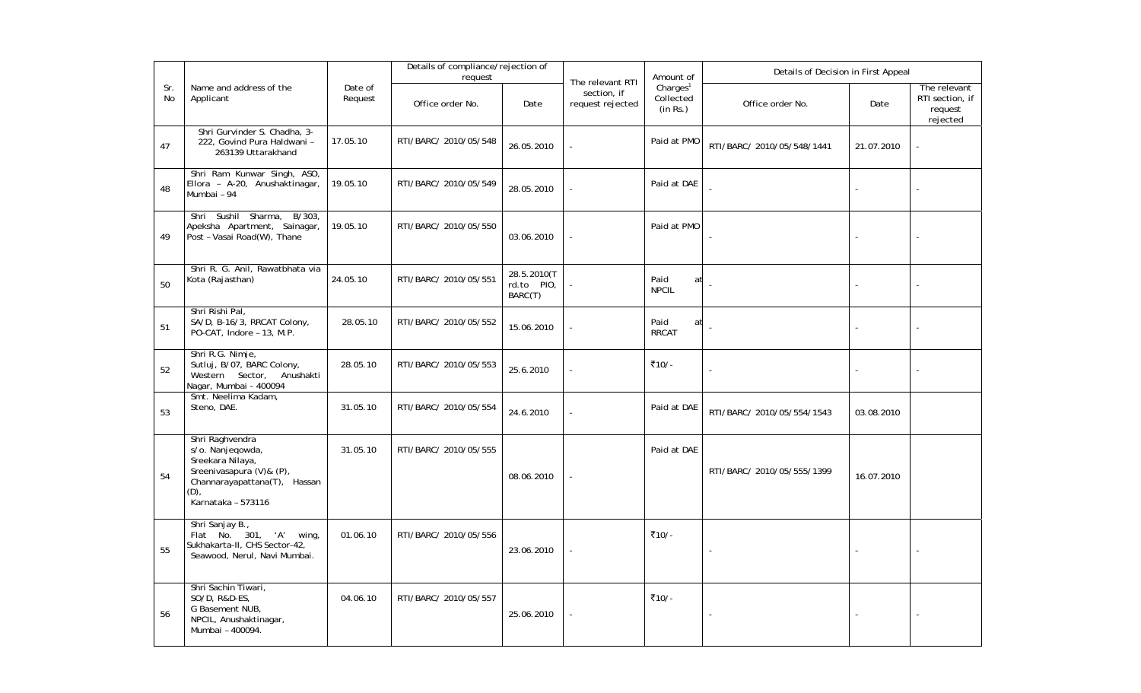|                  |                                                                                                                                                   |                    | Details of compliance/rejection of<br>request |                                      |                                                     | Amount of                                     | Details of Decision in First Appeal |            |                                                        |
|------------------|---------------------------------------------------------------------------------------------------------------------------------------------------|--------------------|-----------------------------------------------|--------------------------------------|-----------------------------------------------------|-----------------------------------------------|-------------------------------------|------------|--------------------------------------------------------|
| Sr.<br><b>No</b> | Name and address of the<br>Applicant                                                                                                              | Date of<br>Request | Office order No.                              | Date                                 | The relevant RTI<br>section, if<br>request rejected | Charles <sup>1</sup><br>Collected<br>(in Rs.) | Office order No.                    | Date       | The relevant<br>RTI section, if<br>request<br>rejected |
| 47               | Shri Gurvinder S. Chadha, 3-<br>222, Govind Pura Haldwani -<br>263139 Uttarakhand                                                                 | 17.05.10           | RTI/BARC/ 2010/05/548                         | 26.05.2010                           |                                                     | Paid at PMO                                   | RTI/BARC/ 2010/05/548/1441          | 21.07.2010 |                                                        |
| 48               | Shri Ram Kunwar Singh, ASO,<br>Ellora - A-20, Anushaktinagar,<br>Mumbai - 94                                                                      | 19.05.10           | RTI/BARC/ 2010/05/549                         | 28.05.2010                           |                                                     | Paid at DAE                                   |                                     |            |                                                        |
| 49               | Sharma,<br>B/303<br>Shri Sushil<br>Apeksha Apartment, Sainagar,<br>Post - Vasai Road(W), Thane                                                    | 19.05.10           | RTI/BARC/ 2010/05/550                         | 03.06.2010                           |                                                     | Paid at PMO                                   |                                     |            |                                                        |
| 50               | Shri R. G. Anil, Rawatbhata via<br>Kota (Rajasthan)                                                                                               | 24.05.10           | RTI/BARC/ 2010/05/551                         | 28.5.2010(T<br>rd.to PIO,<br>BARC(T) |                                                     | Paid<br>at<br><b>NPCIL</b>                    |                                     |            |                                                        |
| 51               | Shri Rishi Pal,<br>SA/D, B-16/3, RRCAT Colony,<br>PO-CAT, Indore - 13, M.P.                                                                       | 28.05.10           | RTI/BARC/ 2010/05/552                         | 15.06.2010                           |                                                     | Paid<br>at<br><b>RRCAT</b>                    | ÷,                                  |            |                                                        |
| 52               | Shri R.G. Nimje,<br>Sutluj, B/07, BARC Colony,<br>Western Sector, Anushakti<br>Nagar, Mumbai - 400094                                             | 28.05.10           | RTI/BARC/ 2010/05/553                         | 25.6.2010                            |                                                     | ₹10/-                                         |                                     |            |                                                        |
| 53               | Smt. Neelima Kadam,<br>Steno, DAE.                                                                                                                | 31.05.10           | RTI/BARC/ 2010/05/554                         | 24.6.2010                            |                                                     | Paid at DAE                                   | RTI/BARC/ 2010/05/554/1543          | 03.08.2010 |                                                        |
| 54               | Shri Raghvendra<br>s/o. Nanjegowda,<br>Sreekara Nilaya,<br>Sreenivasapura (V)& (P),<br>Channarayapattana(T), Hassan<br>(D),<br>Karnataka - 573116 | 31.05.10           | RTI/BARC/ 2010/05/555                         | 08.06.2010                           |                                                     | Paid at DAE                                   | RTI/BARC/ 2010/05/555/1399          | 16.07.2010 |                                                        |
| 55               | Shri Sanjay B.,<br>Flat No. 301, 'A' wing,<br>Sukhakarta-II, CHS Sector-42,<br>Seawood, Nerul, Navi Mumbai.                                       | 01.06.10           | RTI/BARC/ 2010/05/556                         | 23.06.2010                           |                                                     | ₹10/-                                         | $\sim$                              |            |                                                        |
| 56               | Shri Sachin Tiwari,<br>SO/D, R&D-ES,<br>G Basement NUB,<br>NPCIL, Anushaktinagar,<br>Mumbai - 400094.                                             | 04.06.10           | RTI/BARC/ 2010/05/557                         | 25.06.2010                           |                                                     | ₹10/-                                         |                                     |            |                                                        |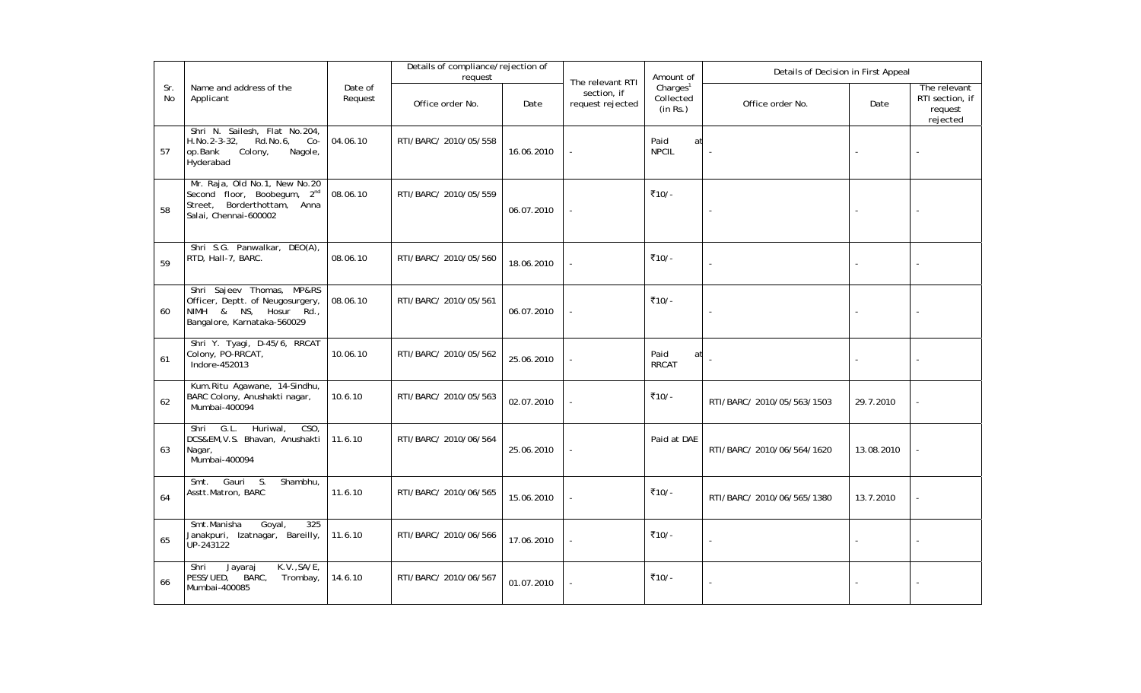|           |                                                                                                                                  |                    | Details of compliance/rejection of<br>request |            |                                                     | Amount of                                     | Details of Decision in First Appeal |            |                                                        |  |
|-----------|----------------------------------------------------------------------------------------------------------------------------------|--------------------|-----------------------------------------------|------------|-----------------------------------------------------|-----------------------------------------------|-------------------------------------|------------|--------------------------------------------------------|--|
| Sr.<br>No | Name and address of the<br>Applicant                                                                                             | Date of<br>Request | Office order No.                              | Date       | The relevant RTI<br>section, if<br>request rejected | Charles <sup>1</sup><br>Collected<br>(in Rs.) | Office order No.                    | Date       | The relevant<br>RTI section, if<br>request<br>rejected |  |
| 57        | Shri N. Sailesh, Flat No.204,<br>H.No.2-3-32,<br>Rd.No.6,<br>Co-<br>Colony,<br>op.Bank<br>Nagole,<br>Hyderabad                   | 04.06.10           | RTI/BARC/ 2010/05/558                         | 16.06.2010 | ÷,                                                  | Paid<br>at<br><b>NPCIL</b>                    |                                     |            |                                                        |  |
| 58        | Mr. Raja, Old No.1, New No.20<br>Second floor, Boobegum, 2 <sup>nd</sup><br>Street, Borderthottam, Anna<br>Salai, Chennai-600002 | 08.06.10           | RTI/BARC/ 2010/05/559                         | 06.07.2010 |                                                     | ₹10/-                                         |                                     |            |                                                        |  |
| 59        | Shri S.G. Panwalkar, DEO(A),<br>RTD, Hall-7, BARC.                                                                               | 08.06.10           | RTI/BARC/ 2010/05/560                         | 18.06.2010 |                                                     | ₹10/-                                         |                                     |            |                                                        |  |
| 60        | Shri Sajeev Thomas,<br>MP&RS<br>Officer, Deptt. of Neugosurgery,<br>NIMH & NS, Hosur Rd.,<br>Bangalore, Karnataka-560029         | 08.06.10           | RTI/BARC/ 2010/05/561                         | 06.07.2010 |                                                     | ₹10/-                                         | L,                                  |            |                                                        |  |
| 61        | Shri Y. Tyagi, D-45/6, RRCAT<br>Colony, PO-RRCAT,<br>Indore-452013                                                               | 10.06.10           | RTI/BARC/ 2010/05/562                         | 25.06.2010 |                                                     | Paid<br>at<br><b>RRCAT</b>                    |                                     |            |                                                        |  |
| 62        | Kum.Ritu Agawane, 14-Sindhu,<br>BARC Colony, Anushakti nagar,<br>Mumbai-400094                                                   | 10.6.10            | RTI/BARC/ 2010/05/563                         | 02.07.2010 |                                                     | ₹10/-                                         | RTI/BARC/ 2010/05/563/1503          | 29.7.2010  |                                                        |  |
| 63        | G.L.<br>Huriwal,<br>CSO<br>Shri<br>DCS&EM, V.S. Bhavan, Anushakti<br>Nagar,<br>Mumbai-400094                                     | 11.6.10            | RTI/BARC/ 2010/06/564                         | 25.06.2010 |                                                     | Paid at DAE                                   | RTI/BARC/ 2010/06/564/1620          | 13.08.2010 |                                                        |  |
| 64        | Smt. Gauri<br>$S$ .<br>Shambhu,<br>Asstt.Matron, BARC                                                                            | 11.6.10            | RTI/BARC/ 2010/06/565                         | 15.06.2010 |                                                     | ₹10/-                                         | RTI/BARC/ 2010/06/565/1380          | 13.7.2010  |                                                        |  |
| 65        | Smt.Manisha<br>Goyal,<br>325<br>Janakpuri, Izatnagar, Bareilly,<br>UP-243122                                                     | 11.6.10            | RTI/BARC/ 2010/06/566                         | 17.06.2010 |                                                     | ₹10/-                                         | $\blacksquare$                      |            |                                                        |  |
| 66        | K.V., SA/E,<br>Shri<br>Jayaraj<br>BARC,<br>PESS/UED,<br>Trombay,<br>Mumbai-400085                                                | 14.6.10            | RTI/BARC/ 2010/06/567                         | 01.07.2010 |                                                     | ₹10/-                                         |                                     |            |                                                        |  |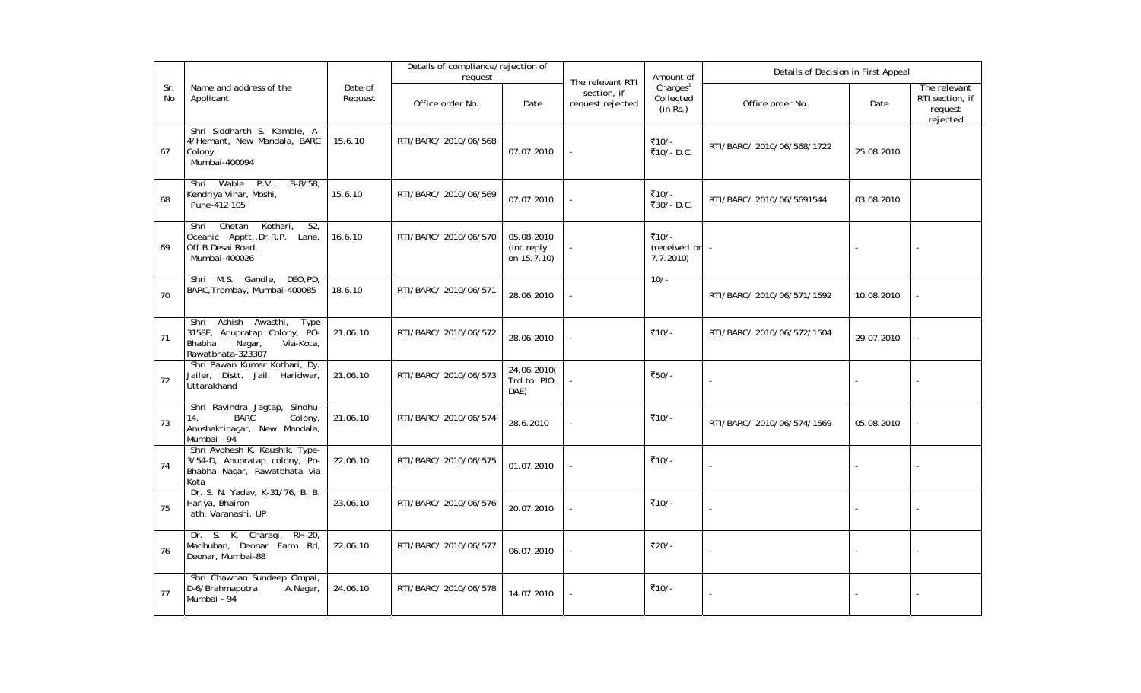|                  |                                                                                                                    |                    | Details of compliance/rejection of<br>request |                                         | Amount of<br>The relevant RTI   |                                               | Details of Decision in First Appeal |            |                                                        |
|------------------|--------------------------------------------------------------------------------------------------------------------|--------------------|-----------------------------------------------|-----------------------------------------|---------------------------------|-----------------------------------------------|-------------------------------------|------------|--------------------------------------------------------|
| Sr.<br><b>No</b> | Name and address of the<br>Applicant                                                                               | Date of<br>Request | Office order No.                              | Date                                    | section, if<br>request rejected | Charles <sup>1</sup><br>Collected<br>(in Rs.) | Office order No.                    | Date       | The relevant<br>RTI section, if<br>request<br>rejected |
| 67               | Shri Siddharth S. Kamble, A-<br>4/Hemant, New Mandala, BARC<br>Colony,<br>Mumbai-400094                            | 15.6.10            | RTI/BARC/ 2010/06/568                         | 07.07.2010                              |                                 | ₹10/-<br>₹10/- D.C.                           | RTI/BARC/ 2010/06/568/1722          | 25.08.2010 |                                                        |
| 68               | Wable<br>P.V.,<br>$B-8/58$<br>Shri<br>Kendriya Vihar, Moshi,<br>Pune-412 105                                       | 15.6.10            | RTI/BARC/ 2010/06/569                         | 07.07.2010                              |                                 | ₹10/-<br>₹30/-D.C.                            | RTI/BARC/ 2010/06/5691544           | 03.08.2010 |                                                        |
| 69               | Chetan<br>Kothari,<br>52,<br>Shri<br>Oceanic Apptt., Dr.R.P. Lane,<br>Off B.Desai Road,<br>Mumbai-400026           | 16.6.10            | RTI/BARC/ 2010/06/570                         | 05.08.2010<br>(Int.reply<br>on 15.7.10) |                                 | ₹10/-<br>(received on<br>7.7.2010             | $\overline{\phantom{a}}$            |            |                                                        |
| 70               | Shri M.S. Gandle,<br>DEO, PD,<br>BARC, Trombay, Mumbai-400085                                                      | 18.6.10            | RTI/BARC/ 2010/06/571                         | 28.06.2010                              |                                 | $10/-$                                        | RTI/BARC/ 2010/06/571/1592          | 10.08.2010 |                                                        |
| 71               | Shri Ashish Awasthi,<br>Type<br>3158E, Anupratap Colony, PO-<br>Bhabha<br>Nagar,<br>Via-Kota,<br>Rawatbhata-323307 | 21.06.10           | RTI/BARC/ 2010/06/572                         | 28.06.2010                              |                                 | ₹10/-                                         | RTI/BARC/ 2010/06/572/1504          | 29.07.2010 |                                                        |
| 72               | Shri Pawan Kumar Kothari, Dy.<br>Jailer, Distt. Jail, Haridwar,<br>Uttarakhand                                     | 21.06.10           | RTI/BARC/ 2010/06/573                         | 24.06.2010(<br>Trd.to PIO,<br>DAE)      |                                 | ₹50/-                                         | $\overline{a}$                      |            |                                                        |
| 73               | Shri Ravindra Jagtap, Sindhu-<br><b>BARC</b><br>Colony<br>14,<br>Anushaktinagar, New Mandala,<br>Mumbai - 94       | 21.06.10           | RTI/BARC/ 2010/06/574                         | 28.6.2010                               |                                 | ₹10/-                                         | RTI/BARC/ 2010/06/574/1569          | 05.08.2010 |                                                        |
| 74               | Shri Avdhesh K. Kaushik, Type-<br>3/54-D, Anupratap colony, Po-<br>Bhabha Nagar, Rawatbhata via<br>Kota            | 22.06.10           | RTI/BARC/ 2010/06/575                         | 01.07.2010                              |                                 | ₹10/-                                         |                                     |            |                                                        |
| 75               | Dr. S. N. Yadav, K-31/76, B. B.<br>Hariya, Bhairon<br>ath, Varanashi, UP                                           | 23.06.10           | RTI/BARC/ 2010/06/576                         | 20.07.2010                              |                                 | ₹10/-                                         | $\overline{a}$                      |            |                                                        |
| 76               | Dr. S. K. Charagi,<br>RH-20,<br>Madhuban, Deonar Farm Rd,<br>Deonar, Mumbai-88                                     | 22.06.10           | RTI/BARC/ 2010/06/577                         | 06.07.2010                              |                                 | ₹20/-                                         | $\sim$                              |            |                                                        |
| 77               | Shri Chawhan Sundeep Ompal,<br>D-6/Brahmaputra<br>A.Nagar,<br>Mumbai - 94                                          | 24.06.10           | RTI/BARC/ 2010/06/578                         | 14.07.2010                              |                                 | ₹10/-                                         |                                     |            |                                                        |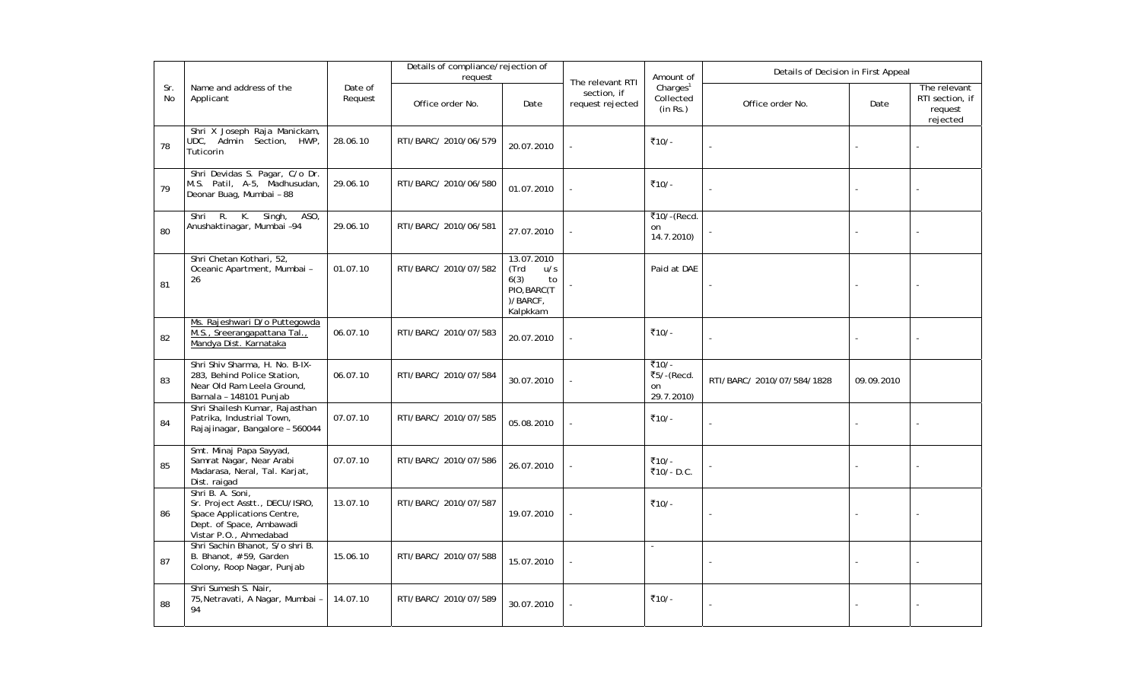|           |                                                                                                                                        |                    | Details of compliance/rejection of<br>request |                                                                                |                                                     | Amount of                                     | Details of Decision in First Appeal |            |                                                        |
|-----------|----------------------------------------------------------------------------------------------------------------------------------------|--------------------|-----------------------------------------------|--------------------------------------------------------------------------------|-----------------------------------------------------|-----------------------------------------------|-------------------------------------|------------|--------------------------------------------------------|
| Sr.<br>No | Name and address of the<br>Applicant                                                                                                   | Date of<br>Request | Office order No.                              | Date                                                                           | The relevant RTI<br>section, if<br>request rejected | Charles <sup>1</sup><br>Collected<br>(in Rs.) | Office order No.                    | Date       | The relevant<br>RTI section, if<br>request<br>rejected |
| 78        | Shri X Joseph Raja Manickam,<br>UDC, Admin Section, HWP,<br>Tuticorin                                                                  | 28.06.10           | RTI/BARC/ 2010/06/579                         | 20.07.2010                                                                     |                                                     | ₹10/-                                         |                                     |            |                                                        |
| 79        | Shri Devidas S. Pagar, C/o Dr.<br>M.S. Patil, A-5, Madhusudan,<br>Deonar Buag, Mumbai - 88                                             | 29.06.10           | RTI/BARC/ 2010/06/580                         | 01.07.2010                                                                     |                                                     | ₹10/-                                         |                                     |            |                                                        |
| 80        | R. K. Singh,<br>ASO.<br>Shri<br>Anushaktinagar, Mumbai -94                                                                             | 29.06.10           | RTI/BARC/ 2010/06/581                         | 27.07.2010                                                                     |                                                     | ₹10/-(Recd.<br>on<br>14.7.2010)               |                                     |            |                                                        |
| 81        | Shri Chetan Kothari, 52,<br>Oceanic Apartment, Mumbai -<br>26                                                                          | 01.07.10           | RTI/BARC/ 2010/07/582                         | 13.07.2010<br>(Trd<br>u/s<br>6(3)<br>to<br>PIO, BARC(T<br>)/BARCF,<br>Kalpkkam |                                                     | Paid at DAE                                   |                                     |            |                                                        |
| 82        | Ms. Rajeshwari D/o Puttegowda<br>M.S., Sreerangapattana Tal.,<br>Mandya Dist. Karnataka                                                | 06.07.10           | RTI/BARC/ 2010/07/583                         | 20.07.2010                                                                     |                                                     | ₹10/-                                         |                                     |            |                                                        |
| 83        | Shri Shiv Sharma, H. No. B-IX-<br>283, Behind Police Station,<br>Near Old Ram Leela Ground,<br>Barnala - 148101 Punjab                 | 06.07.10           | RTI/BARC/ 2010/07/584                         | 30.07.2010                                                                     |                                                     | ₹10/-<br>₹5/-(Recd.<br>on<br>29.7.2010)       | RTI/BARC/ 2010/07/584/1828          | 09.09.2010 |                                                        |
| 84        | Shri Shailesh Kumar, Rajasthan<br>Patrika, Industrial Town,<br>Rajajinagar, Bangalore - 560044                                         | 07.07.10           | RTI/BARC/ 2010/07/585                         | 05.08.2010                                                                     |                                                     | ₹10/-                                         |                                     |            |                                                        |
| 85        | Smt. Minaj Papa Sayyad,<br>Samrat Nagar, Near Arabi<br>Madarasa, Neral, Tal. Karjat,<br>Dist. raigad                                   | 07.07.10           | RTI/BARC/ 2010/07/586                         | 26.07.2010                                                                     |                                                     | ₹10/-<br>₹10/- D.C.                           |                                     |            |                                                        |
| 86        | Shri B. A. Soni,<br>Sr. Project Asstt., DECU/ISRO,<br>Space Applications Centre,<br>Dept. of Space, Ambawadi<br>Vistar P.O., Ahmedabad | 13.07.10           | RTI/BARC/ 2010/07/587                         | 19.07.2010                                                                     |                                                     | ₹10/-                                         |                                     |            |                                                        |
| 87        | Shri Sachin Bhanot, S/o shri B.<br>B. Bhanot, #59, Garden<br>Colony, Roop Nagar, Punjab                                                | 15.06.10           | RTI/BARC/ 2010/07/588                         | 15.07.2010                                                                     |                                                     | $\mathcal{L}$                                 | ä,                                  |            |                                                        |
| 88        | Shri Sumesh S. Nair,<br>75, Netravati, A Nagar, Mumbai -<br>94                                                                         | 14.07.10           | RTI/BARC/ 2010/07/589                         | 30.07.2010                                                                     |                                                     | ₹10/-                                         |                                     |            |                                                        |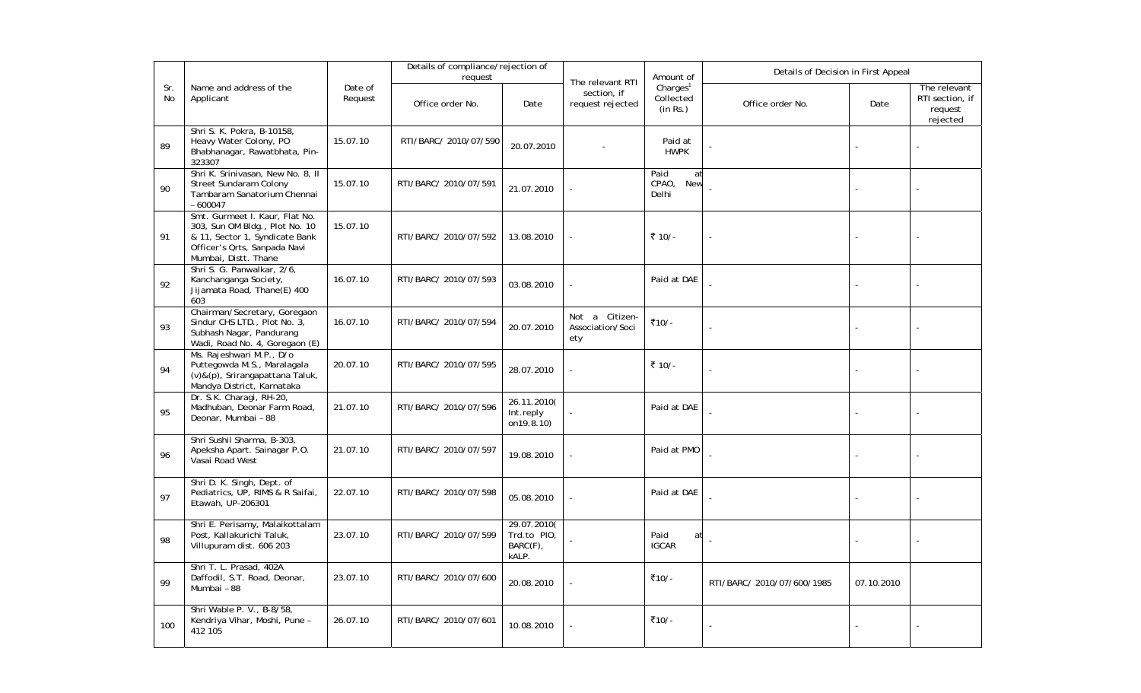|           |                                                                                                                                                            |                    | Details of compliance/rejection of<br>request |                                                 |                                                     | Amount of                                     | Details of Decision in First Appeal |            |                                                        |  |
|-----------|------------------------------------------------------------------------------------------------------------------------------------------------------------|--------------------|-----------------------------------------------|-------------------------------------------------|-----------------------------------------------------|-----------------------------------------------|-------------------------------------|------------|--------------------------------------------------------|--|
| Sr.<br>No | Name and address of the<br>Applicant                                                                                                                       | Date of<br>Request | Office order No.                              | Date                                            | The relevant RTI<br>section, if<br>request rejected | Charles <sup>1</sup><br>Collected<br>(in Rs.) | Office order No.                    | Date       | The relevant<br>RTI section, if<br>request<br>rejected |  |
| 89        | Shri S. K. Pokra, B-10158,<br>Heavy Water Colony, PO<br>Bhabhanagar, Rawatbhata, Pin-<br>323307                                                            | 15.07.10           | RTI/BARC/ 2010/07/590                         | 20.07.2010                                      |                                                     | Paid at<br><b>HWPK</b>                        |                                     |            |                                                        |  |
| 90        | Shri K. Srinivasan, New No. 8, II<br>Street Sundaram Colony<br>Tambaram Sanatorium Chennai<br>$-600047$                                                    | 15.07.10           | RTI/BARC/ 2010/07/591                         | 21.07.2010                                      |                                                     | Paid<br>at<br>CPAO,<br><b>New</b><br>Delhi    |                                     |            |                                                        |  |
| 91        | Smt. Gurmeet I. Kaur, Flat No.<br>303, Sun OM Bldg., Plot No. 10<br>& 11, Sector 1, Syndicate Bank<br>Officer's Orts, Sanpada Navi<br>Mumbai, Distt. Thane | 15.07.10           | RTI/BARC/ 2010/07/592                         | 13.08.2010                                      |                                                     | ₹ 10/-                                        |                                     |            |                                                        |  |
| 92        | Shri S. G. Panwalkar, 2/6,<br>Kanchanganga Society,<br>Jijamata Road, Thane(E) 400<br>603                                                                  | 16.07.10           | RTI/BARC/ 2010/07/593                         | 03.08.2010                                      |                                                     | Paid at DAE                                   |                                     |            |                                                        |  |
| 93        | Chairman/Secretary, Goregaon<br>Sindur CHS LTD., Plot No. 3,<br>Subhash Nagar, Pandurang<br>Wadi, Road No. 4, Goregaon (E)                                 | 16.07.10           | RTI/BARC/ 2010/07/594                         | 20.07.2010                                      | Not a Citizen-<br>Association/Soci<br>ety           | ₹10/-                                         |                                     |            |                                                        |  |
| 94        | Ms. Rajeshwari M.P., D/o<br>Puttegowda M.S., Maralagala<br>(v)&(p), Srirangapattana Taluk,<br>Mandya District, Karnataka                                   | 20.07.10           | RTI/BARC/ 2010/07/595                         | 28.07.2010                                      |                                                     | ₹ 10/-                                        |                                     |            |                                                        |  |
| 95        | Dr. S.K. Charagi, RH-20,<br>Madhuban, Deonar Farm Road,<br>Deonar, Mumbai - 88                                                                             | 21.07.10           | RTI/BARC/ 2010/07/596                         | 26.11.2010(<br>Int.reply<br>on19.8.10)          |                                                     | Paid at DAE                                   |                                     |            |                                                        |  |
| 96        | Shri Sushil Sharma, B-303,<br>Apeksha Apart. Sainagar P.O.<br>Vasai Road West                                                                              | 21.07.10           | RTI/BARC/ 2010/07/597                         | 19.08.2010                                      |                                                     | Paid at PMO                                   |                                     |            |                                                        |  |
| 97        | Shri D. K. Singh, Dept. of<br>Pediatrics, UP, RIMS & R Saifai,<br>Etawah, UP-206301                                                                        | 22.07.10           | RTI/BARC/ 2010/07/598                         | 05.08.2010                                      |                                                     | Paid at DAE                                   |                                     |            |                                                        |  |
| 98        | Shri E. Perisamy, Malaikottalam<br>Post, Kallakurichi Taluk,<br>Villupuram dist. 606 203                                                                   | 23.07.10           | RTI/BARC/ 2010/07/599                         | 29.07.2010(<br>Trd.to PIO,<br>BARC(F),<br>kALP. |                                                     | Paid<br>at<br><b>IGCAR</b>                    |                                     |            |                                                        |  |
| 99        | Shri T. L. Prasad, 402A<br>Daffodil, S.T. Road, Deonar,<br>Mumbai - 88                                                                                     | 23.07.10           | RTI/BARC/ 2010/07/600                         | 20.08.2010                                      |                                                     | ₹10/-                                         | RTI/BARC/ 2010/07/600/1985          | 07.10.2010 |                                                        |  |
| 100       | Shri Wable P. V., B-8/58,<br>Kendriya Vihar, Moshi, Pune -<br>412 105                                                                                      | 26.07.10           | RTI/BARC/ 2010/07/601                         | 10.08.2010                                      |                                                     | ₹10/-                                         |                                     |            |                                                        |  |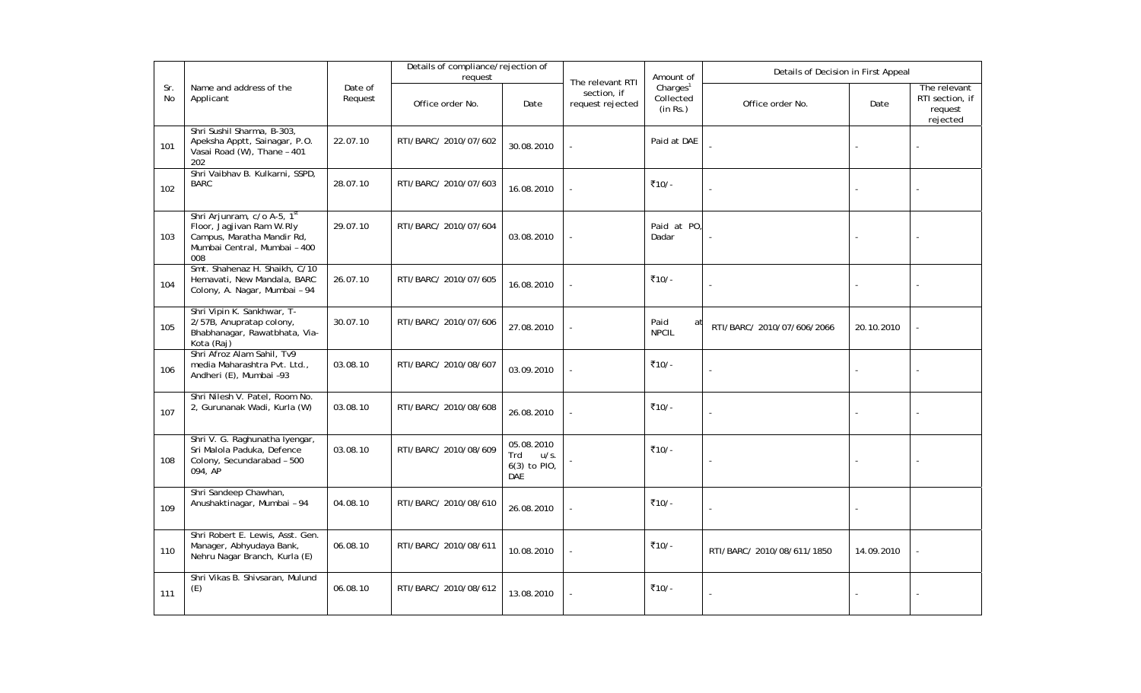|                  |                                                                                                                               |                    | Details of compliance/rejection of<br>request |                                                  |                                                     | Amount of                            | Details of Decision in First Appeal |            |                                                        |
|------------------|-------------------------------------------------------------------------------------------------------------------------------|--------------------|-----------------------------------------------|--------------------------------------------------|-----------------------------------------------------|--------------------------------------|-------------------------------------|------------|--------------------------------------------------------|
| Sr.<br><b>No</b> | Name and address of the<br>Applicant                                                                                          | Date of<br>Request | Office order No.                              | Date                                             | The relevant RTI<br>section, if<br>request rejected | Charges $1$<br>Collected<br>(in Rs.) | Office order No.                    | Date       | The relevant<br>RTI section, if<br>request<br>rejected |
| 101              | Shri Sushil Sharma, B-303,<br>Apeksha Apptt, Sainagar, P.O.<br>Vasai Road (W), Thane - 401<br>202                             | 22.07.10           | RTI/BARC/ 2010/07/602                         | 30.08.2010                                       |                                                     | Paid at DAE                          |                                     |            |                                                        |
| 102              | Shri Vaibhav B. Kulkarni, SSPD,<br><b>BARC</b>                                                                                | 28.07.10           | RTI/BARC/ 2010/07/603                         | 16.08.2010                                       |                                                     | ₹10/-                                |                                     |            |                                                        |
| 103              | Shri Arjunram, c/o A-5, 1st<br>Floor, Jagjivan Ram W.Rly<br>Campus, Maratha Mandir Rd,<br>Mumbai Central, Mumbai - 400<br>008 | 29.07.10           | RTI/BARC/ 2010/07/604                         | 03.08.2010                                       |                                                     | Paid at PO.<br>Dadar                 | ÷,                                  |            |                                                        |
| 104              | Smt. Shahenaz H. Shaikh, C/10<br>Hemavati, New Mandala, BARC<br>Colony, A. Nagar, Mumbai - 94                                 | 26.07.10           | RTI/BARC/ 2010/07/605                         | 16.08.2010                                       |                                                     | ₹10/-                                | ÷,                                  |            |                                                        |
| 105              | Shri Vipin K. Sankhwar, T-<br>2/57B, Anupratap colony,<br>Bhabhanagar, Rawatbhata, Via-<br>Kota (Raj)                         | 30.07.10           | RTI/BARC/ 2010/07/606                         | 27.08.2010                                       |                                                     | Paid<br>at<br><b>NPCIL</b>           | RTI/BARC/ 2010/07/606/2066          | 20.10.2010 |                                                        |
| 106              | Shri Afroz Alam Sahil, Tv9<br>media Maharashtra Pvt. Ltd.,<br>Andheri (E), Mumbai -93                                         | 03.08.10           | RTI/BARC/ 2010/08/607                         | 03.09.2010                                       |                                                     | ₹10/-                                |                                     |            |                                                        |
| 107              | Shri Nilesh V. Patel, Room No.<br>2, Gurunanak Wadi, Kurla (W)                                                                | 03.08.10           | RTI/BARC/ 2010/08/608                         | 26.08.2010                                       |                                                     | ₹10/-                                |                                     |            |                                                        |
| 108              | Shri V. G. Raghunatha Iyengar,<br>Sri Malola Paduka, Defence<br>Colony, Secundarabad - 500<br>094, AP                         | 03.08.10           | RTI/BARC/ 2010/08/609                         | 05.08.2010<br>Trd<br>u/s.<br>6(3) to PIO,<br>DAE |                                                     | ₹10/-                                | $\overline{a}$                      |            |                                                        |
| 109              | Shri Sandeep Chawhan,<br>Anushaktinagar, Mumbai - 94                                                                          | 04.08.10           | RTI/BARC/ 2010/08/610                         | 26.08.2010                                       |                                                     | ₹10/-                                | $\overline{a}$                      |            |                                                        |
| 110              | Shri Robert E. Lewis, Asst. Gen.<br>Manager, Abhyudaya Bank,<br>Nehru Nagar Branch, Kurla (E)                                 | 06.08.10           | RTI/BARC/ 2010/08/611                         | 10.08.2010                                       |                                                     | ₹10/-                                | RTI/BARC/ 2010/08/611/1850          | 14.09.2010 |                                                        |
| 111              | Shri Vikas B. Shivsaran, Mulund<br>(E)                                                                                        | 06.08.10           | RTI/BARC/ 2010/08/612                         | 13.08.2010                                       |                                                     | ₹10/-                                |                                     |            |                                                        |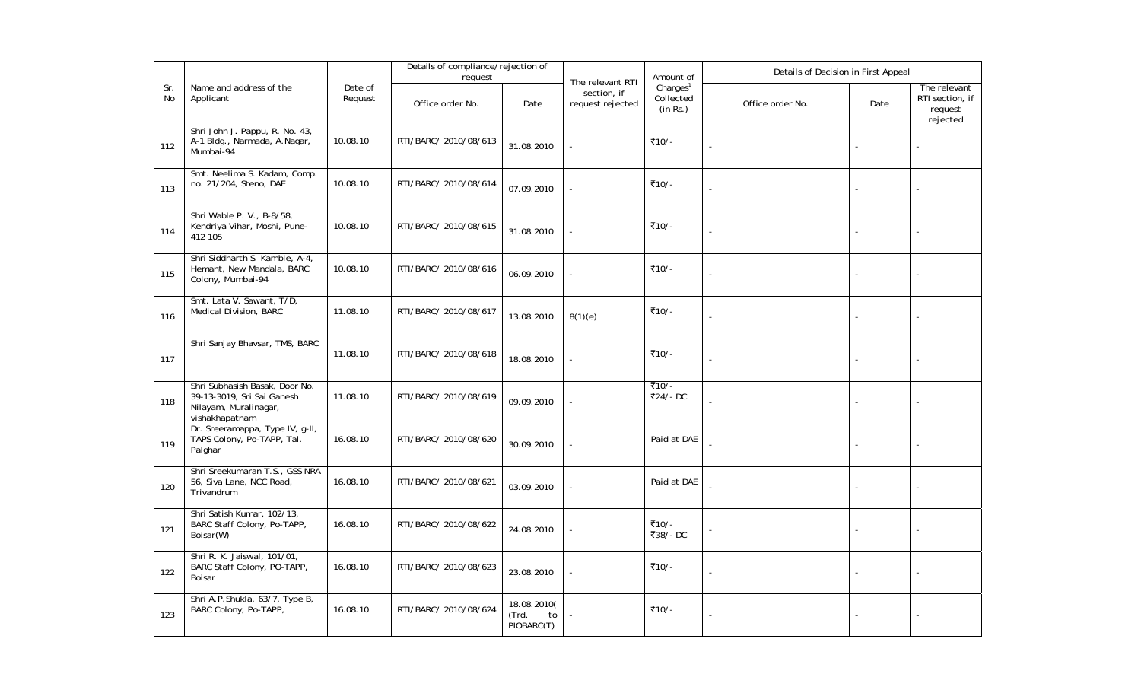|           |                                                                                                         |                    | Details of compliance/rejection of<br>request |                                          |                                                     | Amount of                                     | Details of Decision in First Appeal |        |                                                        |
|-----------|---------------------------------------------------------------------------------------------------------|--------------------|-----------------------------------------------|------------------------------------------|-----------------------------------------------------|-----------------------------------------------|-------------------------------------|--------|--------------------------------------------------------|
| Sr.<br>No | Name and address of the<br>Applicant                                                                    | Date of<br>Request | Office order No.                              | Date                                     | The relevant RTI<br>section, if<br>request rejected | Charles <sup>1</sup><br>Collected<br>(in Rs.) | Office order No.                    | Date   | The relevant<br>RTI section, if<br>request<br>rejected |
| 112       | Shri John J. Pappu, R. No. 43,<br>A-1 Bldg., Narmada, A.Nagar,<br>Mumbai-94                             | 10.08.10           | RTI/BARC/ 2010/08/613                         | 31.08.2010                               |                                                     | ₹10/-                                         |                                     |        |                                                        |
| 113       | Smt. Neelima S. Kadam, Comp.<br>no. 21/204, Steno, DAE                                                  | 10.08.10           | RTI/BARC/ 2010/08/614                         | 07.09.2010                               |                                                     | ₹10/-                                         |                                     |        |                                                        |
| 114       | Shri Wable P. V., B-8/58,<br>Kendriya Vihar, Moshi, Pune-<br>412 105                                    | 10.08.10           | RTI/BARC/ 2010/08/615                         | 31.08.2010                               |                                                     | ₹10/-                                         |                                     |        |                                                        |
| 115       | Shri Siddharth S. Kamble, A-4,<br>Hemant, New Mandala, BARC<br>Colony, Mumbai-94                        | 10.08.10           | RTI/BARC/ 2010/08/616                         | 06.09.2010                               |                                                     | ₹10/-                                         |                                     |        |                                                        |
| 116       | Smt. Lata V. Sawant, T/D,<br>Medical Division, BARC                                                     | 11.08.10           | RTI/BARC/ 2010/08/617                         | 13.08.2010                               | 8(1)(e)                                             | ₹10/-                                         | $\overline{a}$                      |        |                                                        |
| 117       | Shri Sanjay Bhavsar, TMS, BARC                                                                          | 11.08.10           | RTI/BARC/ 2010/08/618                         | 18.08.2010                               |                                                     | ₹10/-                                         |                                     |        |                                                        |
| 118       | Shri Subhasish Basak, Door No.<br>39-13-3019, Sri Sai Ganesh<br>Nilayam, Muralinagar,<br>vishakhapatnam | 11.08.10           | RTI/BARC/ 2010/08/619                         | 09.09.2010                               |                                                     | ₹10/-<br>₹24/-DC                              | $\overline{a}$                      | $\sim$ |                                                        |
| 119       | Dr. Sreeramappa, Type IV, g-II,<br>TAPS Colony, Po-TAPP, Tal.<br>Palghar                                | 16.08.10           | RTI/BARC/ 2010/08/620                         | 30.09.2010                               |                                                     | Paid at DAE                                   |                                     |        |                                                        |
| 120       | Shri Sreekumaran T.S., GSS NRA<br>56, Siva Lane, NCC Road,<br>Trivandrum                                | 16.08.10           | RTI/BARC/ 2010/08/621                         | 03.09.2010                               |                                                     | Paid at DAE                                   |                                     |        |                                                        |
| 121       | Shri Satish Kumar, 102/13,<br>BARC Staff Colony, Po-TAPP,<br>Boisar(W)                                  | 16.08.10           | RTI/BARC/ 2010/08/622                         | 24.08.2010                               |                                                     | ₹10/-<br>₹38/-DC                              |                                     |        |                                                        |
| 122       | Shri R. K. Jaiswal, 101/01,<br>BARC Staff Colony, PO-TAPP,<br>Boisar                                    | 16.08.10           | RTI/BARC/ 2010/08/623                         | 23.08.2010                               |                                                     | ₹10/-                                         |                                     |        |                                                        |
| 123       | Shri A.P.Shukla, 63/7, Type B,<br>BARC Colony, Po-TAPP,                                                 | 16.08.10           | RTI/BARC/ 2010/08/624                         | 18.08.2010(<br>(Trd.<br>to<br>PIOBARC(T) |                                                     | ₹10/-                                         |                                     |        |                                                        |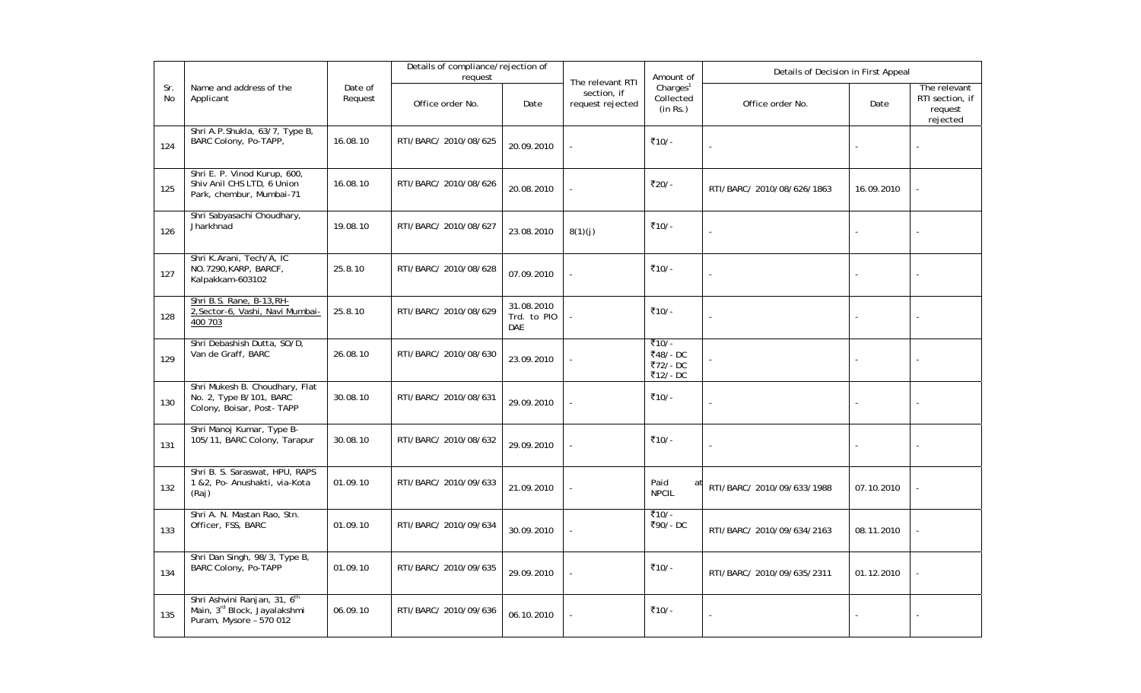|           |                                                                                                     |                    | Details of compliance/rejection of<br>request |                                         |                                                     | Amount of                                     | Details of Decision in First Appeal |            |                                                        |  |
|-----------|-----------------------------------------------------------------------------------------------------|--------------------|-----------------------------------------------|-----------------------------------------|-----------------------------------------------------|-----------------------------------------------|-------------------------------------|------------|--------------------------------------------------------|--|
| Sr.<br>No | Name and address of the<br>Applicant                                                                | Date of<br>Request | Office order No.                              | Date                                    | The relevant RTI<br>section, if<br>request rejected | Charles <sup>1</sup><br>Collected<br>(in Rs.) | Office order No.                    | Date       | The relevant<br>RTI section, if<br>request<br>rejected |  |
| 124       | Shri A.P.Shukla, 63/7, Type B,<br>BARC Colony, Po-TAPP,                                             | 16.08.10           | RTI/BARC/ 2010/08/625                         | 20.09.2010                              |                                                     | ₹10/-                                         |                                     |            |                                                        |  |
| 125       | Shri E. P. Vinod Kurup, 600,<br>Shiv Anil CHS LTD, 6 Union<br>Park, chembur, Mumbai-71              | 16.08.10           | RTI/BARC/ 2010/08/626                         | 20.08.2010                              |                                                     | ₹20/-                                         | RTI/BARC/ 2010/08/626/1863          | 16.09.2010 |                                                        |  |
| 126       | Shri Sabyasachi Choudhary,<br>Jharkhnad                                                             | 19.08.10           | RTI/BARC/ 2010/08/627                         | 23.08.2010                              | 8(1)(j)                                             | ₹10/-                                         |                                     |            |                                                        |  |
| 127       | Shri K.Arani, Tech/A, IC<br>NO.7290, KARP, BARCF,<br>Kalpakkam-603102                               | 25.8.10            | RTI/BARC/ 2010/08/628                         | 07.09.2010                              |                                                     | ₹10/-                                         |                                     |            |                                                        |  |
| 128       | Shri B.S. Rane, B-13, RH-<br>2, Sector-6, Vashi, Navi Mumbai-<br>400 703                            | 25.8.10            | RTI/BARC/ 2010/08/629                         | 31.08.2010<br>Trd. to PIO<br><b>DAE</b> |                                                     | ₹10/-                                         | L,                                  |            |                                                        |  |
| 129       | Shri Debashish Dutta, SO/D,<br>Van de Graff, BARC                                                   | 26.08.10           | RTI/BARC/ 2010/08/630                         | 23.09.2010                              |                                                     | ₹10/-<br>₹48/-DC<br>₹72/-DC<br>₹12/-DC        |                                     |            |                                                        |  |
| 130       | Shri Mukesh B. Choudhary, Flat<br>No. 2, Type B/101, BARC<br>Colony, Boisar, Post-TAPP              | 30.08.10           | RTI/BARC/ 2010/08/631                         | 29.09.2010                              |                                                     | ₹10/-                                         |                                     |            |                                                        |  |
| 131       | Shri Manoj Kumar, Type B-<br>105/11, BARC Colony, Tarapur                                           | 30.08.10           | RTI/BARC/ 2010/08/632                         | 29.09.2010                              |                                                     | ₹10/-                                         |                                     |            |                                                        |  |
| 132       | Shri B. S. Saraswat, HPU, RAPS<br>1 &2, Po- Anushakti, via-Kota<br>(Raj)                            | 01.09.10           | RTI/BARC/ 2010/09/633                         | 21.09.2010                              |                                                     | Paid<br>at<br><b>NPCIL</b>                    | RTI/BARC/ 2010/09/633/1988          | 07.10.2010 |                                                        |  |
| 133       | Shri A. N. Mastan Rao, Stn.<br>Officer, FSS, BARC                                                   | 01.09.10           | RTI/BARC/ 2010/09/634                         | 30.09.2010                              |                                                     | ₹10/-<br>₹90/-DC                              | RTI/BARC/ 2010/09/634/2163          | 08.11.2010 |                                                        |  |
| 134       | Shri Dan Singh, 98/3, Type B,<br><b>BARC Colony, Po-TAPP</b>                                        | 01.09.10           | RTI/BARC/ 2010/09/635                         | 29.09.2010                              |                                                     | ₹10/-                                         | RTI/BARC/ 2010/09/635/2311          | 01.12.2010 |                                                        |  |
| 135       | Shri Ashvini Ranjan, 31, 6 <sup>th</sup><br>Main, 3rd Block, Jayalakshmi<br>Puram, Mysore - 570 012 | 06.09.10           | RTI/BARC/ 2010/09/636                         | 06.10.2010                              |                                                     | ₹10/-                                         |                                     |            |                                                        |  |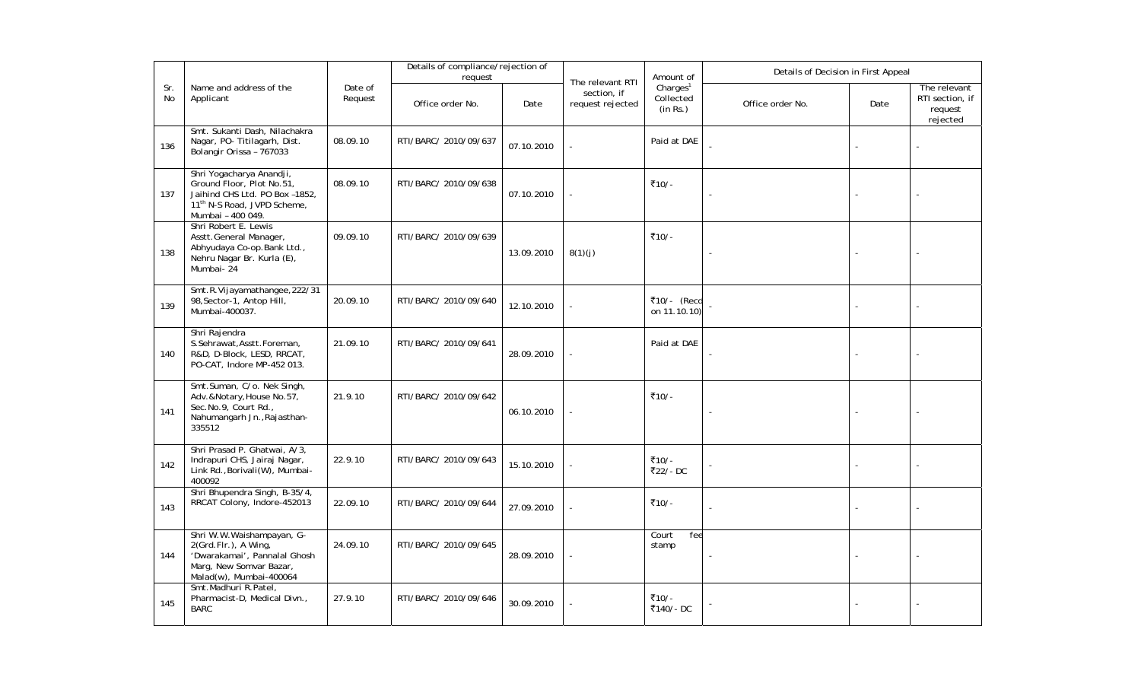|           |                                                                                                                                                         |                    | Details of compliance/rejection of<br>request |            |                                                     | Amount of                                     | Details of Decision in First Appeal |      |                                                        |
|-----------|---------------------------------------------------------------------------------------------------------------------------------------------------------|--------------------|-----------------------------------------------|------------|-----------------------------------------------------|-----------------------------------------------|-------------------------------------|------|--------------------------------------------------------|
| Sr.<br>No | Name and address of the<br>Applicant                                                                                                                    | Date of<br>Request | Office order No.                              | Date       | The relevant RTI<br>section, if<br>request rejected | Charles <sup>1</sup><br>Collected<br>(in Rs.) | Office order No.                    | Date | The relevant<br>RTI section, if<br>request<br>rejected |
| 136       | Smt. Sukanti Dash, Nilachakra<br>Nagar, PO- Titilagarh, Dist.<br>Bolangir Orissa - 767033                                                               | 08.09.10           | RTI/BARC/ 2010/09/637                         | 07.10.2010 |                                                     | Paid at DAE                                   |                                     |      |                                                        |
| 137       | Shri Yogacharya Anandji,<br>Ground Floor, Plot No.51,<br>Jaihind CHS Ltd. PO Box -1852,<br>11 <sup>th</sup> N-S Road, JVPD Scheme,<br>Mumbai - 400 049. | 08.09.10           | RTI/BARC/ 2010/09/638                         | 07.10.2010 |                                                     | ₹10/-                                         |                                     |      |                                                        |
| 138       | Shri Robert E. Lewis<br>Asstt.General Manager,<br>Abhyudaya Co-op.Bank Ltd.,<br>Nehru Nagar Br. Kurla (E),<br>Mumbai-24                                 | 09.09.10           | RTI/BARC/ 2010/09/639                         | 13.09.2010 | 8(1)(j)                                             | ₹10/-                                         | $\blacksquare$                      |      |                                                        |
| 139       | Smt.R.Vijayamathangee, 222/31<br>98, Sector-1, Antop Hill,<br>Mumbai-400037.                                                                            | 20.09.10           | RTI/BARC/ 2010/09/640                         | 12.10.2010 |                                                     | ₹10/- (Recd<br>on 11.10.10)                   |                                     |      |                                                        |
| 140       | Shri Rajendra<br>S.Sehrawat, Asstt.Foreman,<br>R&D, D-Block, LESD, RRCAT,<br>PO-CAT, Indore MP-452 013.                                                 | 21.09.10           | RTI/BARC/ 2010/09/641                         | 28.09.2010 |                                                     | Paid at DAE                                   |                                     |      |                                                        |
| 141       | Smt.Suman, C/o. Nek Singh,<br>Adv.&Notary, House No.57,<br>Sec.No.9, Court Rd.,<br>Nahumangarh Jn., Rajasthan-<br>335512                                | 21.9.10            | RTI/BARC/ 2010/09/642                         | 06.10.2010 |                                                     | ₹10/-                                         | ä,                                  |      |                                                        |
| 142       | Shri Prasad P. Ghatwai, A/3,<br>Indrapuri CHS, Jairaj Nagar,<br>Link Rd., Borivali(W), Mumbai-<br>400092                                                | 22.9.10            | RTI/BARC/ 2010/09/643                         | 15.10.2010 |                                                     | ₹10/-<br>₹22/-DC                              |                                     |      |                                                        |
| 143       | Shri Bhupendra Singh, B-35/4,<br>RRCAT Colony, Indore-452013                                                                                            | 22.09.10           | RTI/BARC/ 2010/09/644                         | 27.09.2010 |                                                     | ₹10/-                                         | L.                                  |      |                                                        |
| 144       | Shri W.W.Waishampayan, G-<br>2(Grd.Flr.), A Wing,<br>'Dwarakamai', Pannalal Ghosh<br>Marg, New Somvar Bazar,<br>Malad(w), Mumbai-400064                 | 24.09.10           | RTI/BARC/ 2010/09/645                         | 28.09.2010 |                                                     | Court<br>fee<br>stamp                         |                                     |      |                                                        |
| 145       | Smt.Madhuri R.Patel,<br>Pharmacist-D, Medical Divn.,<br><b>BARC</b>                                                                                     | 27.9.10            | RTI/BARC/ 2010/09/646                         | 30.09.2010 |                                                     | ₹10/-<br>₹140/-DC                             |                                     |      |                                                        |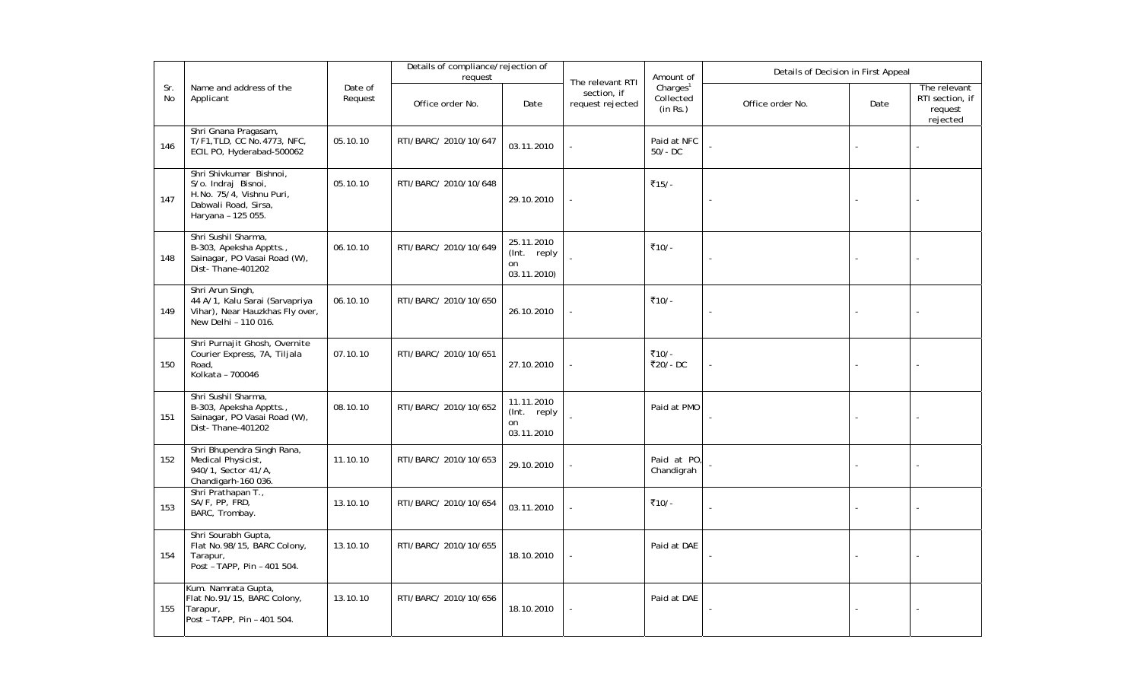|           |                                                                                                                          |                    | Details of compliance/rejection of<br>request |                                                |                                                     | Amount of                                     | Details of Decision in First Appeal |      |                                                        |
|-----------|--------------------------------------------------------------------------------------------------------------------------|--------------------|-----------------------------------------------|------------------------------------------------|-----------------------------------------------------|-----------------------------------------------|-------------------------------------|------|--------------------------------------------------------|
| Sr.<br>No | Name and address of the<br>Applicant                                                                                     | Date of<br>Request | Office order No.                              | Date                                           | The relevant RTI<br>section, if<br>request rejected | Charles <sup>1</sup><br>Collected<br>(in Rs.) | Office order No.                    | Date | The relevant<br>RTI section, if<br>request<br>rejected |
| 146       | Shri Gnana Pragasam,<br>T/F1, TLD, CC No. 4773, NFC,<br>ECIL PO, Hyderabad-500062                                        | 05.10.10           | RTI/BARC/ 2010/10/647                         | 03.11.2010                                     |                                                     | Paid at NFC<br>$50/-$ DC                      |                                     |      |                                                        |
| 147       | Shri Shivkumar Bishnoi,<br>S/o. Indraj Bisnoi,<br>H.No. 75/4, Vishnu Puri,<br>Dabwali Road, Sirsa,<br>Haryana - 125 055. | 05.10.10           | RTI/BARC/ 2010/10/648                         | 29.10.2010                                     |                                                     | ₹15/-                                         | L,                                  |      |                                                        |
| 148       | Shri Sushil Sharma,<br>B-303, Apeksha Apptts.,<br>Sainagar, PO Vasai Road (W),<br>Dist-Thane-401202                      | 06.10.10           | RTI/BARC/ 2010/10/649                         | 25.11.2010<br>(Int. reply<br>on<br>03.11.2010) |                                                     | ₹10/-                                         | J.                                  |      |                                                        |
| 149       | Shri Arun Singh,<br>44 A/1, Kalu Sarai (Sarvapriya<br>Vihar), Near Hauzkhas Fly over,<br>New Delhi - 110 016.            | 06.10.10           | RTI/BARC/ 2010/10/650                         | 26.10.2010                                     |                                                     | ₹10/-                                         | $\sim$                              |      |                                                        |
| 150       | Shri Purnajit Ghosh, Overnite<br>Courier Express, 7A, Tiljala<br>Road,<br>Kolkata - 700046                               | 07.10.10           | RTI/BARC/ 2010/10/651                         | 27.10.2010                                     |                                                     | ₹10/-<br>₹20/-DC                              | ÷,                                  |      |                                                        |
| 151       | Shri Sushil Sharma,<br>B-303, Apeksha Apptts.,<br>Sainagar, PO Vasai Road (W),<br>Dist-Thane-401202                      | 08.10.10           | RTI/BARC/ 2010/10/652                         | 11.11.2010<br>(Int. reply<br>on<br>03.11.2010  |                                                     | Paid at PMO                                   |                                     |      |                                                        |
| 152       | Shri Bhupendra Singh Rana,<br>Medical Physicist,<br>940/1, Sector 41/A,<br>Chandigarh-160 036.                           | 11.10.10           | RTI/BARC/ 2010/10/653                         | 29.10.2010                                     |                                                     | Paid at PO.<br>Chandigrah                     |                                     |      |                                                        |
| 153       | Shri Prathapan T.,<br>SA/F, PP, FRD,<br>BARC, Trombay.                                                                   | 13.10.10           | RTI/BARC/ 2010/10/654                         | 03.11.2010                                     |                                                     | ₹10/-                                         | Ĭ.                                  |      |                                                        |
| 154       | Shri Sourabh Gupta,<br>Flat No.98/15, BARC Colony,<br>Tarapur,<br>Post - TAPP, Pin - 401 504.                            | 13.10.10           | RTI/BARC/ 2010/10/655                         | 18.10.2010                                     |                                                     | Paid at DAE                                   |                                     |      |                                                        |
| 155       | Kum. Namrata Gupta,<br>Flat No.91/15, BARC Colony,<br>Tarapur,<br>Post - TAPP, Pin - 401 504.                            | 13.10.10           | RTI/BARC/ 2010/10/656                         | 18.10.2010                                     |                                                     | Paid at DAE                                   |                                     |      |                                                        |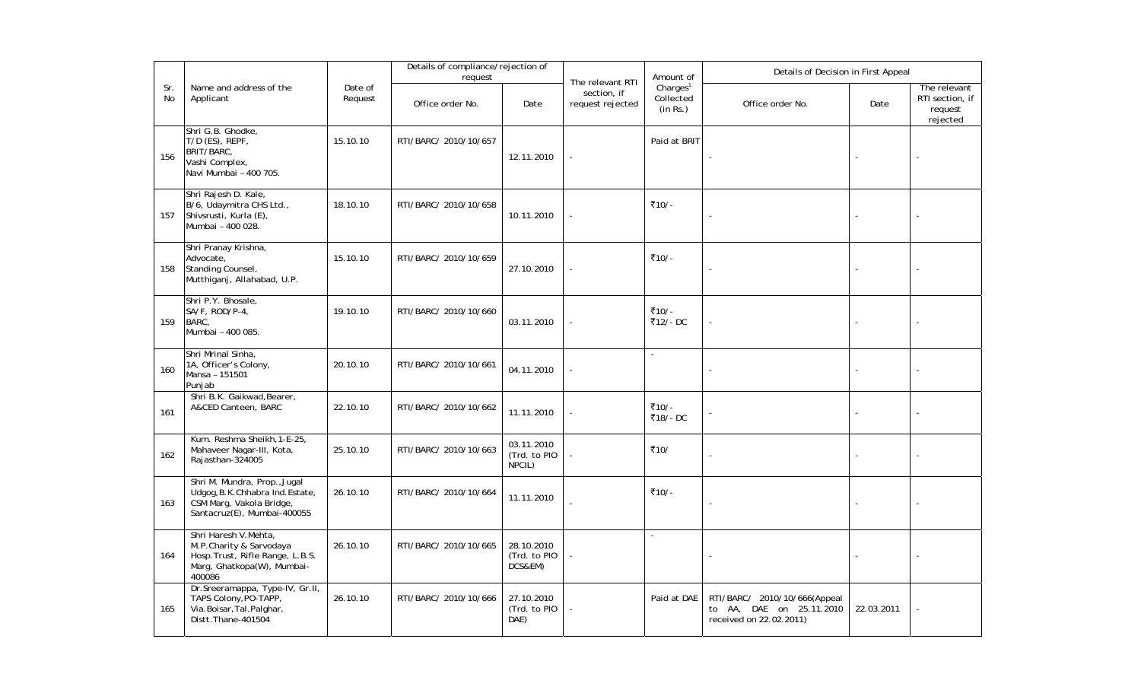|                  |                                                                                                                             |                    | Details of compliance/rejection of<br>request |                                       |                                                     | Amount of                                     | Details of Decision in First Appeal                                                 |            |                                                        |  |
|------------------|-----------------------------------------------------------------------------------------------------------------------------|--------------------|-----------------------------------------------|---------------------------------------|-----------------------------------------------------|-----------------------------------------------|-------------------------------------------------------------------------------------|------------|--------------------------------------------------------|--|
| Sr.<br><b>No</b> | Name and address of the<br>Applicant                                                                                        | Date of<br>Request | Office order No.                              | Date                                  | The relevant RTI<br>section, if<br>request rejected | Charles <sup>1</sup><br>Collected<br>(in Rs.) | Office order No.                                                                    | Date       | The relevant<br>RTI section, if<br>request<br>rejected |  |
| 156              | Shri G.B. Ghodke,<br>T/D (ES), REPF,<br>BRIT/BARC,<br>Vashi Complex,<br>Navi Mumbai - 400 705.                              | 15.10.10           | RTI/BARC/ 2010/10/657                         | 12.11.2010                            |                                                     | Paid at BRIT                                  |                                                                                     |            |                                                        |  |
| 157              | Shri Rajesh D. Kale,<br>B/6, Udaymitra CHS Ltd.,<br>Shivsrusti, Kurla (E),<br>Mumbai - 400 028.                             | 18.10.10           | RTI/BARC/ 2010/10/658                         | 10.11.2010                            |                                                     | ₹10/-                                         | $\sim$                                                                              |            |                                                        |  |
| 158              | Shri Pranay Krishna,<br>Advocate,<br>Standing Counsel,<br>Mutthiganj, Allahabad, U.P.                                       | 15.10.10           | RTI/BARC/ 2010/10/659                         | 27.10.2010                            |                                                     | ₹10/-                                         |                                                                                     |            |                                                        |  |
| 159              | Shri P.Y. Bhosale,<br>SA/F, ROD/P-4,<br>BARC,<br>Mumbai - 400 085.                                                          | 19.10.10           | RTI/BARC/ 2010/10/660                         | 03.11.2010                            |                                                     | ₹10/-<br>₹12/-DC                              |                                                                                     |            |                                                        |  |
| 160              | Shri Mrinal Sinha,<br>1A, Officer's Colony,<br>Mansa - 151501<br>Punjab                                                     | 20.10.10           | RTI/BARC/ 2010/10/661                         | 04.11.2010                            |                                                     | ÷.                                            | ÷,                                                                                  |            |                                                        |  |
| 161              | Shri B.K. Gaikwad, Bearer,<br>A&CED Canteen, BARC                                                                           | 22.10.10           | RTI/BARC/ 2010/10/662                         | 11.11.2010                            |                                                     | ₹10/-<br>₹18/-DC                              |                                                                                     |            |                                                        |  |
| 162              | Kum. Reshma Sheikh, 1-E-25,<br>Mahaveer Nagar-III, Kota,<br>Rajasthan-324005                                                | 25.10.10           | RTI/BARC/ 2010/10/663                         | 03.11.2010<br>(Trd. to PIO<br>NPCIL)  |                                                     | ₹10/                                          | ÷,                                                                                  |            |                                                        |  |
| 163              | Shri M. Mundra, Prop., Jugal<br>Udgog, B.K.Chhabra Ind.Estate,<br>CSM Marg, Vakola Bridge,<br>Santacruz(E), Mumbai-400055   | 26.10.10           | RTI/BARC/ 2010/10/664                         | 11.11.2010                            |                                                     | ₹10/-                                         | ÷,                                                                                  |            |                                                        |  |
| 164              | Shri Haresh V.Mehta,<br>M.P.Charity & Sarvodaya<br>Hosp. Trust, Rifle Range, L.B.S.<br>Marg, Ghatkopa(W), Mumbai-<br>400086 | 26.10.10           | RTI/BARC/ 2010/10/665                         | 28.10.2010<br>(Trd. to PIO<br>DCS&EM) |                                                     |                                               | $\overline{\phantom{a}}$                                                            |            |                                                        |  |
| 165              | Dr.Sreeramappa, Type-IV, Gr.II,<br>TAPS Colony, PO-TAPP,<br>Via.Boisar, Tal.Palghar,<br>Distt. Thane-401504                 | 26.10.10           | RTI/BARC/ 2010/10/666                         | 27.10.2010<br>(Trd. to PIO<br>DAE)    |                                                     | Paid at DAE                                   | RTI/BARC/ 2010/10/666(Appeal<br>to AA, DAE on 25.11.2010<br>received on 22.02.2011) | 22.03.2011 |                                                        |  |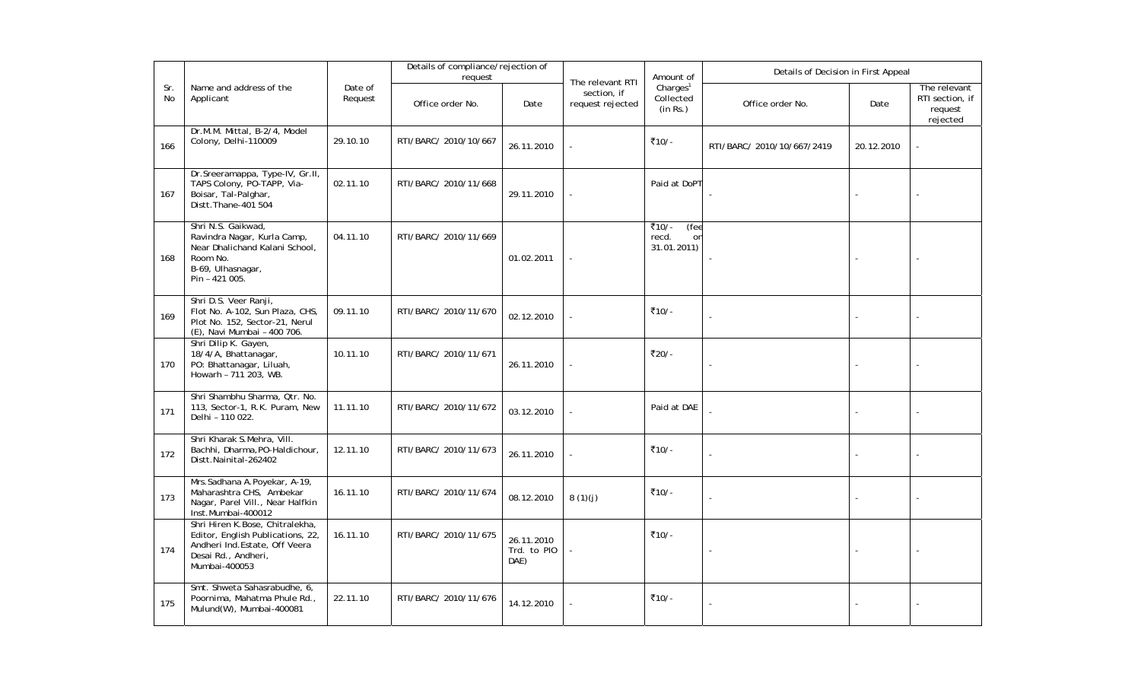|           |                                                                                                                                                |                    | Details of compliance/rejection of<br>request |                                   |                                                     | Amount of                                     | Details of Decision in First Appeal |            |                                                        |  |
|-----------|------------------------------------------------------------------------------------------------------------------------------------------------|--------------------|-----------------------------------------------|-----------------------------------|-----------------------------------------------------|-----------------------------------------------|-------------------------------------|------------|--------------------------------------------------------|--|
| Sr.<br>No | Name and address of the<br>Applicant                                                                                                           | Date of<br>Request | Office order No.                              | Date                              | The relevant RTI<br>section, if<br>request rejected | Charles <sup>1</sup><br>Collected<br>(in Rs.) | Office order No.                    | Date       | The relevant<br>RTI section, if<br>request<br>rejected |  |
| 166       | Dr.M.M. Mittal, B-2/4, Model<br>Colony, Delhi-110009                                                                                           | 29.10.10           | RTI/BARC/ 2010/10/667                         | 26.11.2010                        |                                                     | ₹10/-                                         | RTI/BARC/ 2010/10/667/2419          | 20.12.2010 |                                                        |  |
| 167       | Dr.Sreeramappa, Type-IV, Gr.II,<br>TAPS Colony, PO-TAPP, Via-<br>Boisar, Tal-Palghar,<br>Distt. Thane-401 504                                  | 02.11.10           | RTI/BARC/ 2010/11/668                         | 29.11.2010                        |                                                     | Paid at DoPT                                  |                                     |            |                                                        |  |
| 168       | Shri N.S. Gaikwad,<br>Ravindra Nagar, Kurla Camp,<br>Near Dhalichand Kalani School,<br>Room No.<br>B-69, Ulhasnagar,<br>Pin - 421 005.         | 04.11.10           | RTI/BARC/ 2010/11/669                         | 01.02.2011                        |                                                     | ₹10/-<br>(fee<br>recd.<br>on<br>31.01.2011)   |                                     |            |                                                        |  |
| 169       | Shri D.S. Veer Ranji,<br>Flot No. A-102, Sun Plaza, CHS,<br>Plot No. 152, Sector-21, Nerul<br>(E), Navi Mumbai - 400 706.                      | 09.11.10           | RTI/BARC/ 2010/11/670                         | 02.12.2010                        |                                                     | ₹10/-                                         |                                     |            |                                                        |  |
| 170       | Shri Dilip K. Gayen,<br>18/4/A, Bhattanagar,<br>PO: Bhattanagar, Liluah,<br>Howarh - 711 203, WB.                                              | 10.11.10           | RTI/BARC/ 2010/11/671                         | 26.11.2010                        |                                                     | ₹20/-                                         | $\sim$                              |            |                                                        |  |
| 171       | Shri Shambhu Sharma, Qtr. No.<br>113, Sector-1, R.K. Puram, New<br>Delhi - 110 022.                                                            | 11.11.10           | RTI/BARC/ 2010/11/672                         | 03.12.2010                        |                                                     | Paid at DAE                                   |                                     |            |                                                        |  |
| 172       | Shri Kharak S.Mehra, Vill.<br>Bachhi, Dharma, PO-Haldichour,<br>Distt.Nainital-262402                                                          | 12.11.10           | RTI/BARC/ 2010/11/673                         | 26.11.2010                        |                                                     | ₹10/-                                         | $\overline{a}$                      |            |                                                        |  |
| 173       | Mrs.Sadhana A.Poyekar, A-19,<br>Maharashtra CHS, Ambekar<br>Nagar, Parel Vill., Near Halfkin<br>Inst.Mumbai-400012                             | 16.11.10           | RTI/BARC/ 2010/11/674                         | 08.12.2010                        | 8(1)(j)                                             | ₹10/-                                         |                                     |            |                                                        |  |
| 174       | Shri Hiren K.Bose, Chitralekha,<br>Editor, English Publications, 22,<br>Andheri Ind. Estate, Off Veera<br>Desai Rd., Andheri,<br>Mumbai-400053 | 16.11.10           | RTI/BARC/ 2010/11/675                         | 26.11.2010<br>Trd. to PIO<br>DAE) | ÷,                                                  | ₹10/-                                         |                                     |            |                                                        |  |
| 175       | Smt. Shweta Sahasrabudhe, 6,<br>Poornima, Mahatma Phule Rd.,<br>Mulund(W), Mumbai-400081                                                       | 22.11.10           | RTI/BARC/ 2010/11/676                         | 14.12.2010                        |                                                     | ₹10/-                                         |                                     |            |                                                        |  |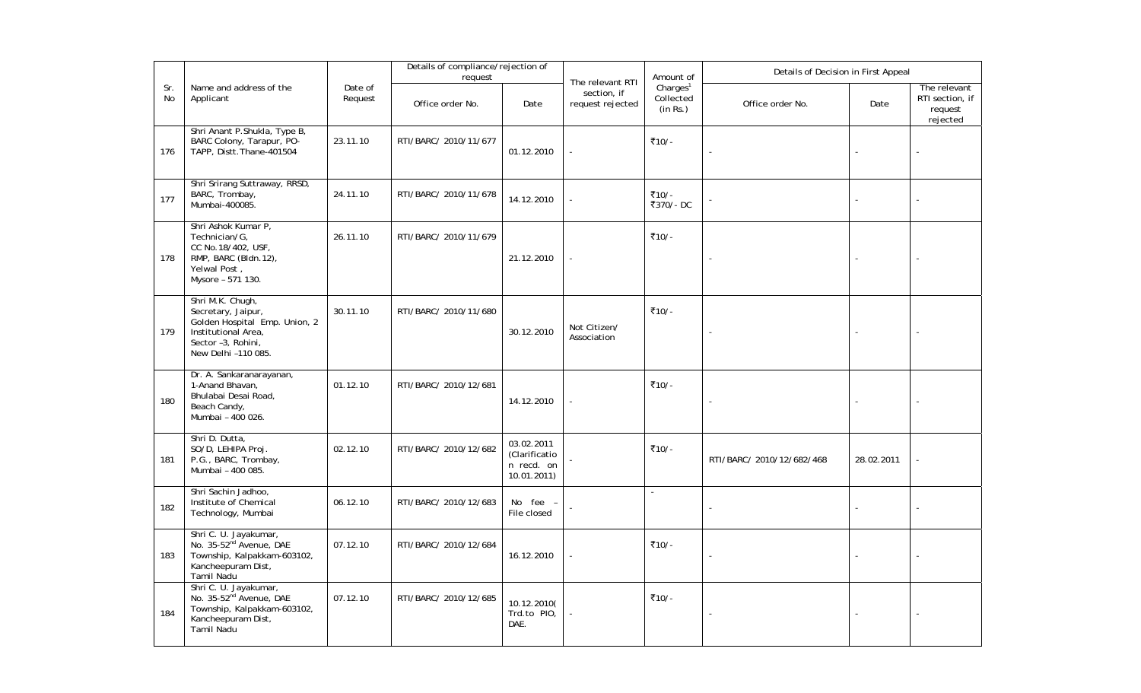|           |                                                                                                                                             |                    | Details of compliance/rejection of<br>request |                                                          |                                                     | Amount of                                     | Details of Decision in First Appeal |            |                                                        |
|-----------|---------------------------------------------------------------------------------------------------------------------------------------------|--------------------|-----------------------------------------------|----------------------------------------------------------|-----------------------------------------------------|-----------------------------------------------|-------------------------------------|------------|--------------------------------------------------------|
| Sr.<br>No | Name and address of the<br>Applicant                                                                                                        | Date of<br>Request | Office order No.                              | Date                                                     | The relevant RTI<br>section, if<br>request rejected | Charles <sup>1</sup><br>Collected<br>(in Rs.) | Office order No.                    | Date       | The relevant<br>RTI section, if<br>request<br>rejected |
| 176       | Shri Anant P. Shukla, Type B,<br>BARC Colony, Tarapur, PO-<br>TAPP, Distt. Thane-401504                                                     | 23.11.10           | RTI/BARC/ 2010/11/677                         | 01.12.2010                                               |                                                     | ₹10/-                                         |                                     |            |                                                        |
| 177       | Shri Srirang Suttraway, RRSD,<br>BARC, Trombay,<br>Mumbai-400085.                                                                           | 24.11.10           | RTI/BARC/ 2010/11/678                         | 14.12.2010                                               |                                                     | ₹10/-<br>₹370/-DC                             |                                     |            |                                                        |
| 178       | Shri Ashok Kumar P,<br>Technician/G,<br>CC No.18/402, USF,<br>RMP, BARC (Bldn.12),<br>Yelwal Post,<br>Mysore - 571 130.                     | 26.11.10           | RTI/BARC/ 2010/11/679                         | 21.12.2010                                               |                                                     | ₹10/-                                         |                                     |            |                                                        |
| 179       | Shri M.K. Chugh,<br>Secretary, Jaipur,<br>Golden Hospital Emp. Union, 2<br>Institutional Area,<br>Sector -3, Rohini,<br>New Delhi -110 085. | 30.11.10           | RTI/BARC/ 2010/11/680                         | 30.12.2010                                               | Not Citizen/<br>Association                         | ₹10/-                                         |                                     |            |                                                        |
| 180       | Dr. A. Sankaranarayanan,<br>1-Anand Bhavan,<br>Bhulabai Desai Road,<br>Beach Candy,<br>Mumbai - 400 026.                                    | 01.12.10           | RTI/BARC/ 2010/12/681                         | 14.12.2010                                               |                                                     | ₹10/-                                         | $\sim$                              |            |                                                        |
| 181       | Shri D. Dutta,<br>SO/D, LEHIPA Proj.<br>P.G., BARC, Trombay,<br>Mumbai - 400 085.                                                           | 02.12.10           | RTI/BARC/ 2010/12/682                         | 03.02.2011<br>(Clarificatio<br>n recd. on<br>10.01.2011) |                                                     | ₹10/-                                         | RTI/BARC/ 2010/12/682/468           | 28.02.2011 |                                                        |
| 182       | Shri Sachin Jadhoo,<br>Institute of Chemical<br>Technology, Mumbai                                                                          | 06.12.10           | RTI/BARC/ 2010/12/683                         | No fee -<br>File closed                                  |                                                     | $\sim$                                        | $\sim$                              |            |                                                        |
| 183       | Shri C. U. Jayakumar,<br>No. 35-52 <sup>nd</sup> Avenue, DAE<br>Township, Kalpakkam-603102,<br>Kancheepuram Dist,<br>Tamil Nadu             | 07.12.10           | RTI/BARC/ 2010/12/684                         | 16.12.2010                                               |                                                     | ₹10/-                                         | ÷,                                  |            |                                                        |
| 184       | Shri C. U. Jayakumar,<br>No. 35-52 <sup>nd</sup> Avenue, DAE<br>Township, Kalpakkam-603102,<br>Kancheepuram Dist,<br>Tamil Nadu             | 07.12.10           | RTI/BARC/ 2010/12/685                         | 10.12.2010(<br>Trd.to PIO,<br>DAE.                       |                                                     | ₹10/-                                         |                                     |            |                                                        |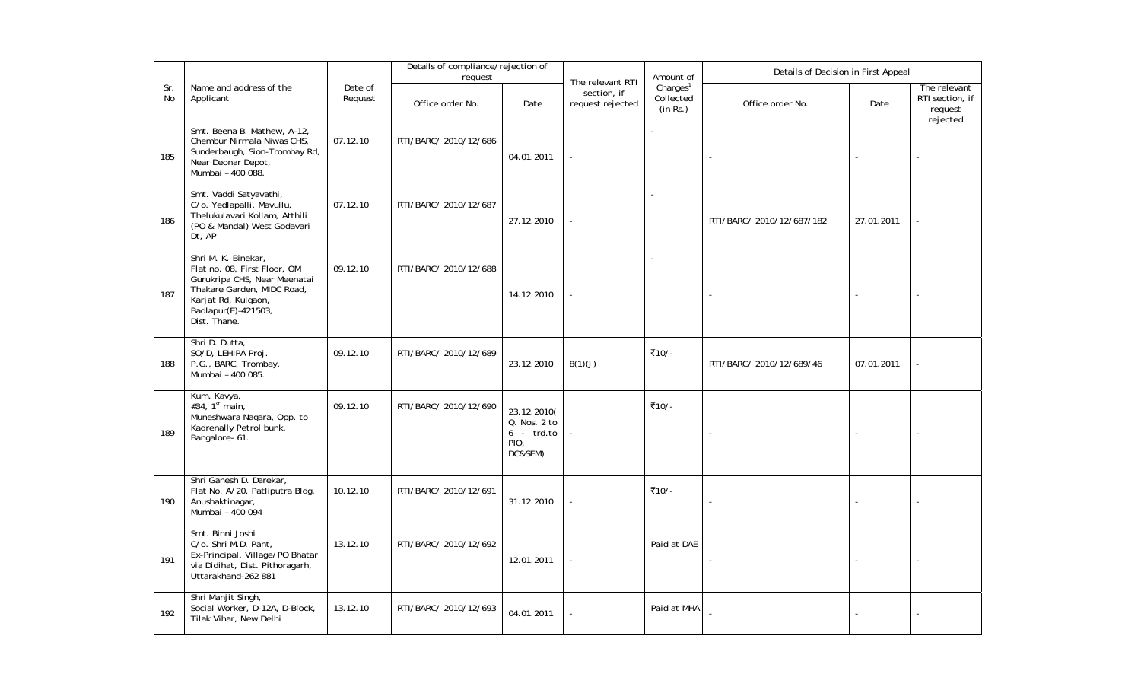|           |                                                                                                                                                                                 |                    | Details of compliance/rejection of<br>request |                                                                |                                                     | Amount of                                     | Details of Decision in First Appeal |            |                                                        |
|-----------|---------------------------------------------------------------------------------------------------------------------------------------------------------------------------------|--------------------|-----------------------------------------------|----------------------------------------------------------------|-----------------------------------------------------|-----------------------------------------------|-------------------------------------|------------|--------------------------------------------------------|
| Sr.<br>No | Name and address of the<br>Applicant                                                                                                                                            | Date of<br>Request | Office order No.                              | Date                                                           | The relevant RTI<br>section, if<br>request rejected | Charles <sup>1</sup><br>Collected<br>(in Rs.) | Office order No.                    | Date       | The relevant<br>RTI section, if<br>request<br>rejected |
| 185       | Smt. Beena B. Mathew, A-12,<br>Chembur Nirmala Niwas CHS,<br>Sunderbaugh, Sion-Trombay Rd,<br>Near Deonar Depot,<br>Mumbai - 400 088.                                           | 07.12.10           | RTI/BARC/ 2010/12/686                         | 04.01.2011                                                     |                                                     |                                               |                                     |            |                                                        |
| 186       | Smt. Vaddi Satyavathi,<br>C/o. Yedlapalli, Mavullu,<br>Thelukulavari Kollam, Atthili<br>(PO & Mandal) West Godavari<br>Dt, AP                                                   | 07.12.10           | RTI/BARC/ 2010/12/687                         | 27.12.2010                                                     |                                                     | $\sim$                                        | RTI/BARC/ 2010/12/687/182           | 27.01.2011 |                                                        |
| 187       | Shri M. K. Binekar,<br>Flat no. 08, First Floor, OM<br>Gurukripa CHS, Near Meenatai<br>Thakare Garden, MIDC Road,<br>Karjat Rd, Kulgaon,<br>Badlapur(E)-421503,<br>Dist. Thane. | 09.12.10           | RTI/BARC/ 2010/12/688                         | 14.12.2010                                                     |                                                     | $\sim$                                        |                                     |            |                                                        |
| 188       | Shri D. Dutta,<br>SO/D, LEHIPA Proj.<br>P.G., BARC, Trombay,<br>Mumbai - 400 085.                                                                                               | 09.12.10           | RTI/BARC/ 2010/12/689                         | 23.12.2010                                                     | 8(1)(J)                                             | ₹10/-                                         | RTI/BARC/ 2010/12/689/46            | 07.01.2011 |                                                        |
| 189       | Kum. Kavya,<br>#34, $1^{st}$ main,<br>Muneshwara Nagara, Opp. to<br>Kadrenally Petrol bunk,<br>Bangalore- 61.                                                                   | 09.12.10           | RTI/BARC/ 2010/12/690                         | 23.12.2010(<br>Q. Nos. 2 to<br>$6 - trd.to$<br>PIO,<br>DC&SEM) |                                                     | ₹10/-                                         |                                     |            |                                                        |
| 190       | Shri Ganesh D. Darekar,<br>Flat No. A/20, Patliputra Bldg,<br>Anushaktinagar,<br>Mumbai - 400 094                                                                               | 10.12.10           | RTI/BARC/ 2010/12/691                         | 31.12.2010                                                     |                                                     | ₹10/-                                         |                                     |            |                                                        |
| 191       | Smt. Binni Joshi<br>C/o. Shri M.D. Pant,<br>Ex-Principal, Village/PO Bhatar<br>via Didihat, Dist. Pithoragarh,<br>Uttarakhand-262 881                                           | 13.12.10           | RTI/BARC/ 2010/12/692                         | 12.01.2011                                                     |                                                     | Paid at DAE                                   |                                     |            |                                                        |
| 192       | Shri Manjit Singh,<br>Social Worker, D-12A, D-Block,<br>Tilak Vihar, New Delhi                                                                                                  | 13.12.10           | RTI/BARC/ 2010/12/693                         | 04.01.2011                                                     |                                                     | Paid at MHA                                   |                                     |            |                                                        |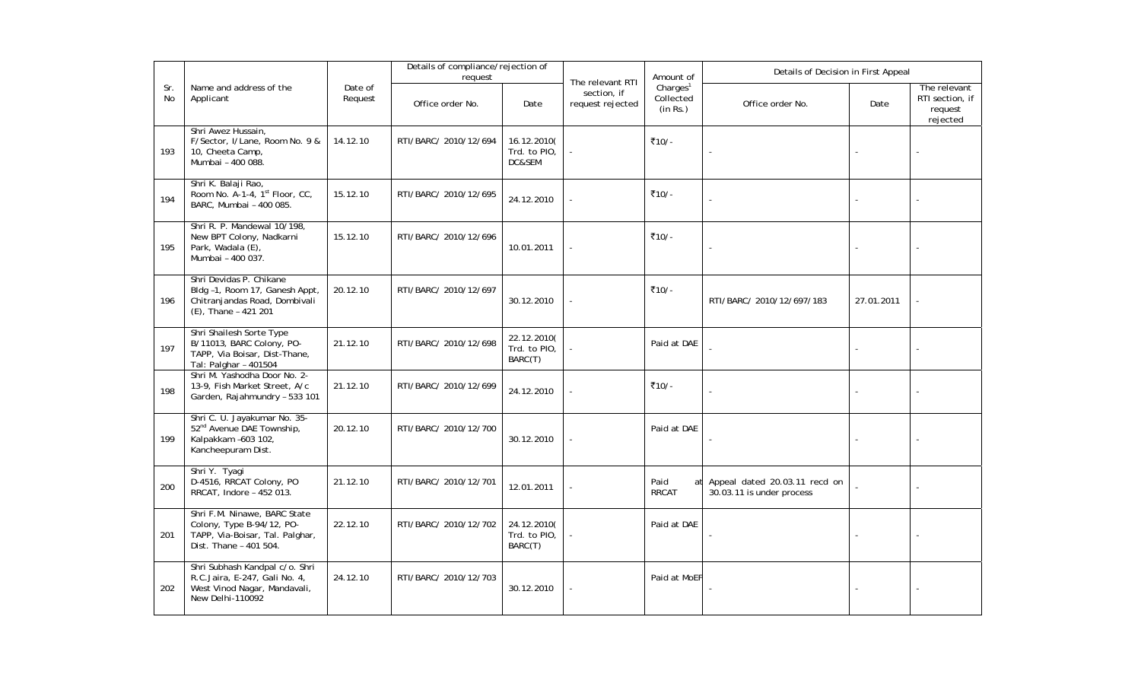|                  |                                                                                                                        |                    | Details of compliance/rejection of<br>request |                                        |                                                     | Amount of                                     | Details of Decision in First Appeal                        |            |                                                        |  |
|------------------|------------------------------------------------------------------------------------------------------------------------|--------------------|-----------------------------------------------|----------------------------------------|-----------------------------------------------------|-----------------------------------------------|------------------------------------------------------------|------------|--------------------------------------------------------|--|
| Sr.<br><b>No</b> | Name and address of the<br>Applicant                                                                                   | Date of<br>Request | Office order No.                              | Date                                   | The relevant RTI<br>section, if<br>request rejected | Charles <sup>1</sup><br>Collected<br>(in Rs.) | Office order No.                                           | Date       | The relevant<br>RTI section, if<br>request<br>rejected |  |
| 193              | Shri Awez Hussain,<br>F/Sector, I/Lane, Room No. 9 &<br>10, Cheeta Camp,<br>Mumbai - 400 088.                          | 14.12.10           | RTI/BARC/ 2010/12/694                         | 16.12.2010(<br>Trd. to PIO.<br>DC&SEM  |                                                     | ₹10/-                                         | $\overline{\phantom{a}}$                                   |            |                                                        |  |
| 194              | Shri K. Balaji Rao,<br>Room No. A-1-4, 1 <sup>st</sup> Floor, CC,<br>BARC, Mumbai - 400 085.                           | 15.12.10           | RTI/BARC/ 2010/12/695                         | 24.12.2010                             |                                                     | ₹10/-                                         |                                                            |            |                                                        |  |
| 195              | Shri R. P. Mandewal 10/198,<br>New BPT Colony, Nadkarni<br>Park, Wadala (E),<br>Mumbai - 400 037.                      | 15.12.10           | RTI/BARC/ 2010/12/696                         | 10.01.2011                             |                                                     | ₹10/-                                         | $\blacksquare$                                             |            |                                                        |  |
| 196              | Shri Devidas P. Chikane<br>Bldg -1, Room 17, Ganesh Appt,<br>Chitranjandas Road, Dombivali<br>(E), Thane - 421 201     | 20.12.10           | RTI/BARC/ 2010/12/697                         | 30.12.2010                             |                                                     | ₹10/-                                         | RTI/BARC/ 2010/12/697/183                                  | 27.01.2011 |                                                        |  |
| 197              | Shri Shailesh Sorte Type<br>B/11013, BARC Colony, PO-<br>TAPP, Via Boisar, Dist-Thane,<br>Tal: Palghar - 401504        | 21.12.10           | RTI/BARC/ 2010/12/698                         | 22.12.2010(<br>Trd. to PIO,<br>BARC(T) |                                                     | Paid at DAE                                   |                                                            |            |                                                        |  |
| 198              | Shri M. Yashodha Door No. 2-<br>13-9, Fish Market Street, A/c<br>Garden, Rajahmundry - 533 101                         | 21.12.10           | RTI/BARC/ 2010/12/699                         | 24.12.2010                             |                                                     | ₹10/-                                         |                                                            |            |                                                        |  |
| 199              | Shri C. U. Jayakumar No. 35-<br>52 <sup>nd</sup> Avenue DAE Township,<br>Kalpakkam -603 102,<br>Kancheepuram Dist.     | 20.12.10           | RTI/BARC/ 2010/12/700                         | 30.12.2010                             |                                                     | Paid at DAE                                   |                                                            |            |                                                        |  |
| 200              | Shri Y. Tyagi<br>D-4516, RRCAT Colony, PO<br>RRCAT, Indore - 452 013.                                                  | 21.12.10           | RTI/BARC/ 2010/12/701                         | 12.01.2011                             |                                                     | Paid<br>at<br><b>RRCAT</b>                    | Appeal dated 20.03.11 recd on<br>30.03.11 is under process |            |                                                        |  |
| 201              | Shri F.M. Ninawe, BARC State<br>Colony, Type B-94/12, PO-<br>TAPP, Via-Boisar, Tal. Palghar,<br>Dist. Thane - 401 504. | 22.12.10           | RTI/BARC/ 2010/12/702                         | 24.12.2010(<br>Trd. to PIO,<br>BARC(T) |                                                     | Paid at DAE                                   | ÷,                                                         |            |                                                        |  |
| 202              | Shri Subhash Kandpal c/o. Shri<br>R.C.Jaira, E-247, Gali No. 4,<br>West Vinod Nagar, Mandavali,<br>New Delhi-110092    | 24.12.10           | RTI/BARC/ 2010/12/703                         | 30.12.2010                             |                                                     | Paid at MoEF                                  |                                                            |            |                                                        |  |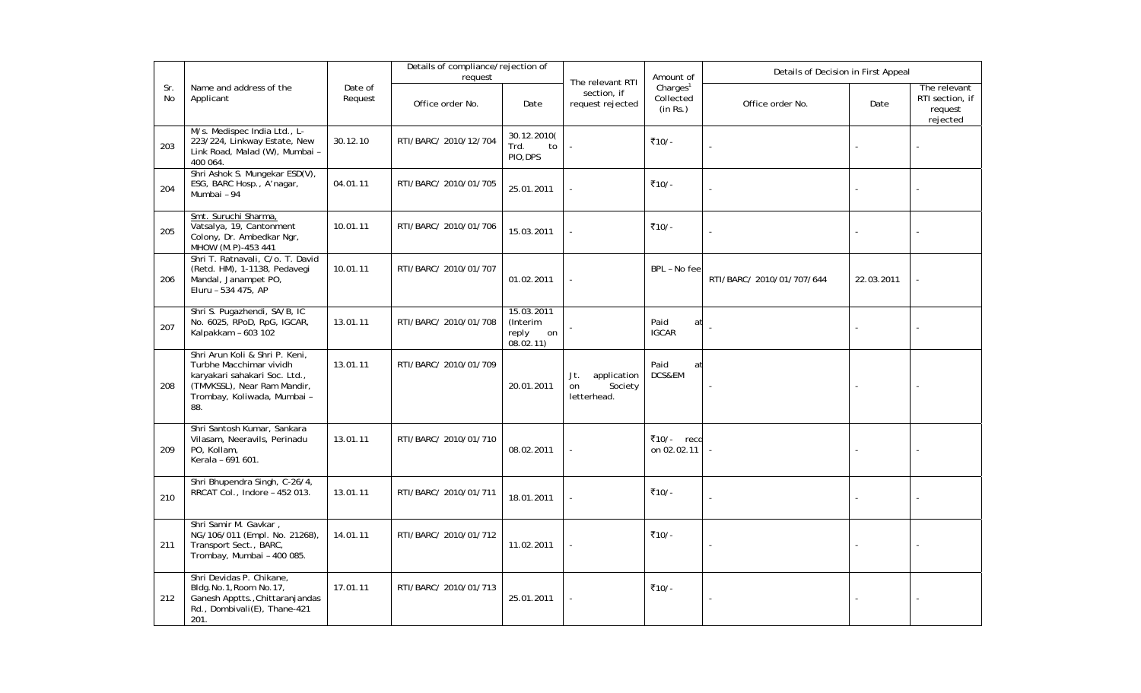|           |                                                                                                                                                                 |                    | Details of compliance/rejection of<br>request |                                                    |                                                     | Amount of                                     | Details of Decision in First Appeal |            |                                                        |  |
|-----------|-----------------------------------------------------------------------------------------------------------------------------------------------------------------|--------------------|-----------------------------------------------|----------------------------------------------------|-----------------------------------------------------|-----------------------------------------------|-------------------------------------|------------|--------------------------------------------------------|--|
| Sr.<br>No | Name and address of the<br>Applicant                                                                                                                            | Date of<br>Request | Office order No.                              | Date                                               | The relevant RTI<br>section, if<br>request rejected | Charles <sup>1</sup><br>Collected<br>(in Rs.) | Office order No.                    | Date       | The relevant<br>RTI section, if<br>request<br>rejected |  |
| 203       | M/s. Medispec India Ltd., L-<br>223/224, Linkway Estate, New<br>Link Road, Malad (W), Mumbai -<br>400 064.                                                      | 30.12.10           | RTI/BARC/ 2010/12/704                         | 30.12.2010(<br>Trd.<br>to<br>PIO, DPS              |                                                     | ₹10/-                                         |                                     |            |                                                        |  |
| 204       | Shri Ashok S. Mungekar ESD(V),<br>ESG, BARC Hosp., A'nagar,<br>Mumbai - 94                                                                                      | 04.01.11           | RTI/BARC/ 2010/01/705                         | 25.01.2011                                         |                                                     | ₹10/-                                         |                                     |            |                                                        |  |
| 205       | Smt. Suruchi Sharma,<br>Vatsalya, 19, Cantonment<br>Colony, Dr. Ambedkar Ngr,<br>MHOW (M.P)-453 441                                                             | 10.01.11           | RTI/BARC/ 2010/01/706                         | 15.03.2011                                         |                                                     | ₹10/-                                         | L.                                  |            |                                                        |  |
| 206       | Shri T. Ratnavali, C/o. T. David<br>(Retd. HM), 1-1138, Pedavegi<br>Mandal, Janampet PO,<br>Eluru - 534 475, AP                                                 | 10.01.11           | RTI/BARC/ 2010/01/707                         | 01.02.2011                                         |                                                     | BPL - No fee                                  | RTI/BARC/ 2010/01/707/644           | 22.03.2011 |                                                        |  |
| 207       | Shri S. Pugazhendi, SA/B, IC<br>No. 6025, RPoD, RpG, IGCAR,<br>Kalpakkam - 603 102                                                                              | 13.01.11           | RTI/BARC/ 2010/01/708                         | 15.03.2011<br>(Interim<br>reply<br>on<br>08.02.11) |                                                     | Paid<br>at<br><b>IGCAR</b>                    |                                     |            |                                                        |  |
| 208       | Shri Arun Koli & Shri P. Keni,<br>Turbhe Macchimar vividh<br>karyakari sahakari Soc. Ltd.,<br>(TMVKSSL), Near Ram Mandir,<br>Trombay, Koliwada, Mumbai -<br>88. | 13.01.11           | RTI/BARC/ 2010/01/709                         | 20.01.2011                                         | Jt.<br>application<br>Society<br>on<br>letterhead.  | Paid<br>at<br>DCS&EM                          |                                     |            |                                                        |  |
| 209       | Shri Santosh Kumar, Sankara<br>Vilasam, Neeravils, Perinadu<br>PO, Kollam,<br>Kerala - 691 601.                                                                 | 13.01.11           | RTI/BARC/ 2010/01/710                         | 08.02.2011                                         |                                                     | ₹10/- recd<br>on 02.02.11                     |                                     |            |                                                        |  |
| 210       | Shri Bhupendra Singh, C-26/4,<br>RRCAT Col., Indore - 452 013.                                                                                                  | 13.01.11           | RTI/BARC/ 2010/01/711                         | 18.01.2011                                         |                                                     | ₹10/-                                         |                                     |            |                                                        |  |
| 211       | Shri Samir M. Gavkar,<br>NG/106/011 (Empl. No. 21268),<br>Transport Sect., BARC,<br>Trombay, Mumbai - 400 085.                                                  | 14.01.11           | RTI/BARC/ 2010/01/712                         | 11.02.2011                                         |                                                     | ₹10/-                                         |                                     |            |                                                        |  |
| 212       | Shri Devidas P. Chikane,<br>Bldg.No.1, Room No.17,<br>Ganesh Apptts., Chittaranjandas<br>Rd., Dombivali(E), Thane-421<br>201.                                   | 17.01.11           | RTI/BARC/ 2010/01/713                         | 25.01.2011                                         |                                                     | ₹10/-                                         | ÷,                                  |            |                                                        |  |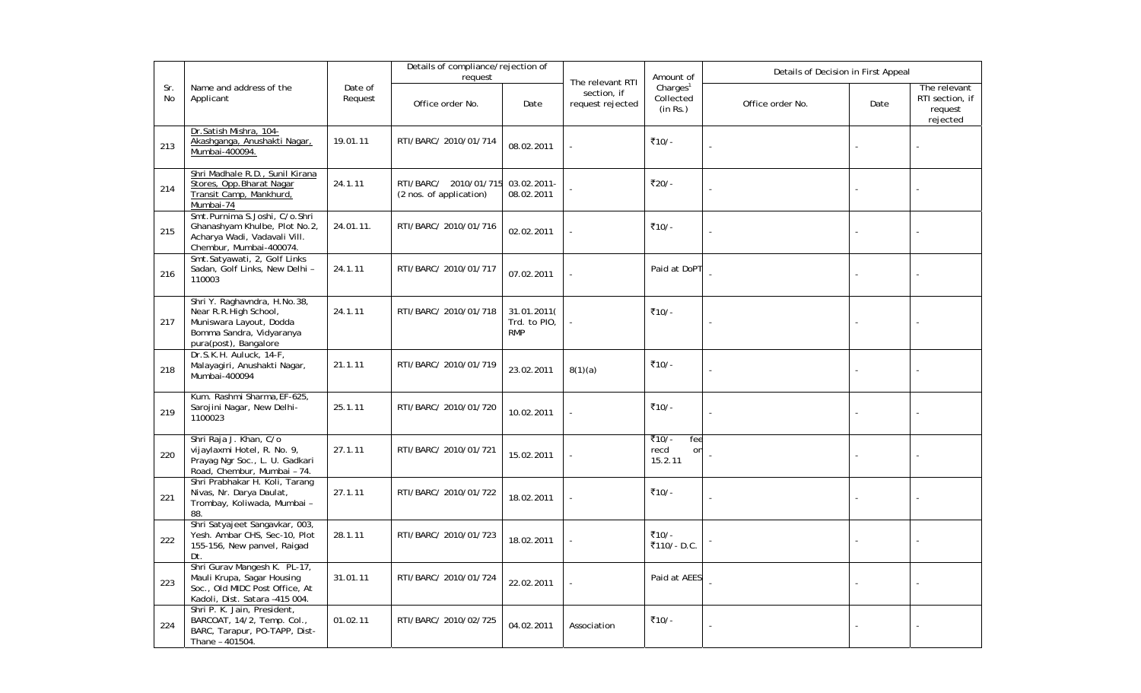|           |                                                                                                                                       | Details of compliance/rejection of<br>request |                                                  |                                           |                                                     | Amount of                                     | Details of Decision in First Appeal |      |                                                        |  |
|-----------|---------------------------------------------------------------------------------------------------------------------------------------|-----------------------------------------------|--------------------------------------------------|-------------------------------------------|-----------------------------------------------------|-----------------------------------------------|-------------------------------------|------|--------------------------------------------------------|--|
| Sr.<br>No | Name and address of the<br>Applicant                                                                                                  | Date of<br>Request                            | Office order No.                                 | Date                                      | The relevant RTI<br>section, if<br>request rejected | Charles <sup>1</sup><br>Collected<br>(in Rs.) | Office order No.                    | Date | The relevant<br>RTI section, if<br>request<br>rejected |  |
| 213       | Dr.Satish Mishra, 104-<br>Akashganga, Anushakti Nagar,<br>Mumbai-400094.                                                              | 19.01.11                                      | RTI/BARC/ 2010/01/714                            | 08.02.2011                                |                                                     | ₹10/-                                         |                                     |      |                                                        |  |
| 214       | Shri Madhale R.D., Sunil Kirana<br>Stores, Opp. Bharat Nagar<br>Transit Camp, Mankhurd,<br>Mumbai-74                                  | 24.1.11                                       | RTI/BARC/ 2010/01/715<br>(2 nos. of application) | 03.02.2011-<br>08.02.2011                 |                                                     | ₹20⁄-                                         | ÷,                                  |      |                                                        |  |
| 215       | Smt.Purnima S.Joshi, C/o.Shri<br>Ghanashyam Khulbe, Plot No.2,<br>Acharya Wadi, Vadavali Vill.<br>Chembur, Mumbai-400074.             | 24.01.11.                                     | RTI/BARC/ 2010/01/716                            | 02.02.2011                                |                                                     | ₹10/-                                         |                                     |      |                                                        |  |
| 216       | Smt.Satyawati, 2, Golf Links<br>Sadan, Golf Links, New Delhi -<br>110003                                                              | 24.1.11                                       | RTI/BARC/ 2010/01/717                            | 07.02.2011                                |                                                     | Paid at DoPT                                  |                                     |      |                                                        |  |
| 217       | Shri Y. Raghavndra, H.No.38,<br>Near R.R.High School,<br>Muniswara Layout, Dodda<br>Bomma Sandra, Vidyaranya<br>pura(post), Bangalore | 24.1.11                                       | RTI/BARC/ 2010/01/718                            | 31.01.2011(<br>Trd. to PIO,<br><b>RMP</b> |                                                     | ₹10/-                                         |                                     |      |                                                        |  |
| 218       | Dr.S.K.H. Auluck, 14-F,<br>Malayagiri, Anushakti Nagar,<br>Mumbai-400094                                                              | 21.1.11                                       | RTI/BARC/ 2010/01/719                            | 23.02.2011                                | 8(1)(a)                                             | ₹10/-                                         | ÷,                                  |      |                                                        |  |
| 219       | Kum. Rashmi Sharma, EF-625,<br>Sarojini Nagar, New Delhi-<br>1100023                                                                  | 25.1.11                                       | RTI/BARC/ 2010/01/720                            | 10.02.2011                                |                                                     | ₹10/-                                         |                                     |      |                                                        |  |
| 220       | Shri Raja J. Khan, C/o<br>vijaylaxmi Hotel, R. No. 9,<br>Prayag Ngr Soc., L. U. Gadkari<br>Road, Chembur, Mumbai - 74.                | 27.1.11                                       | RTI/BARC/ 2010/01/721                            | 15.02.2011                                |                                                     | ₹10/-<br>fee<br>recd<br>on<br>15.2.11         |                                     |      |                                                        |  |
| 221       | Shri Prabhakar H. Koli, Tarang<br>Nivas, Nr. Darya Daulat,<br>Trombay, Koliwada, Mumbai -<br>88.                                      | 27.1.11                                       | RTI/BARC/ 2010/01/722                            | 18.02.2011                                |                                                     | ₹10/-                                         |                                     |      |                                                        |  |
| 222       | Shri Satyajeet Sangavkar, 003,<br>Yesh. Ambar CHS, Sec-10, Plot<br>155-156, New panvel, Raigad<br>Dt.                                 | 28.1.11                                       | RTI/BARC/ 2010/01/723                            | 18.02.2011                                |                                                     | ₹10/-<br>₹110/-D.C.                           |                                     |      |                                                        |  |
| 223       | Shri Gurav Mangesh K. PL-17,<br>Mauli Krupa, Sagar Housing<br>Soc., Old MIDC Post Office, At<br>Kadoli, Dist. Satara -415 004.        | 31.01.11                                      | RTI/BARC/ 2010/01/724                            | 22.02.2011                                |                                                     | Paid at AEES                                  |                                     |      |                                                        |  |
| 224       | Shri P. K. Jain, President,<br>BARCOAT, 14/2, Temp. Col.,<br>BARC, Tarapur, PO-TAPP, Dist-<br>Thane - 401504.                         | 01.02.11                                      | RTI/BARC/ 2010/02/725                            | 04.02.2011                                | Association                                         | ₹10/-                                         |                                     |      |                                                        |  |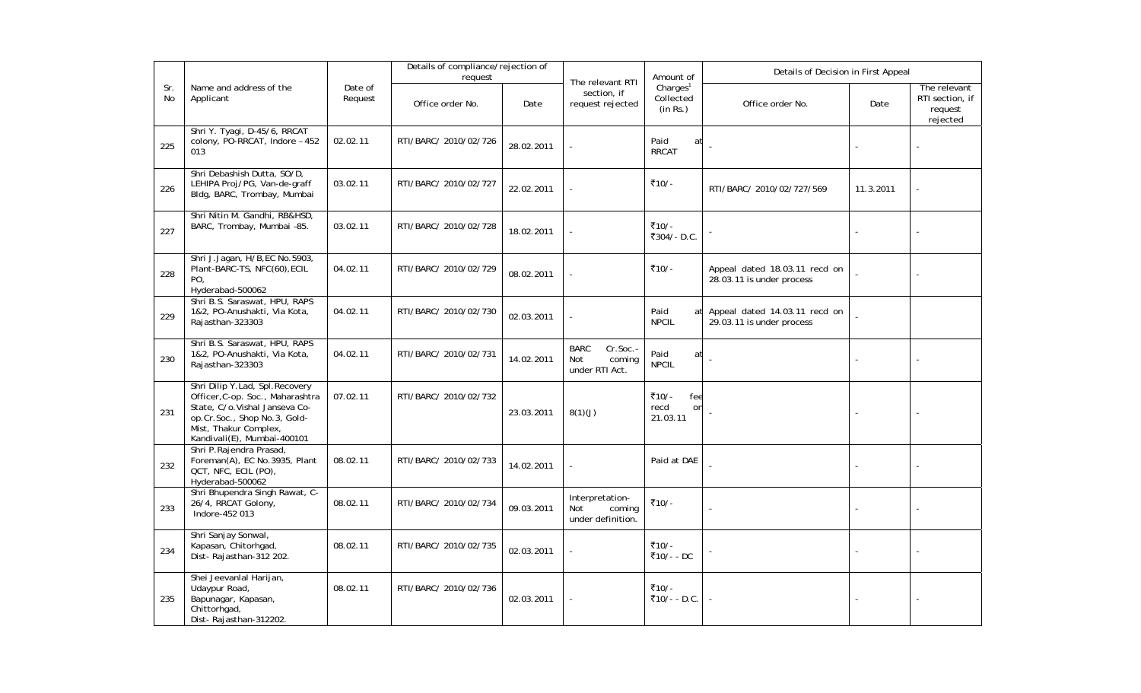|                  |                                                                                                                                                                                               |                    | Details of compliance/rejection of<br>request |            |                                                            |                                               | Details of Decision in First Appeal<br>Amount of           |           |                                                        |  |
|------------------|-----------------------------------------------------------------------------------------------------------------------------------------------------------------------------------------------|--------------------|-----------------------------------------------|------------|------------------------------------------------------------|-----------------------------------------------|------------------------------------------------------------|-----------|--------------------------------------------------------|--|
| Sr.<br><b>No</b> | Name and address of the<br>Applicant                                                                                                                                                          | Date of<br>Request | Office order No.                              | Date       | The relevant RTI<br>section, if<br>request rejected        | Charles <sup>1</sup><br>Collected<br>(in Rs.) | Office order No.                                           | Date      | The relevant<br>RTI section, if<br>request<br>rejected |  |
| 225              | Shri Y. Tyagi, D-45/6, RRCAT<br>colony, PO-RRCAT, Indore - 452<br>013                                                                                                                         | 02.02.11           | RTI/BARC/ 2010/02/726                         | 28.02.2011 |                                                            | Paid<br>at<br><b>RRCAT</b>                    |                                                            |           |                                                        |  |
| 226              | Shri Debashish Dutta, SO/D,<br>LEHIPA Proj/PG, Van-de-graff<br>Bldg, BARC, Trombay, Mumbai                                                                                                    | 03.02.11           | RTI/BARC/ 2010/02/727                         | 22.02.2011 |                                                            | ₹10/-                                         | RTI/BARC/ 2010/02/727/569                                  | 11.3.2011 |                                                        |  |
| 227              | Shri Nitin M. Gandhi, RB&HSD,<br>BARC, Trombay, Mumbai -85.                                                                                                                                   | 03.02.11           | RTI/BARC/ 2010/02/728                         | 18.02.2011 |                                                            | ₹10/-<br>₹304/- D.C.                          |                                                            |           |                                                        |  |
| 228              | Shri J.Jagan, H/B, EC No.5903,<br>Plant-BARC-TS, NFC(60), ECIL<br>PO,<br>Hyderabad-500062                                                                                                     | 04.02.11           | RTI/BARC/ 2010/02/729                         | 08.02.2011 |                                                            | ₹10/-                                         | Appeal dated 18.03.11 recd on<br>28.03.11 is under process |           |                                                        |  |
| 229              | Shri B.S. Saraswat, HPU, RAPS<br>1&2, PO-Anushakti, Via Kota,<br>Rajasthan-323303                                                                                                             | 04.02.11           | RTI/BARC/ 2010/02/730                         | 02.03.2011 |                                                            | Paid<br>at<br><b>NPCIL</b>                    | Appeal dated 14.03.11 recd on<br>29.03.11 is under process |           |                                                        |  |
| 230              | Shri B.S. Saraswat, HPU, RAPS<br>1&2, PO-Anushakti, Via Kota,<br>Rajasthan-323303                                                                                                             | 04.02.11           | RTI/BARC/ 2010/02/731                         | 14.02.2011 | <b>BARC</b><br>Cr.Soc.-<br>coming<br>Not<br>under RTI Act. | Paid<br>at<br><b>NPCIL</b>                    |                                                            |           |                                                        |  |
| 231              | Shri Dilip Y.Lad, Spl. Recovery<br>Officer, C-op. Soc., Maharashtra<br>State, C/o. Vishal Janseva Co-<br>op.Cr.Soc., Shop No.3, Gold-<br>Mist, Thakur Complex,<br>Kandivali(E), Mumbai-400101 | 07.02.11           | RTI/BARC/ 2010/02/732                         | 23.03.2011 | 8(1)(J)                                                    | ₹10/-<br>fee<br>recd<br>on<br>21.03.11        |                                                            |           |                                                        |  |
| 232              | Shri P.Rajendra Prasad,<br>Foreman(A), EC No.3935, Plant<br>QCT, NFC, ECIL (PO),<br>Hyderabad-500062                                                                                          | 08.02.11           | RTI/BARC/ 2010/02/733                         | 14.02.2011 |                                                            | Paid at DAE                                   |                                                            |           |                                                        |  |
| 233              | Shri Bhupendra Singh Rawat, C-<br>26/4, RRCAT Golony,<br>Indore-452 013                                                                                                                       | 08.02.11           | RTI/BARC/ 2010/02/734                         | 09.03.2011 | Interpretation-<br>Not<br>coming<br>under definition.      | ₹10/-                                         |                                                            |           |                                                        |  |
| 234              | Shri Sanjay Sonwal,<br>Kapasan, Chitorhgad,<br>Dist-Rajasthan-312 202.                                                                                                                        | 08.02.11           | RTI/BARC/ 2010/02/735                         | 02.03.2011 |                                                            | ₹10/-<br>₹10/- - DC                           |                                                            |           |                                                        |  |
| 235              | Shei Jeevanlal Harijan,<br>Udaypur Road,<br>Bapunagar, Kapasan,<br>Chittorhgad,<br>Dist-Rajasthan-312202.                                                                                     | 08.02.11           | RTI/BARC/ 2010/02/736                         | 02.03.2011 |                                                            | ₹10/-<br>₹10/- - D.C.                         |                                                            |           |                                                        |  |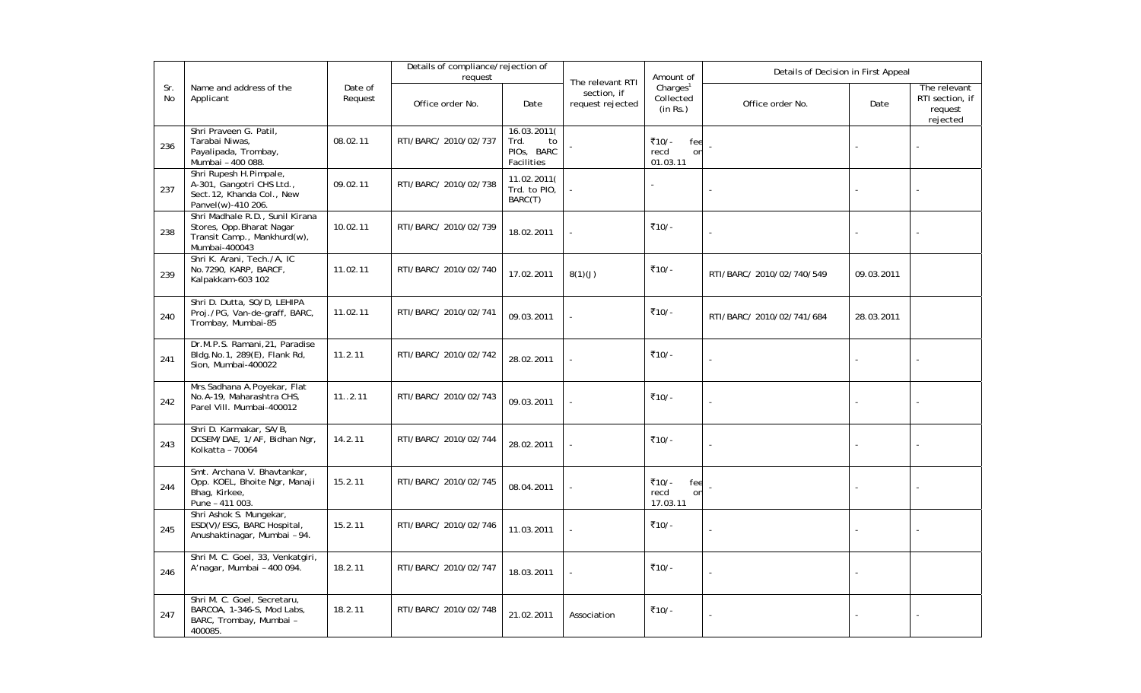|           |                                                                                                              |                    | Details of compliance/rejection of<br>request |                                                       |                                                     | Amount of                                     | Details of Decision in First Appeal |            |                                                        |  |
|-----------|--------------------------------------------------------------------------------------------------------------|--------------------|-----------------------------------------------|-------------------------------------------------------|-----------------------------------------------------|-----------------------------------------------|-------------------------------------|------------|--------------------------------------------------------|--|
| Sr.<br>No | Name and address of the<br>Applicant                                                                         | Date of<br>Request | Office order No.                              | Date                                                  | The relevant RTI<br>section, if<br>request rejected | Charles <sup>1</sup><br>Collected<br>(in Rs.) | Office order No.                    | Date       | The relevant<br>RTI section, if<br>request<br>rejected |  |
| 236       | Shri Praveen G. Patil,<br>Tarabai Niwas,<br>Payalipada, Trombay,<br>Mumbai - 400 088.                        | 08.02.11           | RTI/BARC/ 2010/02/737                         | 16.03.2011(<br>Trd.<br>to<br>PIOS, BARC<br>Facilities |                                                     | ₹10/-<br>fee<br>recd<br>on<br>01.03.11        |                                     |            |                                                        |  |
| 237       | Shri Rupesh H.Pimpale,<br>A-301, Gangotri CHS Ltd.,<br>Sect.12, Khanda Col., New<br>Panvel(w)-410 206.       | 09.02.11           | RTI/BARC/ 2010/02/738                         | 11.02.2011(<br>Trd. to PIO,<br>BARC(T)                |                                                     |                                               |                                     |            |                                                        |  |
| 238       | Shri Madhale R.D., Sunil Kirana<br>Stores, Opp. Bharat Nagar<br>Transit Camp., Mankhurd(w),<br>Mumbai-400043 | 10.02.11           | RTI/BARC/ 2010/02/739                         | 18.02.2011                                            |                                                     | ₹10/-                                         |                                     |            |                                                        |  |
| 239       | Shri K. Arani, Tech./A, IC<br>No.7290, KARP, BARCF,<br>Kalpakkam-603 102                                     | 11.02.11           | RTI/BARC/ 2010/02/740                         | 17.02.2011                                            | 8(1)(J)                                             | ₹10/-                                         | RTI/BARC/ 2010/02/740/549           | 09.03.2011 |                                                        |  |
| 240       | Shri D. Dutta, SO/D, LEHIPA<br>Proj./PG, Van-de-graff, BARC,<br>Trombay, Mumbai-85                           | 11.02.11           | RTI/BARC/ 2010/02/741                         | 09.03.2011                                            |                                                     | ₹10/-                                         | RTI/BARC/ 2010/02/741/684           | 28.03.2011 |                                                        |  |
| 241       | Dr.M.P.S. Ramani, 21, Paradise<br>Bldg.No.1, 289(E), Flank Rd,<br>Sion, Mumbai-400022                        | 11.2.11            | RTI/BARC/ 2010/02/742                         | 28.02.2011                                            |                                                     | ₹10/-                                         |                                     |            |                                                        |  |
| 242       | Mrs.Sadhana A.Poyekar, Flat<br>No.A-19, Maharashtra CHS,<br>Parel Vill. Mumbai-400012                        | 112.11             | RTI/BARC/ 2010/02/743                         | 09.03.2011                                            |                                                     | ₹10/-                                         | $\overline{\phantom{a}}$            |            |                                                        |  |
| 243       | Shri D. Karmakar, SA/B,<br>DCSEM/DAE, 1/AF, Bidhan Ngr,<br>Kolkatta - 70064                                  | 14.2.11            | RTI/BARC/ 2010/02/744                         | 28.02.2011                                            |                                                     | ₹10/-                                         |                                     |            |                                                        |  |
| 244       | Smt. Archana V. Bhavtankar,<br>Opp. KOEL, Bhoite Ngr, Manaji<br>Bhag, Kirkee,<br>Pune - 411 003.             | 15.2.11            | RTI/BARC/ 2010/02/745                         | 08.04.2011                                            |                                                     | ₹10/-<br>fee<br>recd<br>on<br>17.03.11        |                                     |            |                                                        |  |
| 245       | Shri Ashok S. Mungekar,<br>ESD(V)/ESG, BARC Hospital,<br>Anushaktinagar, Mumbai - 94.                        | 15.2.11            | RTI/BARC/ 2010/02/746                         | 11.03.2011                                            |                                                     | ₹10/-                                         |                                     |            |                                                        |  |
| 246       | Shri M. C. Goel, 33, Venkatgiri,<br>A'nagar, Mumbai - 400 094.                                               | 18.2.11            | RTI/BARC/ 2010/02/747                         | 18.03.2011                                            |                                                     | ₹10/-                                         | ÷,                                  |            |                                                        |  |
| 247       | Shri M. C. Goel, Secretaru,<br>BARCOA, 1-346-S, Mod Labs,<br>BARC, Trombay, Mumbai -<br>400085.              | 18.2.11            | RTI/BARC/ 2010/02/748                         | 21.02.2011                                            | Association                                         | ₹10⁄-                                         |                                     |            |                                                        |  |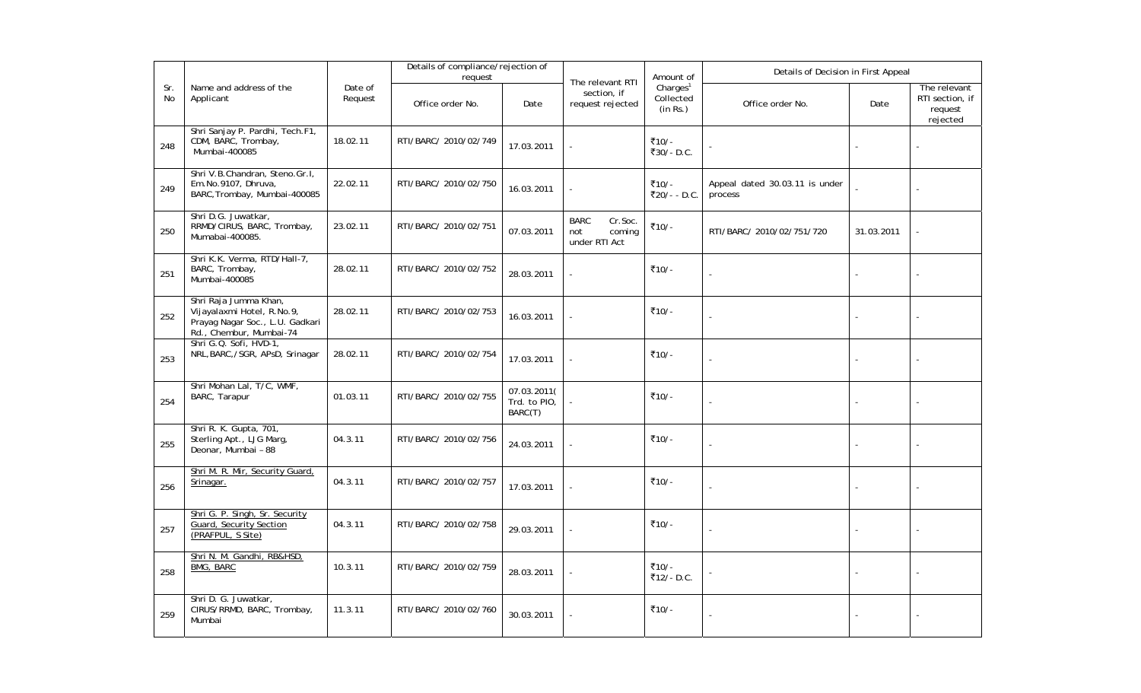|           |                                                                                                                   |                    | Details of compliance/rejection of<br>request |                                        |                                                          | Amount of                                     | Details of Decision in First Appeal       |            |                                                        |
|-----------|-------------------------------------------------------------------------------------------------------------------|--------------------|-----------------------------------------------|----------------------------------------|----------------------------------------------------------|-----------------------------------------------|-------------------------------------------|------------|--------------------------------------------------------|
| Sr.<br>No | Name and address of the<br>Applicant                                                                              | Date of<br>Request | Office order No.                              | Date                                   | The relevant RTI<br>section, if<br>request rejected      | Charles <sup>1</sup><br>Collected<br>(in Rs.) | Office order No.                          | Date       | The relevant<br>RTI section, if<br>request<br>rejected |
| 248       | Shri Sanjay P. Pardhi, Tech.F1,<br>CDM, BARC, Trombay,<br>Mumbai-400085                                           | 18.02.11           | RTI/BARC/ 2010/02/749                         | 17.03.2011                             |                                                          | ₹10/-<br>₹30/-D.C.                            |                                           |            |                                                        |
| 249       | Shri V.B.Chandran, Steno.Gr.I,<br>Em.No.9107, Dhruva,<br>BARC, Trombay, Mumbai-400085                             | 22.02.11           | RTI/BARC/ 2010/02/750                         | 16.03.2011                             |                                                          | ₹10/-<br>₹20/- - D.C.                         | Appeal dated 30.03.11 is under<br>process |            |                                                        |
| 250       | Shri D.G. Juwatkar,<br>RRMD/CIRUS, BARC, Trombay,<br>Mumabai-400085.                                              | 23.02.11           | RTI/BARC/ 2010/02/751                         | 07.03.2011                             | <b>BARC</b><br>Cr.Soc.<br>coming<br>not<br>under RTI Act | ₹10/-                                         | RTI/BARC/ 2010/02/751/720                 | 31.03.2011 |                                                        |
| 251       | Shri K.K. Verma, RTD/Hall-7,<br>BARC, Trombay,<br>Mumbai-400085                                                   | 28.02.11           | RTI/BARC/ 2010/02/752                         | 28.03.2011                             |                                                          | ₹10/-                                         |                                           |            |                                                        |
| 252       | Shri Raja Jumma Khan,<br>Vijayalaxmi Hotel, R.No.9,<br>Prayag Nagar Soc., L.U. Gadkari<br>Rd., Chembur, Mumbai-74 | 28.02.11           | RTI/BARC/ 2010/02/753                         | 16.03.2011                             |                                                          | ₹10/-                                         |                                           |            |                                                        |
| 253       | Shri G.Q. Sofi, HVD-1,<br>NRL, BARC, /SGR, APsD, Srinagar                                                         | 28.02.11           | RTI/BARC/ 2010/02/754                         | 17.03.2011                             |                                                          | ₹10/-                                         |                                           |            |                                                        |
| 254       | Shri Mohan Lal, T/C, WMF,<br>BARC, Tarapur                                                                        | 01.03.11           | RTI/BARC/ 2010/02/755                         | 07.03.2011(<br>Trd. to PIO,<br>BARC(T) |                                                          | ₹10/-                                         |                                           |            |                                                        |
| 255       | Shri R. K. Gupta, 701,<br>Sterling Apt., LJG Marg,<br>Deonar, Mumbai - 88                                         | 04.3.11            | RTI/BARC/ 2010/02/756                         | 24.03.2011                             |                                                          | ₹10/-                                         |                                           |            |                                                        |
| 256       | Shri M. R. Mir, Security Guard,<br>Srinagar.                                                                      | 04.3.11            | RTI/BARC/ 2010/02/757                         | 17.03.2011                             |                                                          | ₹10/-                                         |                                           |            |                                                        |
| 257       | Shri G. P. Singh, Sr. Security<br>Guard, Security Section<br>(PRAFPUL, S Site)                                    | 04.3.11            | RTI/BARC/ 2010/02/758                         | 29.03.2011                             |                                                          | ₹10/-                                         |                                           |            |                                                        |
| 258       | Shri N. M. Gandhi, RB&HSD,<br><b>BMG, BARC</b>                                                                    | 10.3.11            | RTI/BARC/ 2010/02/759                         | 28.03.2011                             |                                                          | ₹10/-<br>₹12/- D.C.                           |                                           |            |                                                        |
| 259       | Shri D. G. Juwatkar,<br>CIRUS/RRMD, BARC, Trombay,<br>Mumbai                                                      | 11.3.11            | RTI/BARC/ 2010/02/760                         | 30.03.2011                             |                                                          | ₹10/-                                         |                                           |            |                                                        |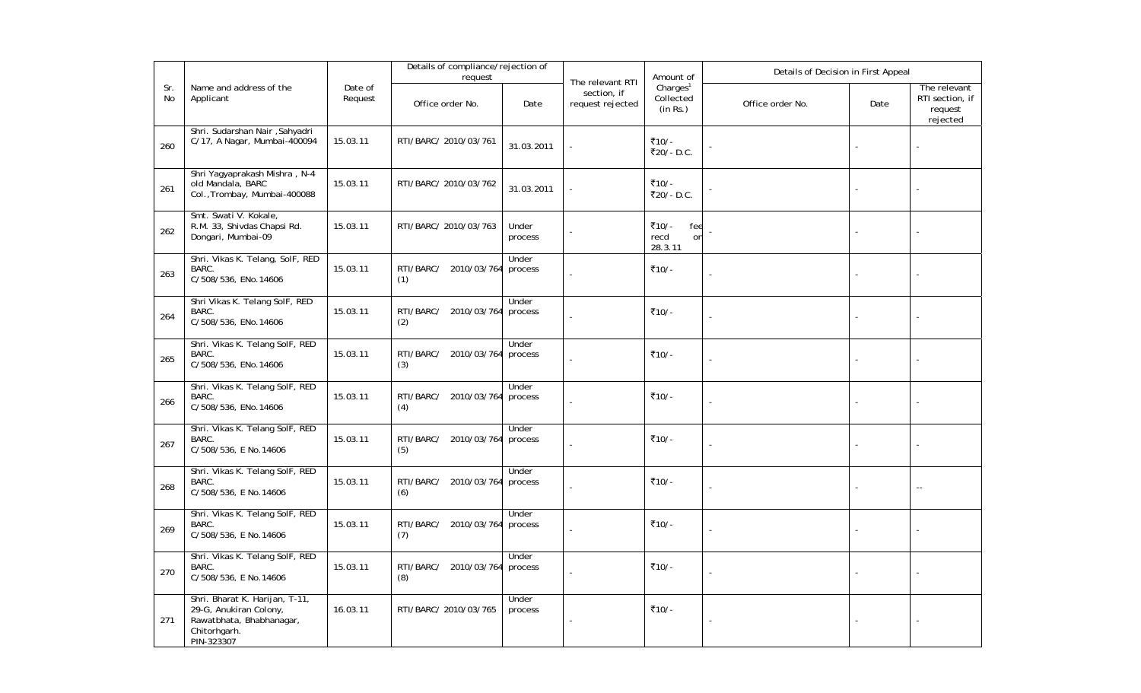|           |                                                                                                                    |                    | Details of compliance/rejection of<br>request |                  |                                                     | Amount of                                     | Details of Decision in First Appeal |      |                                                        |
|-----------|--------------------------------------------------------------------------------------------------------------------|--------------------|-----------------------------------------------|------------------|-----------------------------------------------------|-----------------------------------------------|-------------------------------------|------|--------------------------------------------------------|
| Sr.<br>No | Name and address of the<br>Applicant                                                                               | Date of<br>Request | Office order No.                              | Date             | The relevant RTI<br>section, if<br>request rejected | Charles <sup>1</sup><br>Collected<br>(in Rs.) | Office order No.                    | Date | The relevant<br>RTI section, if<br>request<br>rejected |
| 260       | Shri. Sudarshan Nair , Sahyadri<br>C/17, A Nagar, Mumbai-400094                                                    | 15.03.11           | RTI/BARC/ 2010/03/761                         | 31.03.2011       |                                                     | ₹10/-<br>₹20/-D.C.                            |                                     |      |                                                        |
| 261       | Shri Yagyaprakash Mishra, N-4<br>old Mandala, BARC<br>Col., Trombay, Mumbai-400088                                 | 15.03.11           | RTI/BARC/ 2010/03/762                         | 31.03.2011       |                                                     | ₹10/-<br>₹20/-D.C.                            |                                     |      |                                                        |
| 262       | Smt. Swati V. Kokale,<br>R.M. 33, Shivdas Chapsi Rd.<br>Dongari, Mumbai-09                                         | 15.03.11           | RTI/BARC/ 2010/03/763                         | Under<br>process |                                                     | ₹10/-<br>fee<br>recd<br>on<br>28.3.11         |                                     |      |                                                        |
| 263       | Shri. Vikas K. Telang, SolF, RED<br>BARC.<br>C/508/536, ENo.14606                                                  | 15.03.11           | RTI/BARC/<br>2010/03/764<br>(1)               | Under<br>process |                                                     | ₹10/-                                         | $\overline{a}$                      |      |                                                        |
| 264       | Shri Vikas K. Telang SolF, RED<br>BARC.<br>C/508/536, ENo.14606                                                    | 15.03.11           | RTI/BARC/<br>2010/03/764<br>(2)               | Under<br>process |                                                     | ₹10/-                                         |                                     |      |                                                        |
| 265       | Shri. Vikas K. Telang SolF, RED<br>BARC.<br>C/508/536, ENo.14606                                                   | 15.03.11           | RTI/BARC/ 2010/03/764<br>(3)                  | Under<br>process |                                                     | ₹10/-                                         | $\overline{a}$                      |      |                                                        |
| 266       | Shri. Vikas K. Telang SolF, RED<br>BARC.<br>C/508/536, ENo.14606                                                   | 15.03.11           | RTI/BARC/ 2010/03/764<br>(4)                  | Under<br>process |                                                     | ₹10/-                                         |                                     |      |                                                        |
| 267       | Shri. Vikas K. Telang SolF, RED<br>BARC.<br>C/508/536, E No.14606                                                  | 15.03.11           | RTI/BARC/ 2010/03/764<br>(5)                  | Under<br>process |                                                     | ₹10/-                                         |                                     |      |                                                        |
| 268       | Shri. Vikas K. Telang SolF, RED<br>BARC.<br>C/508/536, E No.14606                                                  | 15.03.11           | RTI/BARC/<br>2010/03/764<br>(6)               | Under<br>process |                                                     | ₹10/-                                         | ÷,                                  |      | $\sim$ $\sim$                                          |
| 269       | Shri. Vikas K. Telang SolF, RED<br>BARC.<br>C/508/536, E No.14606                                                  | 15.03.11           | RTI/BARC/ 2010/03/764<br>(7)                  | Under<br>process |                                                     | ₹10/-                                         |                                     |      |                                                        |
| 270       | Shri. Vikas K. Telang SolF, RED<br>BARC.<br>C/508/536, E No.14606                                                  | 15.03.11           | RTI/BARC/<br>2010/03/764<br>(8)               | Under<br>process |                                                     | ₹10/-                                         |                                     |      |                                                        |
| 271       | Shri. Bharat K. Harijan, T-11,<br>29-G, Anukiran Colony,<br>Rawatbhata, Bhabhanagar,<br>Chitorhgarh.<br>PIN-323307 | 16.03.11           | RTI/BARC/ 2010/03/765                         | Under<br>process |                                                     | ₹10/-                                         | $\overline{\phantom{a}}$            |      |                                                        |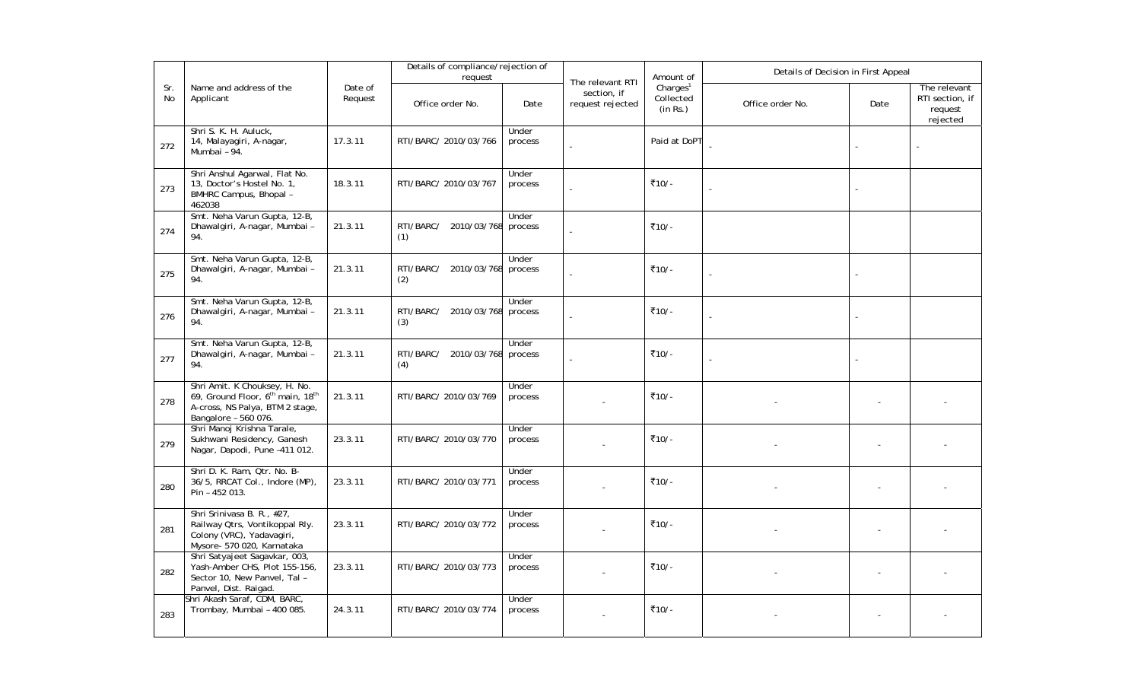|           |                                                                                                                                                      |                    | Details of compliance/rejection of<br>request |                  |                                                     | Amount of                                     | Details of Decision in First Appeal |      |                                                        |
|-----------|------------------------------------------------------------------------------------------------------------------------------------------------------|--------------------|-----------------------------------------------|------------------|-----------------------------------------------------|-----------------------------------------------|-------------------------------------|------|--------------------------------------------------------|
| Sr.<br>No | Name and address of the<br>Applicant                                                                                                                 | Date of<br>Request | Office order No.                              | Date             | The relevant RTI<br>section, if<br>request rejected | Charles <sup>1</sup><br>Collected<br>(in Rs.) | Office order No.                    | Date | The relevant<br>RTI section, if<br>request<br>rejected |
| 272       | Shri S. K. H. Auluck,<br>14, Malayagiri, A-nagar,<br>Mumbai - 94.                                                                                    | 17.3.11            | RTI/BARC/ 2010/03/766                         | Under<br>process |                                                     | Paid at DoPT                                  |                                     |      |                                                        |
| 273       | Shri Anshul Agarwal, Flat No.<br>13, Doctor's Hostel No. 1,<br>BMHRC Campus, Bhopal -<br>462038                                                      | 18.3.11            | RTI/BARC/ 2010/03/767                         | Under<br>process |                                                     | ₹10/-                                         |                                     |      |                                                        |
| 274       | Smt. Neha Varun Gupta, 12-B,<br>Dhawalgiri, A-nagar, Mumbai -<br>94.                                                                                 | 21.3.11            | RTI/BARC/ 2010/03/768<br>(1)                  | Under<br>process |                                                     | ₹10/-                                         |                                     |      |                                                        |
| 275       | Smt. Neha Varun Gupta, 12-B,<br>Dhawalgiri, A-nagar, Mumbai -<br>94.                                                                                 | 21.3.11            | RTI/BARC/<br>2010/03/768 process<br>(2)       | Under            |                                                     | ₹10/-                                         |                                     |      |                                                        |
| 276       | Smt. Neha Varun Gupta, 12-B,<br>Dhawalgiri, A-nagar, Mumbai -<br>94.                                                                                 | 21.3.11            | RTI/BARC/<br>2010/03/768<br>(3)               | Under<br>process |                                                     | ₹10/-                                         | ÷,                                  |      |                                                        |
| 277       | Smt. Neha Varun Gupta, 12-B,<br>Dhawalgiri, A-nagar, Mumbai -<br>94.                                                                                 | 21.3.11            | RTI/BARC/ 2010/03/768<br>(4)                  | Under<br>process |                                                     | ₹10/-                                         |                                     |      |                                                        |
| 278       | Shri Amit. K Chouksey, H. No.<br>69, Ground Floor, 6 <sup>th</sup> main, 18 <sup>th</sup><br>A-cross, NS Palya, BTM 2 stage,<br>Bangalore - 560 076. | 21.3.11            | RTI/BARC/ 2010/03/769                         | Under<br>process |                                                     | ₹10/-                                         |                                     |      |                                                        |
| 279       | Shri Manoj Krishna Tarale,<br>Sukhwani Residency, Ganesh<br>Nagar, Dapodi, Pune -411 012.                                                            | 23.3.11            | RTI/BARC/ 2010/03/770                         | Under<br>process |                                                     | ₹10/-                                         |                                     |      |                                                        |
| 280       | Shri D. K. Ram, Qtr. No. B-<br>36/5, RRCAT Col., Indore (MP),<br>Pin - 452 013.                                                                      | 23.3.11            | RTI/BARC/ 2010/03/771                         | Under<br>process |                                                     | ₹10/-                                         |                                     |      |                                                        |
| 281       | Shri Srinivasa B. R., #27,<br>Railway Qtrs, Vontikoppal Rly.<br>Colony (VRC), Yadavagiri,<br>Mysore- 570 020, Karnataka                              | 23.3.11            | RTI/BARC/ 2010/03/772                         | Under<br>process |                                                     | ₹10/-                                         |                                     |      |                                                        |
| 282       | Shri Satyajeet Sagavkar, 003,<br>Yash-Amber CHS, Plot 155-156,<br>Sector 10, New Panvel, Tal -<br>Panvel, Dist. Raigad.                              | 23.3.11            | RTI/BARC/ 2010/03/773                         | Under<br>process |                                                     | ₹10/-                                         |                                     |      |                                                        |
| 283       | Shri Akash Saraf, CDM, BARC,<br>Trombay, Mumbai - 400 085.                                                                                           | 24.3.11            | RTI/BARC/ 2010/03/774                         | Under<br>process |                                                     | ₹10/-                                         |                                     |      |                                                        |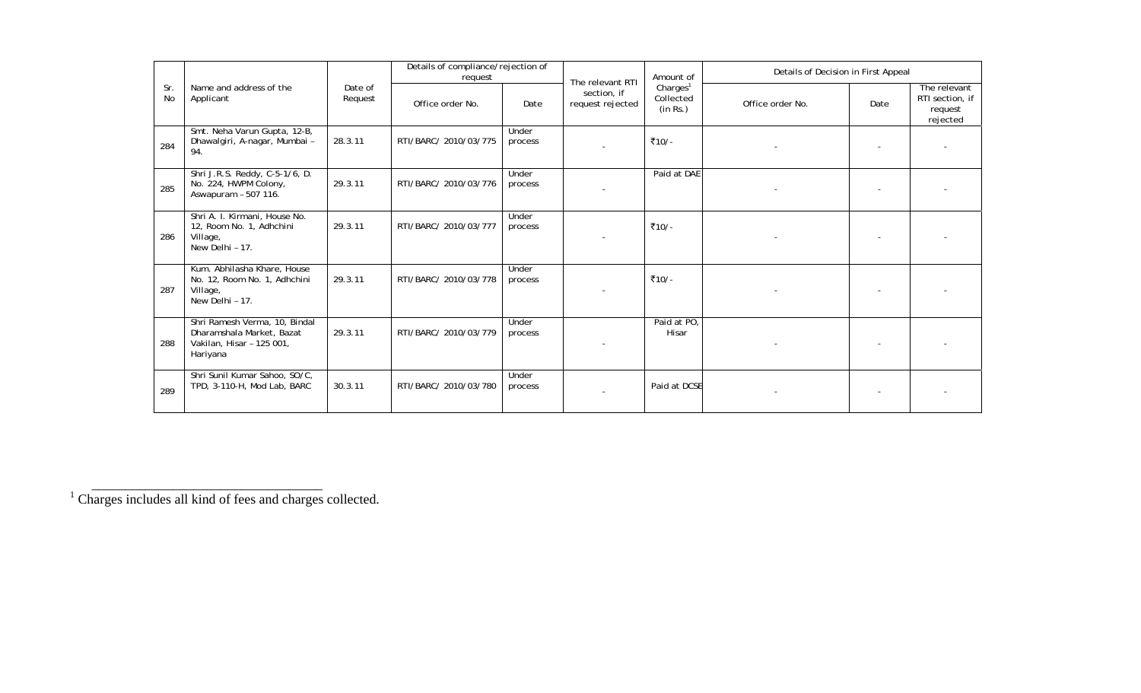|                  |                                                                                                     |                    | Details of compliance/rejection of<br>request |                  | The relevant RTI                | Amount of                                     | Details of Decision in First Appeal |      |                                                        |
|------------------|-----------------------------------------------------------------------------------------------------|--------------------|-----------------------------------------------|------------------|---------------------------------|-----------------------------------------------|-------------------------------------|------|--------------------------------------------------------|
| Sr.<br><b>No</b> | Name and address of the<br>Applicant                                                                | Date of<br>Request | Office order No.                              | Date             | section, if<br>request rejected | Charles <sup>1</sup><br>Collected<br>(in Rs.) | Office order No.                    | Date | The relevant<br>RTI section, if<br>request<br>rejected |
| 284              | Smt. Neha Varun Gupta, 12-B,<br>Dhawalgiri, A-nagar, Mumbai -<br>94.                                | 28.3.11            | RTI/BARC/ 2010/03/775                         | Under<br>process |                                 | ₹10/-                                         |                                     |      |                                                        |
| 285              | Shri J.R.S. Reddy, C-5-1/6, D.<br>No. 224, HWPM Colony,<br>Aswapuram - 507 116.                     | 29.3.11            | RTI/BARC/ 2010/03/776                         | Under<br>process |                                 | Paid at DAE                                   |                                     |      |                                                        |
| 286              | Shri A. I. Kirmani, House No.<br>12, Room No. 1, Adhchini<br>Village,<br>New Delhi - 17.            | 29.3.11            | RTI/BARC/ 2010/03/777                         | Under<br>process |                                 | ₹10/-                                         |                                     |      |                                                        |
| 287              | Kum. Abhilasha Khare, House<br>No. 12, Room No. 1, Adhchini<br>Village,<br>New Delhi - 17.          | 29.3.11            | RTI/BARC/ 2010/03/778                         | Under<br>process |                                 | ₹10/-                                         |                                     |      |                                                        |
| 288              | Shri Ramesh Verma, 10, Bindal<br>Dharamshala Market, Bazat<br>Vakilan, Hisar - 125 001,<br>Hariyana | 29.3.11            | RTI/BARC/ 2010/03/779                         | Under<br>process |                                 | Paid at PO,<br>Hisar                          |                                     |      |                                                        |
| 289              | Shri Sunil Kumar Sahoo, SO/C,<br>TPD, 3-110-H, Mod Lab, BARC                                        | 30.3.11            | RTI/BARC/ 2010/03/780                         | Under<br>process |                                 | Paid at DCSE                                  |                                     |      |                                                        |

<sup>&</sup>lt;sup>1</sup> Charges includes all kind of fees and charges collected.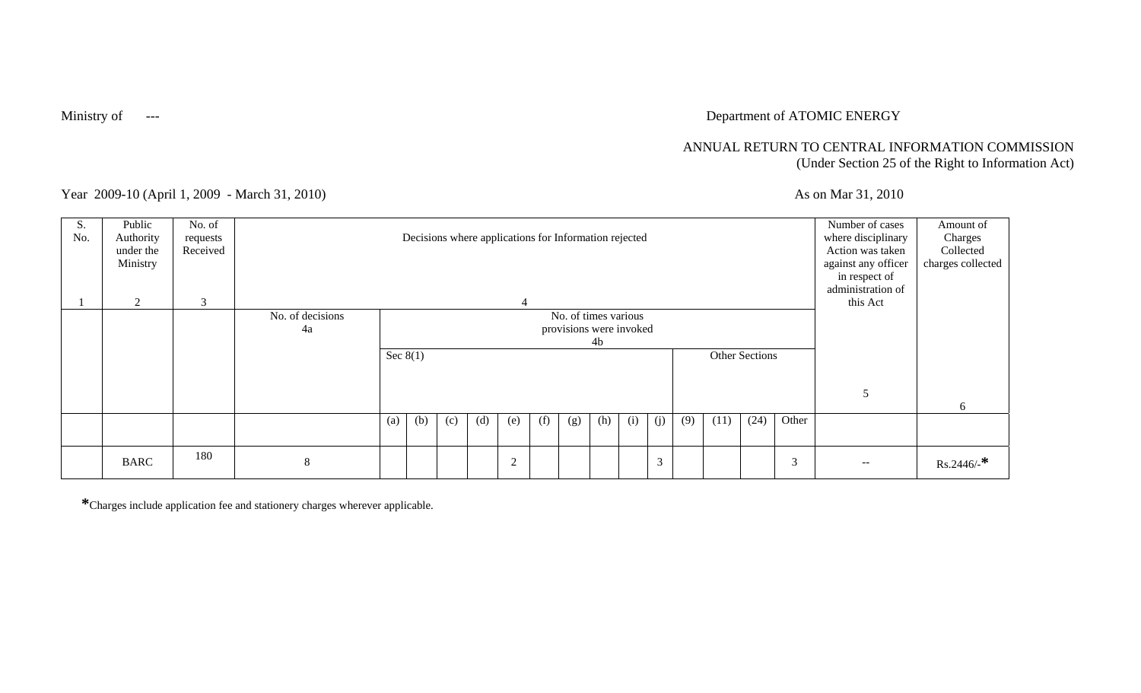# Ministry of **Face 2018** --- Department of ATOMIC ENERGY

## ANNUAL RETURN TO CENTRAL INFORMATION COMMISSION (Under Section 25 of the Right to Information Act)

Year 2009-10 (April 1, 2009 - March 31, 2010) As on Mar 31, 2010

| S.<br>No. | Public<br>Authority<br>under the<br>Ministry | No. of<br>requests<br>Received |                        |     |                                                                                                   |     | Decisions where applications for Information rejected |     |     |     |     |     |                |     |      |      |       | Number of cases<br>where disciplinary<br>Action was taken<br>against any officer<br>in respect of<br>administration of | Amount of<br>Charges<br>Collected<br>charges collected |
|-----------|----------------------------------------------|--------------------------------|------------------------|-----|---------------------------------------------------------------------------------------------------|-----|-------------------------------------------------------|-----|-----|-----|-----|-----|----------------|-----|------|------|-------|------------------------------------------------------------------------------------------------------------------------|--------------------------------------------------------|
|           | 2                                            | 3                              |                        |     |                                                                                                   |     |                                                       |     |     |     |     |     |                |     |      |      |       | this Act                                                                                                               |                                                        |
|           |                                              |                                | No. of decisions<br>4a |     | No. of times various<br>provisions were invoked<br>4 <sub>b</sub><br>Sec $8(1)$<br>Other Sections |     |                                                       |     |     |     |     |     |                |     |      |      |       |                                                                                                                        |                                                        |
|           |                                              |                                |                        |     |                                                                                                   |     |                                                       |     |     |     |     |     |                |     |      |      |       |                                                                                                                        | 6                                                      |
|           |                                              |                                |                        | (a) | (b)                                                                                               | (c) | (d)                                                   | (e) | (f) | (g) | (h) | (i) | (j)            | (9) | (11) | (24) | Other |                                                                                                                        |                                                        |
|           | <b>BARC</b>                                  | 180                            | 8                      |     |                                                                                                   |     |                                                       | 2   |     |     |     |     | $\overline{3}$ |     |      |      | 3     | $\overline{\phantom{m}}$                                                                                               | $Rs.2446/$ -*                                          |

**\***Charges include application fee and stationery charges wherever applicable.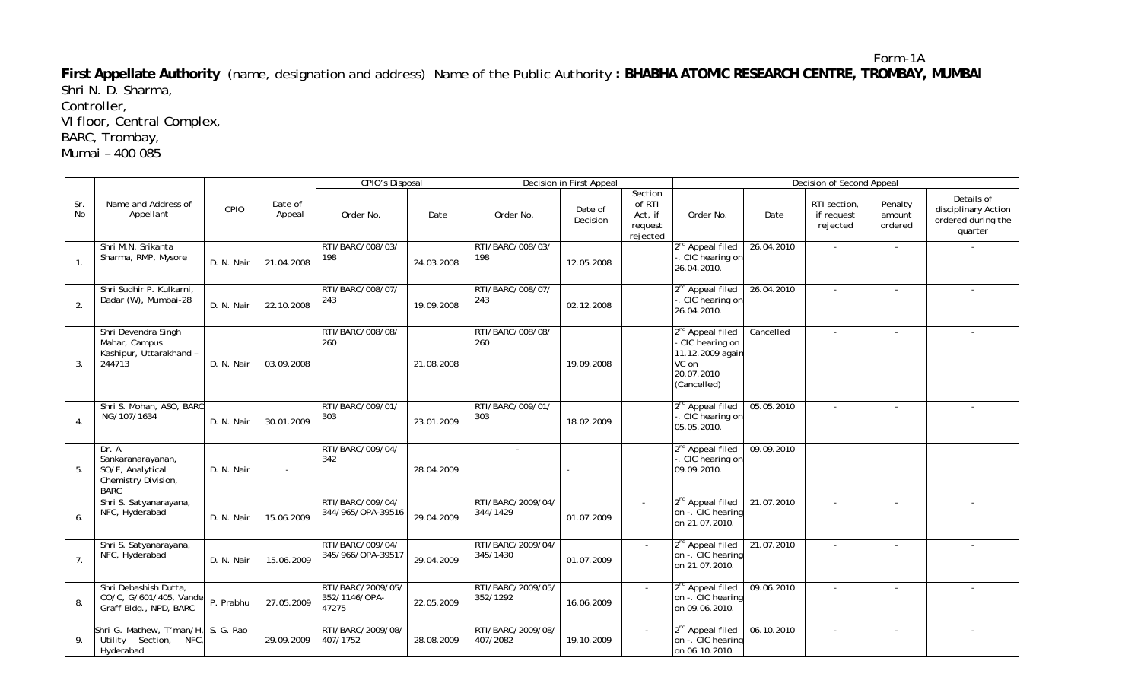Form-1A **First Appellate Authority** (name, designation and address) Name of the Public Authority **: BHABHA ATOMIC RESEARCH CENTRE, TROMBAY, MUMBAI**  Shri N. D. Sharma,

Controller,

VI floor, Central Complex,

BARC, Trombay,

Mumai – 400 085

|                  |                                                                                       |            |                   | <b>CPIO's Disposal</b>                      |            |                               | Decision in First Appeal   |                                                     |                                                                                                          |            | Decision of Second Appeal              |                              |                                                                    |
|------------------|---------------------------------------------------------------------------------------|------------|-------------------|---------------------------------------------|------------|-------------------------------|----------------------------|-----------------------------------------------------|----------------------------------------------------------------------------------------------------------|------------|----------------------------------------|------------------------------|--------------------------------------------------------------------|
| Sr.<br>No        | Name and Address of<br>Appellant                                                      | CPIO       | Date of<br>Appeal | Order No.                                   | Date       | Order No.                     | Date of<br><b>Decision</b> | Section<br>of RTI<br>Act, if<br>request<br>rejected | Order No.                                                                                                | Date       | RTI section,<br>if request<br>rejected | Penalty<br>amount<br>ordered | Details of<br>disciplinary Action<br>ordered during the<br>quarter |
| 1 <sub>1</sub>   | Shri M.N. Srikanta<br>Sharma, RMP, Mysore                                             | D. N. Nair | 21.04.2008        | RTI/BARC/008/03/<br>198                     | 24.03.2008 | RTI/BARC/008/03/<br>198       | 12.05.2008                 |                                                     | 2 <sup>nd</sup> Appeal filed<br>CIC hearing on<br>26.04.2010.                                            | 26.04.2010 | $\sim$                                 |                              |                                                                    |
| 2.               | Shri Sudhir P. Kulkarni.<br>Dadar (W), Mumbai-28                                      | D. N. Nair | 22.10.2008        | RTI/BARC/008/07/<br>243                     | 19.09.2008 | RTI/BARC/008/07/<br>243       | 02.12.2008                 |                                                     | 2 <sup>nd</sup> Appeal filed<br>CIC hearing on<br>26.04.2010.                                            | 26.04.2010 | $\sim$                                 |                              |                                                                    |
| 3                | Shri Devendra Singh<br>Mahar, Campus<br>Kashipur, Uttarakhand -<br>244713             | D. N. Nair | 03.09.2008        | RTI/BARC/008/08/<br>260                     | 21.08.2008 | RTI/BARC/008/08/<br>260       | 19.09.2008                 |                                                     | 2 <sup>nd</sup> Appeal filed<br>CIC hearing on<br>11.12.2009 again<br>VC on<br>20.07.2010<br>(Cancelled) | Cancelled  |                                        |                              |                                                                    |
| $\overline{4}$ . | Shri S. Mohan, ASO, BARC<br>NG/107/1634                                               | D. N. Nair | 30.01.2009        | RTI/BARC/009/01/<br>303                     | 23.01.2009 | RTI/BARC/009/01/<br>303       | 18.02.2009                 |                                                     | 2 <sup>nd</sup> Appeal filed<br>. CIC hearing on<br>05.05.2010.                                          | 05.05.2010 |                                        |                              |                                                                    |
| 5.               | Dr. A.<br>Sankaranarayanan,<br>SO/F, Analytical<br>Chemistry Division,<br><b>BARC</b> | D. N. Nair |                   | RTI/BARC/009/04/<br>342                     | 28.04.2009 | $\sim$                        |                            |                                                     | 2 <sup>nd</sup> Appeal filed<br>CIC hearing or<br>09.09.2010.                                            | 09.09.2010 |                                        |                              |                                                                    |
| 6.               | Shri S. Satyanarayana,<br>NFC, Hyderabad                                              | D. N. Nair | 15.06.2009        | RTI/BARC/009/04/<br>344/965/OPA-39516       | 29.04.2009 | RTI/BARC/2009/04/<br>344/1429 | 01.07.2009                 |                                                     | 2 <sup>nd</sup> Appeal filed<br>on -. CIC hearing<br>on 21.07.2010.                                      | 21.07.2010 |                                        |                              |                                                                    |
| 7.               | Shri S. Satyanarayana,<br>NFC, Hyderabad                                              | D. N. Nair | 15.06.2009        | RTI/BARC/009/04/<br>345/966/OPA-39517       | 29.04.2009 | RTI/BARC/2009/04/<br>345/1430 | 01.07.2009                 |                                                     | 2 <sup>nd</sup> Appeal filed<br>on -. CIC hearing<br>on 21.07.2010.                                      | 21.07.2010 | $\sim$                                 |                              |                                                                    |
| 8.               | Shri Debashish Dutta,<br>CO/C, G/601/405, Vande<br>Graff Bldg., NPD, BARC             | P. Prabhu  | 27.05.2009        | RTI/BARC/2009/05/<br>352/1146/OPA-<br>47275 | 22.05.2009 | RTI/BARC/2009/05/<br>352/1292 | 16.06.2009                 |                                                     | 2 <sup>nd</sup> Appeal filed<br>on -. CIC hearing<br>on 09.06.2010.                                      | 09.06.2010 |                                        |                              |                                                                    |
| 9.               | Shri G. Mathew, T'man/H,<br>NFC.<br>Utility Section,<br>Hyderabad                     | S. G. Rao  | 29.09.2009        | RTI/BARC/2009/08/<br>407/1752               | 28.08.2009 | RTI/BARC/2009/08/<br>407/2082 | 19.10.2009                 |                                                     | 2 <sup>nd</sup> Appeal filed<br>on -. CIC hearing<br>on 06.10.2010.                                      | 06.10.2010 |                                        |                              |                                                                    |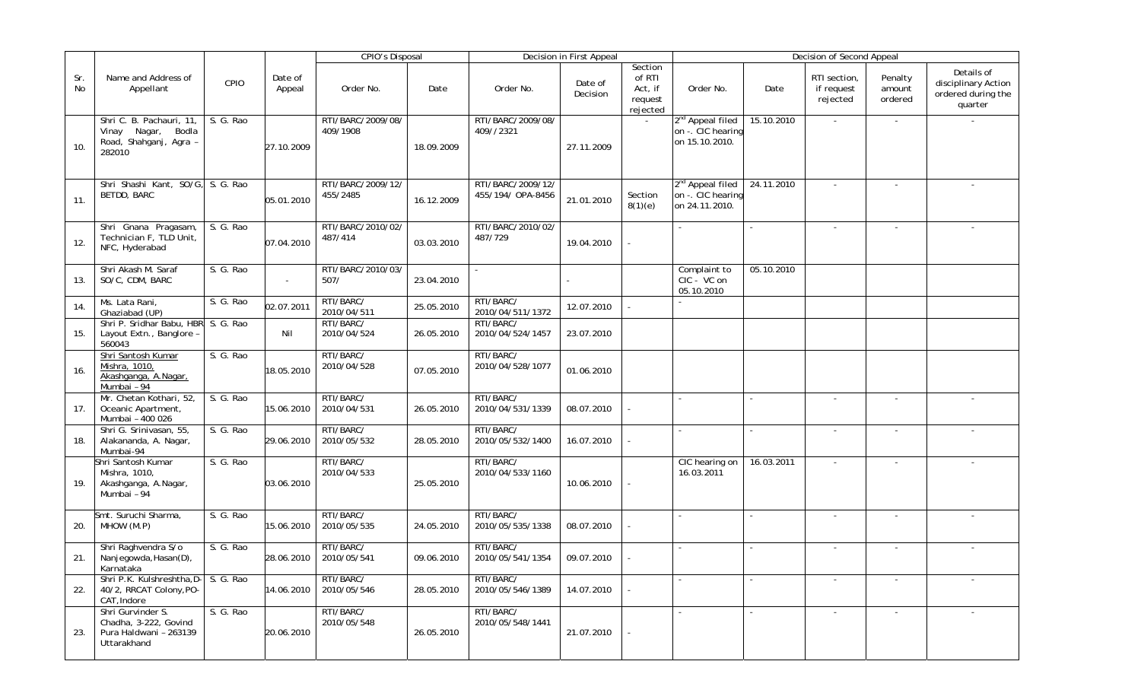|           |                                                                                          |           |                   | <b>CPIO's Disposal</b>        |            |                                        | Decision in First Appeal |                                                     |                                                                     |            | Decision of Second Appeal              |                              |                                                                    |
|-----------|------------------------------------------------------------------------------------------|-----------|-------------------|-------------------------------|------------|----------------------------------------|--------------------------|-----------------------------------------------------|---------------------------------------------------------------------|------------|----------------------------------------|------------------------------|--------------------------------------------------------------------|
| Sr.<br>No | Name and Address of<br>Appellant                                                         | CPIO      | Date of<br>Appeal | Order No.                     | Date       | Order No.                              | Date of<br>Decision      | Section<br>of RTI<br>Act, if<br>request<br>rejected | Order No.                                                           | Date       | RTI section,<br>if request<br>rejected | Penalty<br>amount<br>ordered | Details of<br>disciplinary Action<br>ordered during the<br>quarter |
| 10.       | Shri C. B. Pachauri, 11,<br>Bodla<br>Vinay<br>Nagar,<br>Road, Shahganj, Agra -<br>282010 | S. G. Rao | 27.10.2009        | RTI/BARC/2009/08/<br>409/1908 | 18.09.2009 | RTI/BARC/2009/08/<br>409//2321         | 27.11.2009               |                                                     | 2 <sup>nd</sup> Appeal filed<br>on -. CIC hearing<br>on 15.10.2010. | 15.10.2010 | $\sim$                                 | $\sim$                       |                                                                    |
| 11.       | Shri Shashi Kant, SO/G, S. G. Rao<br><b>BETDD, BARC</b>                                  |           | 05.01.2010        | RTI/BARC/2009/12/<br>455/2485 | 16.12.2009 | RTI/BARC/2009/12/<br>455/194/ OPA-8456 | 21.01.2010               | Section<br>8(1)(e)                                  | 2 <sup>nd</sup> Appeal filed<br>on -. CIC hearing<br>on 24.11.2010. | 24.11.2010 | $\sim$                                 |                              |                                                                    |
| 12.       | Shri Gnana Pragasam,<br>Technician F, TLD Unit,<br>NFC, Hyderabad                        | S. G. Rao | 07.04.2010        | RTI/BARC/2010/02/<br>487/414  | 03.03.2010 | RTI/BARC/2010/02/<br>487/729           | 19.04.2010               |                                                     |                                                                     |            |                                        |                              |                                                                    |
| 13.       | Shri Akash M. Saraf<br>SO/C, CDM, BARC                                                   | S. G. Rao | $\omega$          | RTI/BARC/2010/03/<br>507/     | 23.04.2010 |                                        |                          |                                                     | Complaint to<br>CIC - VC on<br>05.10.2010                           | 05.10.2010 |                                        |                              |                                                                    |
| 14.       | Ms. Lata Rani,<br>Ghaziabad (UP)                                                         | S. G. Rao | 02.07.2011        | RTI/BARC/<br>2010/04/511      | 25.05.2010 | RTI/BARC/<br>2010/04/511/1372          | 12.07.2010               |                                                     |                                                                     |            |                                        |                              |                                                                    |
| 15.       | Shri P. Sridhar Babu, HBR S. G. Rao<br>Layout Extn., Banglore -<br>560043                |           | Nil               | RTI/BARC/<br>2010/04/524      | 26.05.2010 | RTI/BARC/<br>2010/04/524/1457          | 23.07.2010               |                                                     |                                                                     |            |                                        |                              |                                                                    |
| 16.       | Shri Santosh Kumar<br>Mishra, 1010,<br>Akashganga, A.Nagar,<br>Mumbai - 94               | S. G. Rao | 18.05.2010        | RTI/BARC/<br>2010/04/528      | 07.05.2010 | RTI/BARC/<br>2010/04/528/1077          | 01.06.2010               |                                                     |                                                                     |            |                                        |                              |                                                                    |
| 17.       | Mr. Chetan Kothari, 52,<br>Oceanic Apartment,<br>Mumbai - 400 026                        | S. G. Rao | 15.06.2010        | RTI/BARC/<br>2010/04/531      | 26.05.2010 | RTI/BARC/<br>2010/04/531/1339          | 08.07.2010               |                                                     |                                                                     |            |                                        |                              |                                                                    |
| 18.       | Shri G. Srinivasan, 55,<br>Alakananda, A. Nagar,<br>Mumbai-94                            | S. G. Rao | 29.06.2010        | RTI/BARC/<br>2010/05/532      | 28.05.2010 | RTI/BARC/<br>2010/05/532/1400          | 16.07.2010               |                                                     |                                                                     |            |                                        |                              |                                                                    |
| 19.       | Shri Santosh Kumar<br>Mishra, 1010,<br>Akashganga, A.Nagar,<br>Mumbai - 94               | S. G. Rao | 03.06.2010        | RTI/BARC/<br>2010/04/533      | 25.05.2010 | RTI/BARC/<br>2010/04/533/1160          | 10.06.2010               |                                                     | CIC hearing on<br>16.03.2011                                        | 16.03.2011 | $\sim$                                 | $\sim$                       |                                                                    |
| 20.       | Smt. Suruchi Sharma,<br>MHOW (M.P)                                                       | S. G. Rao | 15.06.2010        | RTI/BARC/<br>2010/05/535      | 24.05.2010 | RTI/BARC/<br>2010/05/535/1338          | 08.07.2010               |                                                     | $\blacksquare$                                                      |            |                                        |                              |                                                                    |
| 21.       | Shri Raghvendra S/o<br>Nanjegowda, Hasan(D),<br>Karnataka                                | S. G. Rao | 28.06.2010        | RTI/BARC/<br>2010/05/541      | 09.06.2010 | RTI/BARC/<br>2010/05/541/1354          | 09.07.2010               |                                                     | $\sim$                                                              |            |                                        |                              |                                                                    |
| 22.       | Shri P.K. Kulshreshtha, D- S. G. Rao<br>40/2, RRCAT Colony, PO-<br>CAT, Indore           |           | 14.06.2010        | RTI/BARC/<br>2010/05/546      | 28.05.2010 | RTI/BARC/<br>2010/05/546/1389          | 14.07.2010               |                                                     |                                                                     |            |                                        |                              |                                                                    |
| 23.       | Shri Gurvinder S.<br>Chadha, 3-222, Govind<br>Pura Haldwani - 263139<br>Uttarakhand      | S. G. Rao | 20.06.2010        | RTI/BARC/<br>2010/05/548      | 26.05.2010 | RTI/BARC/<br>2010/05/548/1441          | 21.07.2010               |                                                     | $\sim$                                                              |            | $\sim$                                 | $\sim$                       |                                                                    |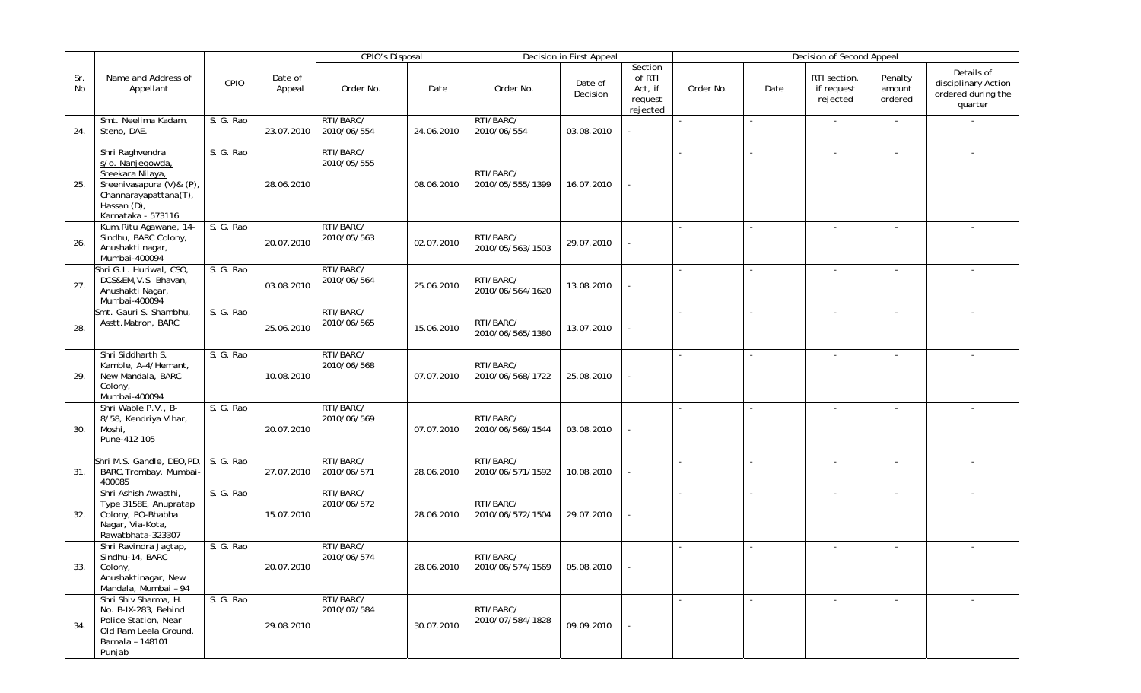|           |                                                                                                                                                   |           |                   | <b>CPIO's Disposal</b>   |            |                               | Decision in First Appeal |                                                     |                          |        | Decision of Second Appeal              |                              |                                                                    |
|-----------|---------------------------------------------------------------------------------------------------------------------------------------------------|-----------|-------------------|--------------------------|------------|-------------------------------|--------------------------|-----------------------------------------------------|--------------------------|--------|----------------------------------------|------------------------------|--------------------------------------------------------------------|
| Sr.<br>No | Name and Address of<br>Appellant                                                                                                                  | CPIO      | Date of<br>Appeal | Order No.                | Date       | Order No.                     | Date of<br>Decision      | Section<br>of RTI<br>Act, if<br>request<br>rejected | Order No.                | Date   | RTI section,<br>if request<br>rejected | Penalty<br>amount<br>ordered | Details of<br>disciplinary Action<br>ordered during the<br>quarter |
| 24.       | Smt. Neelima Kadam,<br>Steno, DAE.                                                                                                                | S. G. Rao | 23.07.2010        | RTI/BARC/<br>2010/06/554 | 24.06.2010 | RTI/BARC/<br>2010/06/554      | 03.08.2010               |                                                     | $\overline{\phantom{a}}$ |        | $\sim$                                 | $\sim$                       |                                                                    |
| 25.       | Shri Raghvendra<br>s/o. Nanjegowda,<br>Sreekara Nilaya,<br>Sreenivasapura (V)& (P),<br>Channarayapattana(T),<br>Hassan (D),<br>Karnataka - 573116 | S. G. Rao | 28.06.2010        | RTI/BARC/<br>2010/05/555 | 08.06.2010 | RTI/BARC/<br>2010/05/555/1399 | 16.07.2010               |                                                     |                          |        | $\overline{\phantom{a}}$               |                              |                                                                    |
| 26.       | Kum.Ritu Agawane, 14-<br>Sindhu, BARC Colony,<br>Anushakti nagar,<br>Mumbai-400094                                                                | S. G. Rao | 20.07.2010        | RTI/BARC/<br>2010/05/563 | 02.07.2010 | RTI/BARC/<br>2010/05/563/1503 | 29.07.2010               |                                                     |                          |        |                                        |                              |                                                                    |
| 27.       | Shri G.L. Huriwal, CSO,<br>DCS&EM, V.S. Bhavan,<br>Anushakti Nagar,<br>Mumbai-400094                                                              | S. G. Rao | 03.08.2010        | RTI/BARC/<br>2010/06/564 | 25.06.2010 | RTI/BARC/<br>2010/06/564/1620 | 13.08.2010               |                                                     |                          |        |                                        |                              |                                                                    |
| 28.       | Smt. Gauri S. Shambhu,<br>Asstt.Matron, BARC                                                                                                      | S. G. Rao | 25.06.2010        | RTI/BARC/<br>2010/06/565 | 15.06.2010 | RTI/BARC/<br>2010/06/565/1380 | 13.07.2010               |                                                     |                          |        |                                        |                              |                                                                    |
| 29.       | Shri Siddharth S.<br>Kamble, A-4/Hemant,<br>New Mandala, BARC<br>Colony,<br>Mumbai-400094                                                         | S. G. Rao | 10.08.2010        | RTI/BARC/<br>2010/06/568 | 07.07.2010 | RTI/BARC/<br>2010/06/568/1722 | 25.08.2010               |                                                     |                          |        | $\sim$                                 | $\sim$                       |                                                                    |
| 30.       | Shri Wable P.V., B-<br>8/58, Kendriya Vihar,<br>Moshi,<br>Pune-412 105                                                                            | S. G. Rao | 20.07.2010        | RTI/BARC/<br>2010/06/569 | 07.07.2010 | RTI/BARC/<br>2010/06/569/1544 | 03.08.2010               |                                                     |                          |        | $\overline{\phantom{a}}$               | $\sim$                       |                                                                    |
| 31.       | Shri M.S. Gandle, DEO, PD, S. G. Rao<br>BARC, Trombay, Mumbai-<br>400085                                                                          |           | 27.07.2010        | RTI/BARC/<br>2010/06/571 | 28.06.2010 | RTI/BARC/<br>2010/06/571/1592 | 10.08.2010               |                                                     |                          |        |                                        |                              |                                                                    |
| 32.       | Shri Ashish Awasthi,<br>Type 3158E, Anupratap<br>Colony, PO-Bhabha<br>Nagar, Via-Kota,<br>Rawatbhata-323307                                       | S. G. Rao | 15.07.2010        | RTI/BARC/<br>2010/06/572 | 28.06.2010 | RTI/BARC/<br>2010/06/572/1504 | 29.07.2010               |                                                     | $\blacksquare$           | $\sim$ |                                        |                              |                                                                    |
| 33.       | Shri Ravindra Jagtap,<br>Sindhu-14, BARC<br>Colony,<br>Anushaktinagar, New<br>Mandala, Mumbai - 94                                                | S. G. Rao | 20.07.2010        | RTI/BARC/<br>2010/06/574 | 28.06.2010 | RTI/BARC/<br>2010/06/574/1569 | 05.08.2010               |                                                     |                          |        |                                        |                              |                                                                    |
| 34.       | Shri Shiv Sharma, H.<br>No. B-IX-283, Behind<br>Police Station, Near<br>Old Ram Leela Ground,<br>Barnala - 148101<br>Punjab                       | S. G. Rao | 29.08.2010        | RTI/BARC/<br>2010/07/584 | 30.07.2010 | RTI/BARC/<br>2010/07/584/1828 | 09.09.2010               |                                                     |                          |        | $\sim$                                 | $\blacksquare$               |                                                                    |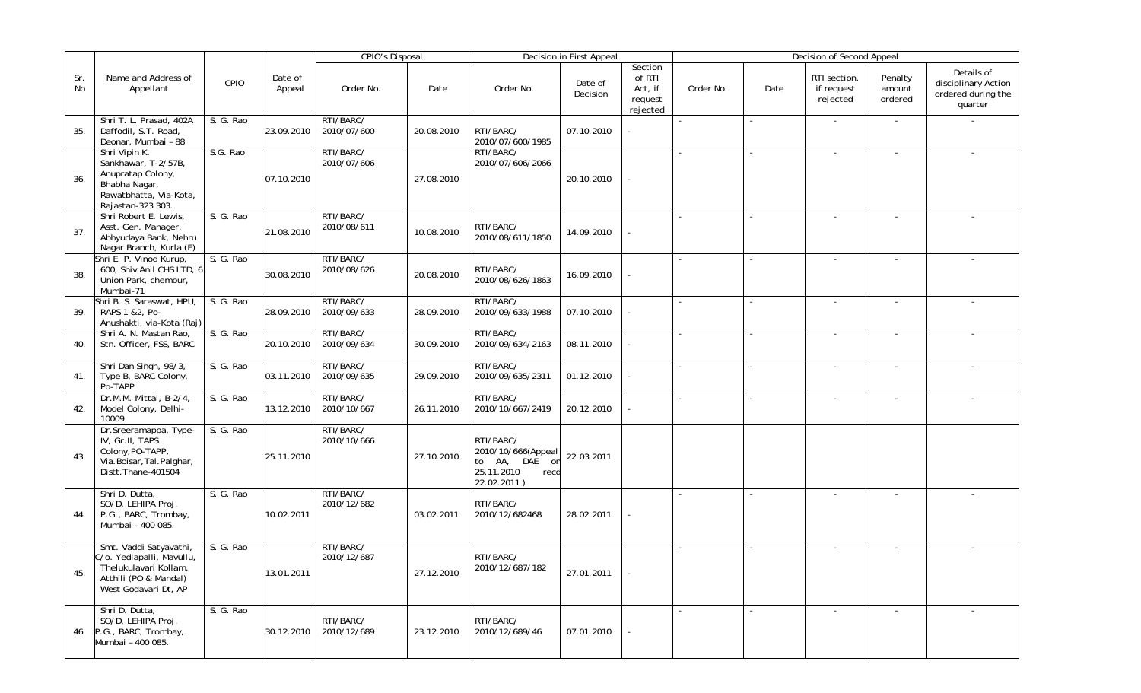|           |                                                                                                                               |           |                   | <b>CPIO's Disposal</b>   |            |                                                                                          | Decision in First Appeal |                                                     |                          |        | Decision of Second Appeal              |                              |                                                                    |
|-----------|-------------------------------------------------------------------------------------------------------------------------------|-----------|-------------------|--------------------------|------------|------------------------------------------------------------------------------------------|--------------------------|-----------------------------------------------------|--------------------------|--------|----------------------------------------|------------------------------|--------------------------------------------------------------------|
| Sr.<br>No | Name and Address of<br>Appellant                                                                                              | CPIO      | Date of<br>Appeal | Order No.                | Date       | Order No.                                                                                | Date of<br>Decision      | Section<br>of RTI<br>Act, if<br>request<br>rejected | Order No.                | Date   | RTI section,<br>if request<br>rejected | Penalty<br>amount<br>ordered | Details of<br>disciplinary Action<br>ordered during the<br>quarter |
| 35.       | Shri T. L. Prasad, 402A<br>Daffodil, S.T. Road,<br>Deonar, Mumbai - 88                                                        | S. G. Rao | 23.09.2010        | RTI/BARC/<br>2010/07/600 | 20.08.2010 | RTI/BARC/<br>2010/07/600/1985                                                            | 07.10.2010               |                                                     | $\overline{\phantom{a}}$ | $\sim$ | $\sim$                                 | $\sim$                       |                                                                    |
| 36.       | Shri Vipin K.<br>Sankhawar, T-2/57B,<br>Anupratap Colony,<br>Bhabha Nagar,<br>Rawatbhatta, Via-Kota,<br>Rajastan-323 303.     | S.G. Rao  | 07.10.2010        | RTI/BARC/<br>2010/07/606 | 27.08.2010 | RTI/BARC/<br>2010/07/606/2066                                                            | 20.10.2010               |                                                     |                          | $\sim$ | $\sim$                                 |                              |                                                                    |
| 37.       | Shri Robert E. Lewis,<br>Asst. Gen. Manager,<br>Abhyudaya Bank, Nehru<br>Nagar Branch, Kurla (E)                              | S. G. Rao | 21.08.2010        | RTI/BARC/<br>2010/08/611 | 10.08.2010 | RTI/BARC/<br>2010/08/611/1850                                                            | 14.09.2010               |                                                     | $\blacksquare$           |        |                                        |                              |                                                                    |
| 38.       | Shri E. P. Vinod Kurup,<br>600, Shiv Anil CHS LTD, 6<br>Union Park, chembur,<br>Mumbai-71                                     | S. G. Rao | 30.08.2010        | RTI/BARC/<br>2010/08/626 | 20.08.2010 | RTI/BARC/<br>2010/08/626/1863                                                            | 16.09.2010               |                                                     | $\overline{a}$           |        |                                        |                              |                                                                    |
| 39.       | Shri B. S. Saraswat, HPU,<br>RAPS 1 & 2, Po-<br>Anushakti, via-Kota (Raj)                                                     | S. G. Rao | 28.09.2010        | RTI/BARC/<br>2010/09/633 | 28.09.2010 | RTI/BARC/<br>2010/09/633/1988                                                            | 07.10.2010               |                                                     |                          |        |                                        |                              |                                                                    |
| 40.       | Shri A. N. Mastan Rao,<br>Stn. Officer, FSS, BARC                                                                             | S. G. Rao | 20.10.2010        | RTI/BARC/<br>2010/09/634 | 30.09.2010 | RTI/BARC/<br>2010/09/634/2163                                                            | 08.11.2010               |                                                     |                          |        | $\sim$                                 | $\sim$                       |                                                                    |
| 41.       | Shri Dan Singh, 98/3,<br>Type B, BARC Colony,<br>Po-TAPP                                                                      | S. G. Rao | 03.11.2010        | RTI/BARC/<br>2010/09/635 | 29.09.2010 | RTI/BARC/<br>2010/09/635/2311                                                            | 01.12.2010               |                                                     | $\blacksquare$           |        |                                        |                              |                                                                    |
| 42.       | Dr.M.M. Mittal, B-2/4,<br>Model Colony, Delhi-<br>10009                                                                       | S. G. Rao | 13.12.2010        | RTI/BARC/<br>2010/10/667 | 26.11.2010 | RTI/BARC/<br>2010/10/667/2419                                                            | 20.12.2010               |                                                     | $\sim$                   | $\sim$ |                                        | $\overline{\phantom{a}}$     |                                                                    |
| 43.       | Dr.Sreeramappa, Type-<br>IV, Gr.II, TAPS<br>Colony, PO-TAPP,<br>Via.Boisar, Tal.Palghar,<br>Distt.Thane-401504                | S. G. Rao | 25.11.2010        | RTI/BARC/<br>2010/10/666 | 27.10.2010 | RTI/BARC/<br>2010/10/666(Appeal<br>to AA, DAE<br>on<br>25.11.2010<br>recd<br>22.02.2011) | 22.03.2011               |                                                     |                          |        |                                        |                              |                                                                    |
| 44.       | Shri D. Dutta,<br>SO/D, LEHIPA Proj.<br>P.G., BARC, Trombay,<br>Mumbai - 400 085.                                             | S. G. Rao | 10.02.2011        | RTI/BARC/<br>2010/12/682 | 03.02.2011 | RTI/BARC/<br>2010/12/682468                                                              | 28.02.2011               |                                                     |                          |        |                                        |                              |                                                                    |
| 45.       | Smt. Vaddi Satyavathi,<br>C/o. Yedlapalli, Mavullu,<br>Thelukulavari Kollam,<br>Atthili (PO & Mandal)<br>West Godavari Dt, AP | S. G. Rao | 13.01.2011        | RTI/BARC/<br>2010/12/687 | 27.12.2010 | RTI/BARC/<br>2010/12/687/182                                                             | 27.01.2011               |                                                     |                          |        | $\overline{\phantom{a}}$               | $\overline{\phantom{a}}$     |                                                                    |
| 46.       | Shri D. Dutta,<br>SO/D, LEHIPA Proj.<br>P.G., BARC, Trombay,<br>Mumbai - 400 085.                                             | S. G. Rao | 30.12.2010        | RTI/BARC/<br>2010/12/689 | 23.12.2010 | RTI/BARC/<br>2010/12/689/46                                                              | 07.01.2010               |                                                     |                          |        | $\sim$                                 | $\sim$                       |                                                                    |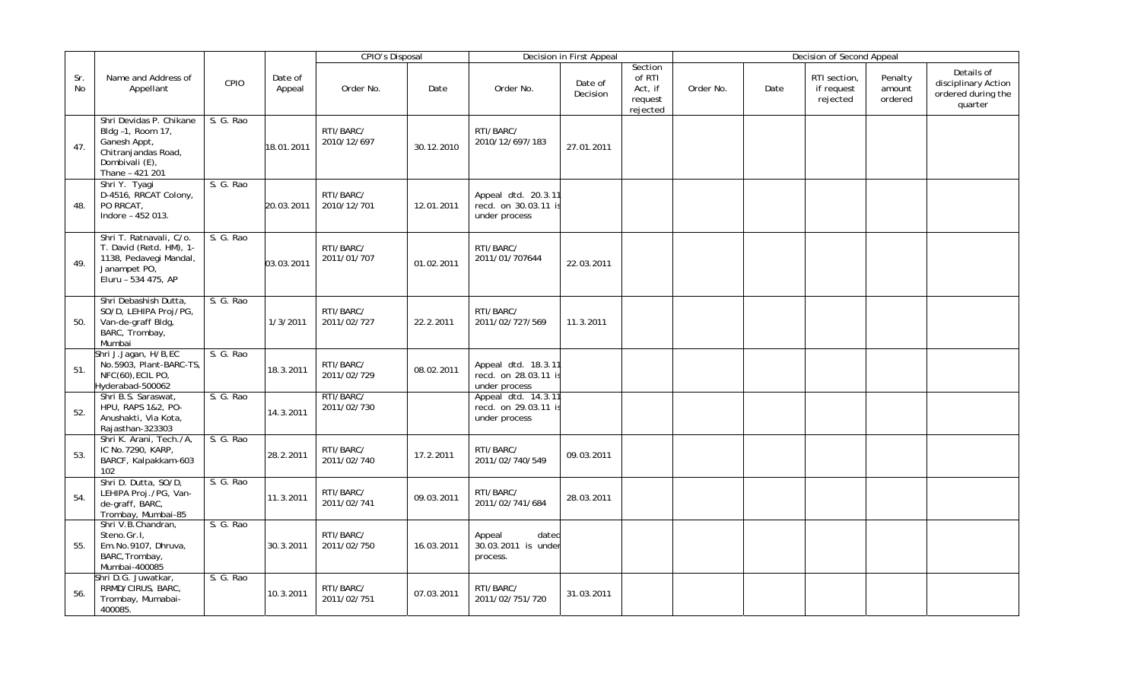|           |                                                                                                                          |           |                   | <b>CPIO's Disposal</b>   |            |                                                              | Decision in First Appeal |                                                     |           |      | Decision of Second Appeal              |                              |                                                                    |
|-----------|--------------------------------------------------------------------------------------------------------------------------|-----------|-------------------|--------------------------|------------|--------------------------------------------------------------|--------------------------|-----------------------------------------------------|-----------|------|----------------------------------------|------------------------------|--------------------------------------------------------------------|
| Sr.<br>No | Name and Address of<br>Appellant                                                                                         | CPIO      | Date of<br>Appeal | Order No.                | Date       | Order No.                                                    | Date of<br>Decision      | Section<br>of RTI<br>Act, if<br>request<br>rejected | Order No. | Date | RTI section,<br>if request<br>rejected | Penalty<br>amount<br>ordered | Details of<br>disciplinary Action<br>ordered during the<br>quarter |
| 47.       | Shri Devidas P. Chikane<br>Bldg -1, Room 17,<br>Ganesh Appt,<br>Chitranjandas Road,<br>Dombivali (E),<br>Thane - 421 201 | S. G. Rao | 18.01.2011        | RTI/BARC/<br>2010/12/697 | 30.12.2010 | RTI/BARC/<br>2010/12/697/183                                 | 27.01.2011               |                                                     |           |      |                                        |                              |                                                                    |
| 48.       | Shri Y. Tyagi<br>D-4516, RRCAT Colony,<br>PO RRCAT,<br>Indore - 452 013.                                                 | S. G. Rao | 20.03.2011        | RTI/BARC/<br>2010/12/701 | 12.01.2011 | Appeal dtd. 20.3.11<br>recd. on 30.03.11 is<br>under process |                          |                                                     |           |      |                                        |                              |                                                                    |
| 49.       | Shri T. Ratnavali, C/o.<br>T. David (Retd. HM), 1-<br>1138, Pedavegi Mandal,<br>Janampet PO,<br>Eluru - 534 475, AP      | S. G. Rao | 03.03.2011        | RTI/BARC/<br>2011/01/707 | 01.02.2011 | RTI/BARC/<br>2011/01/707644                                  | 22.03.2011               |                                                     |           |      |                                        |                              |                                                                    |
| 50.       | Shri Debashish Dutta,<br>SO/D, LEHIPA Proj/PG,<br>Van-de-graff Bldg,<br>BARC, Trombay,<br>Mumbai                         | S. G. Rao | 1/3/2011          | RTI/BARC/<br>2011/02/727 | 22.2.2011  | RTI/BARC/<br>2011/02/727/569                                 | 11.3.2011                |                                                     |           |      |                                        |                              |                                                                    |
| 51.       | Shri J.Jagan, H/B,EC<br>No.5903, Plant-BARC-TS,<br>NFC(60), ECIL PO,<br>Hyderabad-500062                                 | S. G. Rao | 18.3.2011         | RTI/BARC/<br>2011/02/729 | 08.02.2011 | Appeal dtd. 18.3.11<br>recd. on 28.03.11 is<br>under process |                          |                                                     |           |      |                                        |                              |                                                                    |
| 52.       | Shri B.S. Saraswat,<br>HPU, RAPS 1&2, PO-<br>Anushakti, Via Kota,<br>Rajasthan-323303                                    | S. G. Rao | 14.3.2011         | RTI/BARC/<br>2011/02/730 |            | Appeal dtd. 14.3.11<br>recd. on 29.03.11 is<br>under process |                          |                                                     |           |      |                                        |                              |                                                                    |
| 53.       | Shri K. Arani, Tech./A,<br>IC No.7290, KARP,<br>BARCF, Kalpakkam-603<br>102                                              | S. G. Rao | 28.2.2011         | RTI/BARC/<br>2011/02/740 | 17.2.2011  | RTI/BARC/<br>2011/02/740/549                                 | 09.03.2011               |                                                     |           |      |                                        |                              |                                                                    |
| 54.       | Shri D. Dutta, SO/D,<br>LEHIPA Proj./PG, Van-<br>de-graff, BARC,<br>Trombay, Mumbai-85                                   | S. G. Rao | 11.3.2011         | RTI/BARC/<br>2011/02/741 | 09.03.2011 | RTI/BARC/<br>2011/02/741/684                                 | 28.03.2011               |                                                     |           |      |                                        |                              |                                                                    |
| 55.       | Shri V.B.Chandran,<br>Steno.Gr.I,<br>Em.No.9107, Dhruva,<br>BARC, Trombay,<br>Mumbai-400085                              | S. G. Rao | 30.3.2011         | RTI/BARC/<br>2011/02/750 | 16.03.2011 | Appeal<br>dated<br>30.03.2011 is under<br>process.           |                          |                                                     |           |      |                                        |                              |                                                                    |
| 56.       | Shri D.G. Juwatkar,<br>RRMD/CIRUS, BARC,<br>Trombay, Mumabai-<br>400085.                                                 | S. G. Rao | 10.3.2011         | RTI/BARC/<br>2011/02/751 | 07.03.2011 | RTI/BARC/<br>2011/02/751/720                                 | 31.03.2011               |                                                     |           |      |                                        |                              |                                                                    |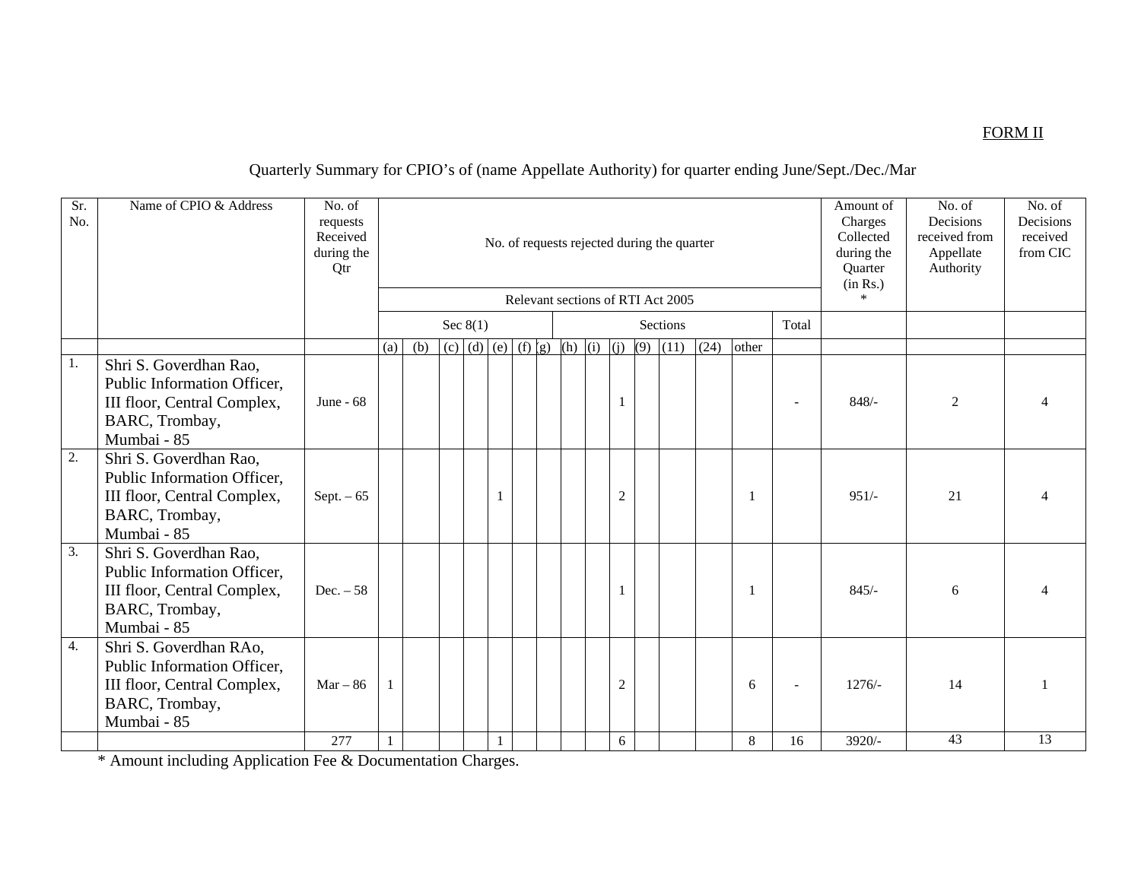### FORM II

## Quarterly Summary for CPIO's of (name Appellate Authority) for quarter ending June/Sept./Dec./Mar

| Sr.<br>No.       | Name of CPIO & Address                                                                                                | No. of<br>requests<br>Received<br>during the<br>Qtr |     |                |  |                                   |  |  |  |  |         |                  |  | No. of requests rejected during the quarter<br>Relevant sections of RTI Act 2005 |                |       |       | Amount of<br>Charges<br>Collected<br>during the<br>Quarter<br>(in Rs.)<br>$\ast$ | No. of<br>Decisions<br>received from<br>Appellate<br>Authority | No. of<br>Decisions<br>received<br>from CIC |
|------------------|-----------------------------------------------------------------------------------------------------------------------|-----------------------------------------------------|-----|----------------|--|-----------------------------------|--|--|--|--|---------|------------------|--|----------------------------------------------------------------------------------|----------------|-------|-------|----------------------------------------------------------------------------------|----------------------------------------------------------------|---------------------------------------------|
|                  |                                                                                                                       |                                                     |     |                |  | Sec $8(1)$                        |  |  |  |  |         |                  |  | Sections                                                                         |                |       | Total |                                                                                  |                                                                |                                             |
|                  |                                                                                                                       |                                                     | (a) | (b)            |  | (c) (d) (e) (f) $ g $ (h) (i) (j) |  |  |  |  |         |                  |  | $(9)$ $(11)$                                                                     | (24)           | other |       |                                                                                  |                                                                |                                             |
| 1.               | Shri S. Goverdhan Rao,<br>Public Information Officer,<br>III floor, Central Complex,<br>BARC, Trombay,<br>Mumbai - 85 | June - $68$                                         |     |                |  |                                   |  |  |  |  |         |                  |  | $848/-$                                                                          | $\overline{2}$ |       |       |                                                                                  |                                                                |                                             |
| 2.               | Shri S. Goverdhan Rao,<br>Public Information Officer,<br>III floor, Central Complex,<br>BARC, Trombay,<br>Mumbai - 85 | Sept. $-65$                                         |     | $\overline{c}$ |  |                                   |  |  |  |  | $951/-$ | 21               |  |                                                                                  |                |       |       |                                                                                  |                                                                |                                             |
| $\overline{3}$ . | Shri S. Goverdhan Rao,<br>Public Information Officer,<br>III floor, Central Complex,<br>BARC, Trombay,<br>Mumbai - 85 | $Dec. - 58$                                         |     |                |  |                                   |  |  |  |  |         |                  |  |                                                                                  |                |       |       | $845/-$                                                                          | 6                                                              |                                             |
| 4.               | Shri S. Goverdhan RAo,<br>Public Information Officer,<br>III floor, Central Complex,<br>BARC, Trombay,<br>Mumbai - 85 | $Mar - 86$                                          | 1   |                |  |                                   |  |  |  |  |         | $\boldsymbol{2}$ |  |                                                                                  |                | 6     |       | $1276/-$                                                                         | 14                                                             |                                             |
|                  |                                                                                                                       | 277                                                 |     |                |  |                                   |  |  |  |  |         | 6                |  |                                                                                  |                | 8     | 16    | $3920/-$                                                                         | 43                                                             | $\overline{13}$                             |

\* Amount including Application Fee & Documentation Charges.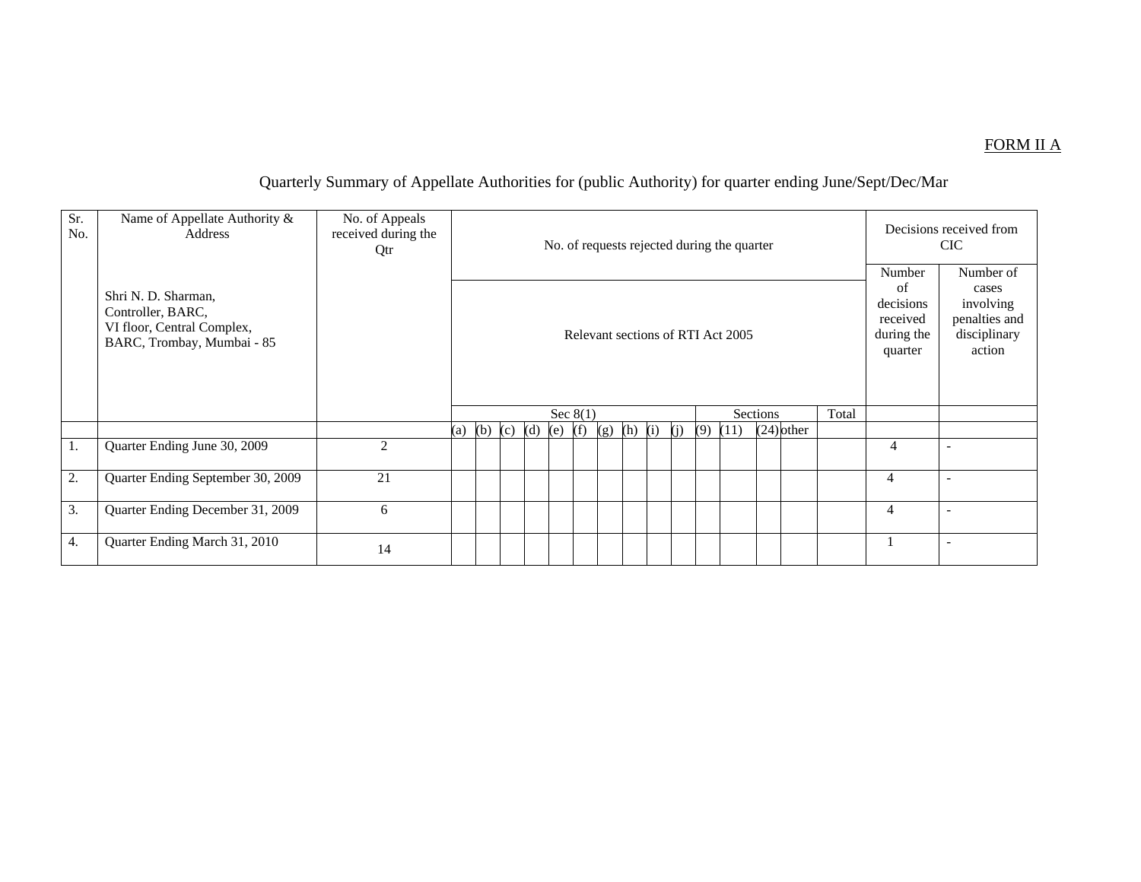#### FORM II A

# Quarterly Summary of Appellate Authorities for (public Authority) for quarter ending June/Sept/Dec/Mar

| Sr.<br>No. | Name of Appellate Authority &<br>Address                                                             | No. of Appeals<br>received during the<br>Qtr |     |             |  |            |     |     |     |     |     | No. of requests rejected during the quarter |              |       |                                                                | Decisions received from<br><b>CIC</b>                                      |
|------------|------------------------------------------------------------------------------------------------------|----------------------------------------------|-----|-------------|--|------------|-----|-----|-----|-----|-----|---------------------------------------------|--------------|-------|----------------------------------------------------------------|----------------------------------------------------------------------------|
|            | Shri N. D. Sharman,<br>Controller, BARC,<br>VI floor, Central Complex,<br>BARC, Trombay, Mumbai - 85 |                                              |     |             |  |            |     |     |     |     |     | Relevant sections of RTI Act 2005           |              |       | Number<br>of<br>decisions<br>received<br>during the<br>quarter | Number of<br>cases<br>involving<br>penalties and<br>disciplinary<br>action |
|            |                                                                                                      |                                              |     |             |  | Sec $8(1)$ |     |     |     |     |     | <b>Sections</b>                             |              | Total |                                                                |                                                                            |
|            |                                                                                                      |                                              | (a) | (b) (c) (d) |  | $(e)$ (f)  | (g) | (h) | (i) | (i) | (9) | (11)                                        | $(24)$ other |       |                                                                |                                                                            |
| 1.         | Quarter Ending June 30, 2009                                                                         | $\overline{2}$                               |     |             |  |            |     |     |     |     |     |                                             |              |       | $\overline{4}$                                                 |                                                                            |
| 2.         | Quarter Ending September 30, 2009                                                                    | 21                                           |     |             |  |            |     |     |     |     |     |                                             |              |       | 4                                                              |                                                                            |
| 3.         | Quarter Ending December 31, 2009                                                                     | 6                                            |     |             |  |            |     |     |     |     |     |                                             |              |       | $\overline{4}$                                                 | $\overline{\phantom{a}}$                                                   |
| 4.         | Quarter Ending March 31, 2010                                                                        | 14                                           |     |             |  |            |     |     |     |     |     |                                             |              |       |                                                                |                                                                            |